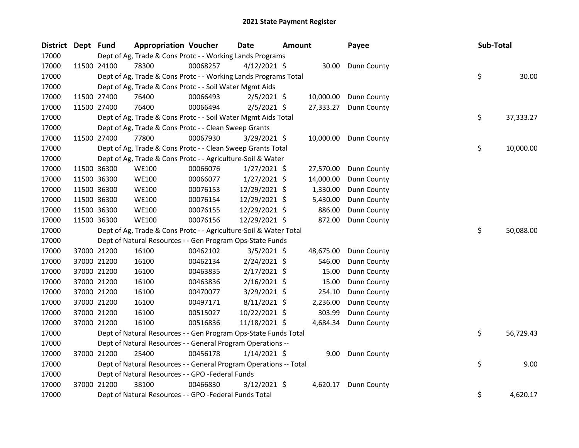| <b>District</b> | Dept Fund |             | <b>Appropriation Voucher</b>                                      |          | Date                                                      | <b>Amount</b> |           | Payee              |  | Sub-Total |           |
|-----------------|-----------|-------------|-------------------------------------------------------------------|----------|-----------------------------------------------------------|---------------|-----------|--------------------|--|-----------|-----------|
| 17000           |           |             |                                                                   |          | Dept of Ag, Trade & Cons Protc - - Working Lands Programs |               |           |                    |  |           |           |
| 17000           |           | 11500 24100 | 78300                                                             | 00068257 | $4/12/2021$ \$                                            |               | 30.00     | Dunn County        |  |           |           |
| 17000           |           |             | Dept of Ag, Trade & Cons Protc - - Working Lands Programs Total   |          |                                                           |               |           |                    |  | \$        | 30.00     |
| 17000           |           |             | Dept of Ag, Trade & Cons Protc - - Soil Water Mgmt Aids           |          |                                                           |               |           |                    |  |           |           |
| 17000           |           | 11500 27400 | 76400                                                             | 00066493 | $2/5/2021$ \$                                             |               | 10,000.00 | <b>Dunn County</b> |  |           |           |
| 17000           |           | 11500 27400 | 76400                                                             | 00066494 | $2/5/2021$ \$                                             |               | 27,333.27 | Dunn County        |  |           |           |
| 17000           |           |             | Dept of Ag, Trade & Cons Protc - - Soil Water Mgmt Aids Total     |          |                                                           |               |           |                    |  | \$        | 37,333.27 |
| 17000           |           |             | Dept of Ag, Trade & Cons Protc - - Clean Sweep Grants             |          |                                                           |               |           |                    |  |           |           |
| 17000           |           | 11500 27400 | 77800                                                             | 00067930 | $3/29/2021$ \$                                            |               | 10,000.00 | Dunn County        |  |           |           |
| 17000           |           |             | Dept of Ag, Trade & Cons Protc - - Clean Sweep Grants Total       |          |                                                           |               |           |                    |  | \$        | 10,000.00 |
| 17000           |           |             | Dept of Ag, Trade & Cons Protc - - Agriculture-Soil & Water       |          |                                                           |               |           |                    |  |           |           |
| 17000           |           | 11500 36300 | <b>WE100</b>                                                      | 00066076 | $1/27/2021$ \$                                            |               | 27,570.00 | <b>Dunn County</b> |  |           |           |
| 17000           |           | 11500 36300 | <b>WE100</b>                                                      | 00066077 | $1/27/2021$ \$                                            |               | 14,000.00 | Dunn County        |  |           |           |
| 17000           |           | 11500 36300 | <b>WE100</b>                                                      | 00076153 | 12/29/2021 \$                                             |               | 1,330.00  | Dunn County        |  |           |           |
| 17000           |           | 11500 36300 | <b>WE100</b>                                                      | 00076154 | 12/29/2021 \$                                             |               | 5,430.00  | Dunn County        |  |           |           |
| 17000           |           | 11500 36300 | <b>WE100</b>                                                      | 00076155 | 12/29/2021 \$                                             |               | 886.00    | Dunn County        |  |           |           |
| 17000           |           | 11500 36300 | <b>WE100</b>                                                      | 00076156 | 12/29/2021 \$                                             |               | 872.00    | Dunn County        |  |           |           |
| 17000           |           |             | Dept of Ag, Trade & Cons Protc - - Agriculture-Soil & Water Total |          |                                                           |               |           |                    |  | \$        | 50,088.00 |
| 17000           |           |             | Dept of Natural Resources - - Gen Program Ops-State Funds         |          |                                                           |               |           |                    |  |           |           |
| 17000           |           | 37000 21200 | 16100                                                             | 00462102 | $3/5/2021$ \$                                             |               | 48,675.00 | Dunn County        |  |           |           |
| 17000           |           | 37000 21200 | 16100                                                             | 00462134 | $2/24/2021$ \$                                            |               | 546.00    | Dunn County        |  |           |           |
| 17000           |           | 37000 21200 | 16100                                                             | 00463835 | $2/17/2021$ \$                                            |               | 15.00     | Dunn County        |  |           |           |
| 17000           |           | 37000 21200 | 16100                                                             | 00463836 | $2/16/2021$ \$                                            |               | 15.00     | Dunn County        |  |           |           |
| 17000           |           | 37000 21200 | 16100                                                             | 00470077 | 3/29/2021 \$                                              |               | 254.10    | Dunn County        |  |           |           |
| 17000           |           | 37000 21200 | 16100                                                             | 00497171 | $8/11/2021$ \$                                            |               | 2,236.00  | Dunn County        |  |           |           |
| 17000           |           | 37000 21200 | 16100                                                             | 00515027 | 10/22/2021 \$                                             |               | 303.99    | Dunn County        |  |           |           |
| 17000           |           | 37000 21200 | 16100                                                             | 00516836 | 11/18/2021 \$                                             |               | 4,684.34  | Dunn County        |  |           |           |
| 17000           |           |             | Dept of Natural Resources - - Gen Program Ops-State Funds Total   |          |                                                           |               |           |                    |  | \$.       | 56,729.43 |
| 17000           |           |             | Dept of Natural Resources - - General Program Operations --       |          |                                                           |               |           |                    |  |           |           |
| 17000           |           | 37000 21200 | 25400                                                             | 00456178 | $1/14/2021$ \$                                            |               |           | 9.00 Dunn County   |  |           |           |
| 17000           |           |             | Dept of Natural Resources - - General Program Operations -- Total |          |                                                           |               |           |                    |  | \$        | 9.00      |
| 17000           |           |             | Dept of Natural Resources - - GPO -Federal Funds                  |          |                                                           |               |           |                    |  |           |           |
| 17000           |           | 37000 21200 | 38100                                                             | 00466830 | $3/12/2021$ \$                                            |               | 4,620.17  | Dunn County        |  |           |           |
| 17000           |           |             | Dept of Natural Resources - - GPO -Federal Funds Total            |          |                                                           |               |           |                    |  | \$        | 4,620.17  |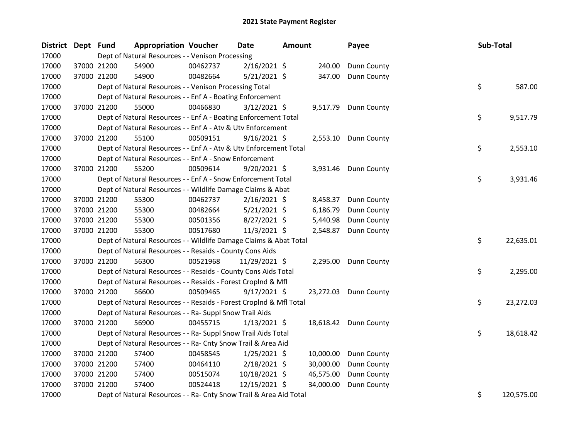| District Dept Fund |             | <b>Appropriation Voucher</b>                                       |          | Date           | <b>Amount</b> |           | Payee                 | Sub-Total |            |
|--------------------|-------------|--------------------------------------------------------------------|----------|----------------|---------------|-----------|-----------------------|-----------|------------|
| 17000              |             | Dept of Natural Resources - - Venison Processing                   |          |                |               |           |                       |           |            |
| 17000              | 37000 21200 | 54900                                                              | 00462737 | $2/16/2021$ \$ |               | 240.00    | Dunn County           |           |            |
| 17000              | 37000 21200 | 54900                                                              | 00482664 | $5/21/2021$ \$ |               | 347.00    | <b>Dunn County</b>    |           |            |
| 17000              |             | Dept of Natural Resources - - Venison Processing Total             |          |                |               |           |                       | \$        | 587.00     |
| 17000              |             | Dept of Natural Resources - - Enf A - Boating Enforcement          |          |                |               |           |                       |           |            |
| 17000              | 37000 21200 | 55000                                                              | 00466830 | $3/12/2021$ \$ |               |           | 9,517.79 Dunn County  |           |            |
| 17000              |             | Dept of Natural Resources - - Enf A - Boating Enforcement Total    |          |                |               |           |                       | \$        | 9,517.79   |
| 17000              |             | Dept of Natural Resources - - Enf A - Atv & Utv Enforcement        |          |                |               |           |                       |           |            |
| 17000              | 37000 21200 | 55100                                                              | 00509151 | $9/16/2021$ \$ |               |           | 2,553.10 Dunn County  |           |            |
| 17000              |             | Dept of Natural Resources - - Enf A - Atv & Utv Enforcement Total  |          |                |               |           |                       | \$        | 2,553.10   |
| 17000              |             | Dept of Natural Resources - - Enf A - Snow Enforcement             |          |                |               |           |                       |           |            |
| 17000              | 37000 21200 | 55200                                                              | 00509614 | $9/20/2021$ \$ |               |           | 3,931.46 Dunn County  |           |            |
| 17000              |             | Dept of Natural Resources - - Enf A - Snow Enforcement Total       |          |                |               |           |                       | \$        | 3,931.46   |
| 17000              |             | Dept of Natural Resources - - Wildlife Damage Claims & Abat        |          |                |               |           |                       |           |            |
| 17000              | 37000 21200 | 55300                                                              | 00462737 | $2/16/2021$ \$ |               |           | 8,458.37 Dunn County  |           |            |
| 17000              | 37000 21200 | 55300                                                              | 00482664 | $5/21/2021$ \$ |               | 6,186.79  | Dunn County           |           |            |
| 17000              | 37000 21200 | 55300                                                              | 00501356 | $8/27/2021$ \$ |               | 5,440.98  | Dunn County           |           |            |
| 17000              | 37000 21200 | 55300                                                              | 00517680 | 11/3/2021 \$   |               |           | 2,548.87 Dunn County  |           |            |
| 17000              |             | Dept of Natural Resources - - Wildlife Damage Claims & Abat Total  |          |                |               |           |                       | \$        | 22,635.01  |
| 17000              |             | Dept of Natural Resources - - Resaids - County Cons Aids           |          |                |               |           |                       |           |            |
| 17000              | 37000 21200 | 56300                                                              | 00521968 | 11/29/2021 \$  |               |           | 2,295.00 Dunn County  |           |            |
| 17000              |             | Dept of Natural Resources - - Resaids - County Cons Aids Total     |          |                |               |           |                       | \$        | 2,295.00   |
| 17000              |             | Dept of Natural Resources - - Resaids - Forest CropInd & Mfl       |          |                |               |           |                       |           |            |
| 17000              | 37000 21200 | 56600                                                              | 00509465 | $9/17/2021$ \$ |               |           | 23,272.03 Dunn County |           |            |
| 17000              |             | Dept of Natural Resources - - Resaids - Forest CropInd & Mfl Total |          |                |               |           |                       | \$        | 23,272.03  |
| 17000              |             | Dept of Natural Resources - - Ra- Suppl Snow Trail Aids            |          |                |               |           |                       |           |            |
| 17000              | 37000 21200 | 56900                                                              | 00455715 | $1/13/2021$ \$ |               |           | 18,618.42 Dunn County |           |            |
| 17000              |             | Dept of Natural Resources - - Ra- Suppl Snow Trail Aids Total      |          |                |               |           |                       | \$        | 18,618.42  |
| 17000              |             | Dept of Natural Resources - - Ra- Cnty Snow Trail & Area Aid       |          |                |               |           |                       |           |            |
| 17000              | 37000 21200 | 57400                                                              | 00458545 | $1/25/2021$ \$ |               | 10,000.00 | <b>Dunn County</b>    |           |            |
| 17000              | 37000 21200 | 57400                                                              | 00464110 | $2/18/2021$ \$ |               | 30,000.00 | Dunn County           |           |            |
| 17000              | 37000 21200 | 57400                                                              | 00515074 | 10/18/2021 \$  |               | 46,575.00 | Dunn County           |           |            |
| 17000              | 37000 21200 | 57400                                                              | 00524418 | 12/15/2021 \$  |               | 34,000.00 | Dunn County           |           |            |
| 17000              |             | Dept of Natural Resources - - Ra- Cnty Snow Trail & Area Aid Total |          |                |               |           |                       | \$        | 120,575.00 |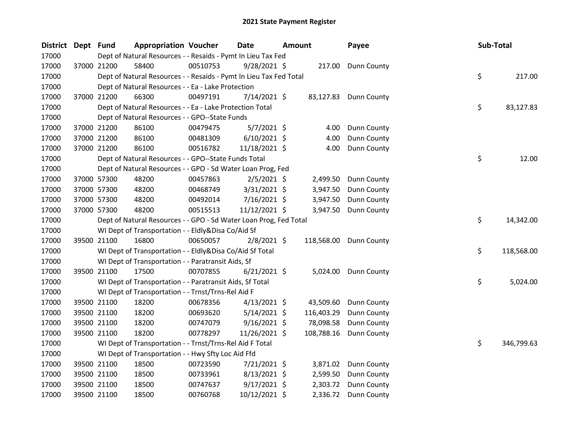| District Dept Fund |             | <b>Appropriation Voucher</b>                                       |          | <b>Date</b>    | Amount |            | Payee                  | Sub-Total |            |
|--------------------|-------------|--------------------------------------------------------------------|----------|----------------|--------|------------|------------------------|-----------|------------|
| 17000              |             | Dept of Natural Resources - - Resaids - Pymt In Lieu Tax Fed       |          |                |        |            |                        |           |            |
| 17000              | 37000 21200 | 58400                                                              | 00510753 | $9/28/2021$ \$ |        | 217.00     | Dunn County            |           |            |
| 17000              |             | Dept of Natural Resources - - Resaids - Pymt In Lieu Tax Fed Total |          |                |        |            |                        | \$        | 217.00     |
| 17000              |             | Dept of Natural Resources - - Ea - Lake Protection                 |          |                |        |            |                        |           |            |
| 17000              | 37000 21200 | 66300                                                              | 00497191 | $7/14/2021$ \$ |        |            | 83,127.83 Dunn County  |           |            |
| 17000              |             | Dept of Natural Resources - - Ea - Lake Protection Total           |          |                |        |            |                        | \$        | 83,127.83  |
| 17000              |             | Dept of Natural Resources - - GPO--State Funds                     |          |                |        |            |                        |           |            |
| 17000              | 37000 21200 | 86100                                                              | 00479475 | $5/7/2021$ \$  |        | 4.00       | Dunn County            |           |            |
| 17000              | 37000 21200 | 86100                                                              | 00481309 | $6/10/2021$ \$ |        | 4.00       | Dunn County            |           |            |
| 17000              | 37000 21200 | 86100                                                              | 00516782 | 11/18/2021 \$  |        | 4.00       | Dunn County            |           |            |
| 17000              |             | Dept of Natural Resources - - GPO--State Funds Total               |          |                |        |            |                        | \$        | 12.00      |
| 17000              |             | Dept of Natural Resources - - GPO - Sd Water Loan Prog, Fed        |          |                |        |            |                        |           |            |
| 17000              | 37000 57300 | 48200                                                              | 00457863 | $2/5/2021$ \$  |        | 2,499.50   | Dunn County            |           |            |
| 17000              | 37000 57300 | 48200                                                              | 00468749 | $3/31/2021$ \$ |        | 3,947.50   | Dunn County            |           |            |
| 17000              | 37000 57300 | 48200                                                              | 00492014 | 7/16/2021 \$   |        | 3,947.50   | Dunn County            |           |            |
| 17000              | 37000 57300 | 48200                                                              | 00515513 | 11/12/2021 \$  |        | 3,947.50   | Dunn County            |           |            |
| 17000              |             | Dept of Natural Resources - - GPO - Sd Water Loan Prog, Fed Total  |          |                |        |            |                        | \$        | 14,342.00  |
| 17000              |             | WI Dept of Transportation - - Eldly&Disa Co/Aid Sf                 |          |                |        |            |                        |           |            |
| 17000              | 39500 21100 | 16800                                                              | 00650057 | $2/8/2021$ \$  |        |            | 118,568.00 Dunn County |           |            |
| 17000              |             | WI Dept of Transportation - - Eldly&Disa Co/Aid Sf Total           |          |                |        |            |                        | \$        | 118,568.00 |
| 17000              |             | WI Dept of Transportation - - Paratransit Aids, Sf                 |          |                |        |            |                        |           |            |
| 17000              | 39500 21100 | 17500                                                              | 00707855 | $6/21/2021$ \$ |        | 5,024.00   | Dunn County            |           |            |
| 17000              |             | WI Dept of Transportation - - Paratransit Aids, Sf Total           |          |                |        |            |                        | \$        | 5,024.00   |
| 17000              |             | WI Dept of Transportation - - Trnst/Trns-Rel Aid F                 |          |                |        |            |                        |           |            |
| 17000              | 39500 21100 | 18200                                                              | 00678356 | $4/13/2021$ \$ |        | 43,509.60  | Dunn County            |           |            |
| 17000              | 39500 21100 | 18200                                                              | 00693620 | $5/14/2021$ \$ |        | 116,403.29 | Dunn County            |           |            |
| 17000              | 39500 21100 | 18200                                                              | 00747079 | $9/16/2021$ \$ |        | 78,098.58  | Dunn County            |           |            |
| 17000              | 39500 21100 | 18200                                                              | 00778297 | 11/26/2021 \$  |        | 108,788.16 | Dunn County            |           |            |
| 17000              |             | WI Dept of Transportation - - Trnst/Trns-Rel Aid F Total           |          |                |        |            |                        | \$        | 346,799.63 |
| 17000              |             | WI Dept of Transportation - - Hwy Sfty Loc Aid Ffd                 |          |                |        |            |                        |           |            |
| 17000              | 39500 21100 | 18500                                                              | 00723590 | 7/21/2021 \$   |        | 3,871.02   | Dunn County            |           |            |
| 17000              | 39500 21100 | 18500                                                              | 00733961 | $8/13/2021$ \$ |        | 2,599.50   | Dunn County            |           |            |
| 17000              | 39500 21100 | 18500                                                              | 00747637 | $9/17/2021$ \$ |        | 2,303.72   | <b>Dunn County</b>     |           |            |
| 17000              | 39500 21100 | 18500                                                              | 00760768 | 10/12/2021 \$  |        | 2,336.72   | Dunn County            |           |            |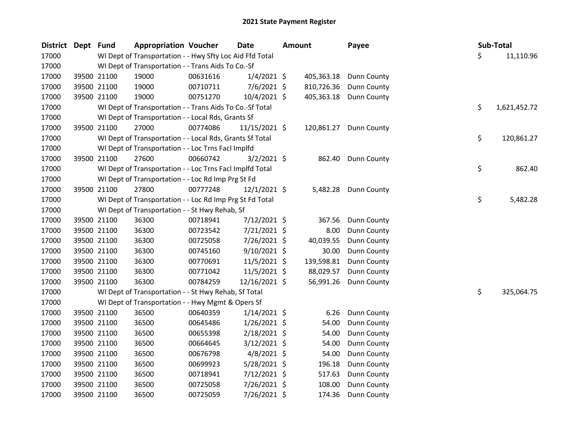| <b>District</b> | Dept Fund |             | <b>Appropriation Voucher</b>                             |          | <b>Date</b>    | <b>Amount</b> | Payee              |    | Sub-Total    |
|-----------------|-----------|-------------|----------------------------------------------------------|----------|----------------|---------------|--------------------|----|--------------|
| 17000           |           |             | WI Dept of Transportation - - Hwy Sfty Loc Aid Ffd Total |          |                |               |                    | \$ | 11,110.96    |
| 17000           |           |             | WI Dept of Transportation - - Trans Aids To Co.-Sf       |          |                |               |                    |    |              |
| 17000           |           | 39500 21100 | 19000                                                    | 00631616 | $1/4/2021$ \$  | 405,363.18    | Dunn County        |    |              |
| 17000           |           | 39500 21100 | 19000                                                    | 00710711 | 7/6/2021 \$    | 810,726.36    | Dunn County        |    |              |
| 17000           |           | 39500 21100 | 19000                                                    | 00751270 | $10/4/2021$ \$ | 405,363.18    | Dunn County        |    |              |
| 17000           |           |             | WI Dept of Transportation - - Trans Aids To Co.-Sf Total |          |                |               |                    | \$ | 1,621,452.72 |
| 17000           |           |             | WI Dept of Transportation - - Local Rds, Grants Sf       |          |                |               |                    |    |              |
| 17000           |           | 39500 21100 | 27000                                                    | 00774086 | 11/15/2021 \$  | 120,861.27    | <b>Dunn County</b> |    |              |
| 17000           |           |             | WI Dept of Transportation - - Local Rds, Grants Sf Total |          |                |               |                    | \$ | 120,861.27   |
| 17000           |           |             | WI Dept of Transportation - - Loc Trns Facl Implfd       |          |                |               |                    |    |              |
| 17000           |           | 39500 21100 | 27600                                                    | 00660742 | $3/2/2021$ \$  | 862.40        | <b>Dunn County</b> |    |              |
| 17000           |           |             | WI Dept of Transportation - - Loc Trns Facl Implfd Total |          |                |               |                    | \$ | 862.40       |
| 17000           |           |             | WI Dept of Transportation - - Loc Rd Imp Prg St Fd       |          |                |               |                    |    |              |
| 17000           |           | 39500 21100 | 27800                                                    | 00777248 | $12/1/2021$ \$ | 5,482.28      | <b>Dunn County</b> |    |              |
| 17000           |           |             | WI Dept of Transportation - - Loc Rd Imp Prg St Fd Total |          |                |               |                    | \$ | 5,482.28     |
| 17000           |           |             | WI Dept of Transportation - - St Hwy Rehab, Sf           |          |                |               |                    |    |              |
| 17000           |           | 39500 21100 | 36300                                                    | 00718941 | 7/12/2021 \$   | 367.56        | Dunn County        |    |              |
| 17000           |           | 39500 21100 | 36300                                                    | 00723542 | 7/21/2021 \$   | 8.00          | Dunn County        |    |              |
| 17000           |           | 39500 21100 | 36300                                                    | 00725058 | 7/26/2021 \$   | 40,039.55     | Dunn County        |    |              |
| 17000           |           | 39500 21100 | 36300                                                    | 00745160 | $9/10/2021$ \$ | 30.00         | Dunn County        |    |              |
| 17000           |           | 39500 21100 | 36300                                                    | 00770691 | $11/5/2021$ \$ | 139,598.81    | Dunn County        |    |              |
| 17000           |           | 39500 21100 | 36300                                                    | 00771042 | 11/5/2021 \$   | 88,029.57     | Dunn County        |    |              |
| 17000           |           | 39500 21100 | 36300                                                    | 00784259 | 12/16/2021 \$  | 56,991.26     | Dunn County        |    |              |
| 17000           |           |             | WI Dept of Transportation - - St Hwy Rehab, Sf Total     |          |                |               |                    | \$ | 325,064.75   |
| 17000           |           |             | WI Dept of Transportation - - Hwy Mgmt & Opers Sf        |          |                |               |                    |    |              |
| 17000           |           | 39500 21100 | 36500                                                    | 00640359 | $1/14/2021$ \$ | 6.26          | Dunn County        |    |              |
| 17000           |           | 39500 21100 | 36500                                                    | 00645486 | $1/26/2021$ \$ | 54.00         | Dunn County        |    |              |
| 17000           |           | 39500 21100 | 36500                                                    | 00655398 | 2/18/2021 \$   | 54.00         | Dunn County        |    |              |
| 17000           |           | 39500 21100 | 36500                                                    | 00664645 | 3/12/2021 \$   | 54.00         | Dunn County        |    |              |
| 17000           |           | 39500 21100 | 36500                                                    | 00676798 | $4/8/2021$ \$  | 54.00         | Dunn County        |    |              |
| 17000           |           | 39500 21100 | 36500                                                    | 00699923 | 5/28/2021 \$   | 196.18        | Dunn County        |    |              |
| 17000           |           | 39500 21100 | 36500                                                    | 00718941 | 7/12/2021 \$   | 517.63        | Dunn County        |    |              |
| 17000           |           | 39500 21100 | 36500                                                    | 00725058 | 7/26/2021 \$   | 108.00        | Dunn County        |    |              |
| 17000           |           | 39500 21100 | 36500                                                    | 00725059 | 7/26/2021 \$   | 174.36        | Dunn County        |    |              |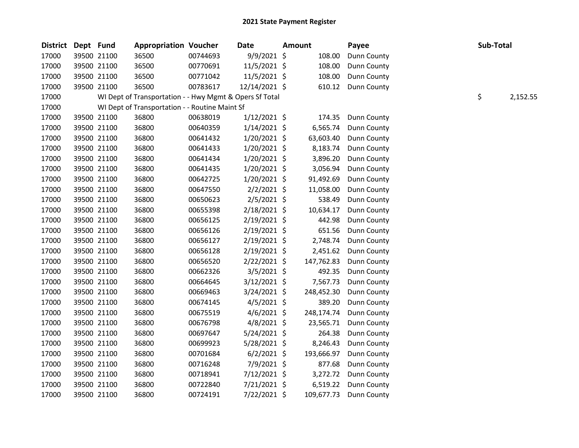| District Dept Fund |             | <b>Appropriation Voucher</b>                            |          | <b>Date</b>    | <b>Amount</b> | Payee       | Sub-Total |          |
|--------------------|-------------|---------------------------------------------------------|----------|----------------|---------------|-------------|-----------|----------|
| 17000              | 39500 21100 | 36500                                                   | 00744693 | $9/9/2021$ \$  | 108.00        | Dunn County |           |          |
| 17000              | 39500 21100 | 36500                                                   | 00770691 | 11/5/2021 \$   | 108.00        | Dunn County |           |          |
| 17000              | 39500 21100 | 36500                                                   | 00771042 | $11/5/2021$ \$ | 108.00        | Dunn County |           |          |
| 17000              | 39500 21100 | 36500                                                   | 00783617 | 12/14/2021 \$  | 610.12        | Dunn County |           |          |
| 17000              |             | WI Dept of Transportation - - Hwy Mgmt & Opers Sf Total |          |                |               |             | \$        | 2,152.55 |
| 17000              |             | WI Dept of Transportation - - Routine Maint Sf          |          |                |               |             |           |          |
| 17000              | 39500 21100 | 36800                                                   | 00638019 | $1/12/2021$ \$ | 174.35        | Dunn County |           |          |
| 17000              | 39500 21100 | 36800                                                   | 00640359 | $1/14/2021$ \$ | 6,565.74      | Dunn County |           |          |
| 17000              | 39500 21100 | 36800                                                   | 00641432 | $1/20/2021$ \$ | 63,603.40     | Dunn County |           |          |
| 17000              | 39500 21100 | 36800                                                   | 00641433 | $1/20/2021$ \$ | 8,183.74      | Dunn County |           |          |
| 17000              | 39500 21100 | 36800                                                   | 00641434 | 1/20/2021 \$   | 3,896.20      | Dunn County |           |          |
| 17000              | 39500 21100 | 36800                                                   | 00641435 | $1/20/2021$ \$ | 3,056.94      | Dunn County |           |          |
| 17000              | 39500 21100 | 36800                                                   | 00642725 | $1/20/2021$ \$ | 91,492.69     | Dunn County |           |          |
| 17000              | 39500 21100 | 36800                                                   | 00647550 | $2/2/2021$ \$  | 11,058.00     | Dunn County |           |          |
| 17000              | 39500 21100 | 36800                                                   | 00650623 | 2/5/2021 \$    | 538.49        | Dunn County |           |          |
| 17000              | 39500 21100 | 36800                                                   | 00655398 | 2/18/2021 \$   | 10,634.17     | Dunn County |           |          |
| 17000              | 39500 21100 | 36800                                                   | 00656125 | 2/19/2021 \$   | 442.98        | Dunn County |           |          |
| 17000              | 39500 21100 | 36800                                                   | 00656126 | 2/19/2021 \$   | 651.56        | Dunn County |           |          |
| 17000              | 39500 21100 | 36800                                                   | 00656127 | 2/19/2021 \$   | 2,748.74      | Dunn County |           |          |
| 17000              | 39500 21100 | 36800                                                   | 00656128 | $2/19/2021$ \$ | 2,451.62      | Dunn County |           |          |
| 17000              | 39500 21100 | 36800                                                   | 00656520 | $2/22/2021$ \$ | 147,762.83    | Dunn County |           |          |
| 17000              | 39500 21100 | 36800                                                   | 00662326 | 3/5/2021 \$    | 492.35        | Dunn County |           |          |
| 17000              | 39500 21100 | 36800                                                   | 00664645 | 3/12/2021 \$   | 7,567.73      | Dunn County |           |          |
| 17000              | 39500 21100 | 36800                                                   | 00669463 | $3/24/2021$ \$ | 248,452.30    | Dunn County |           |          |
| 17000              | 39500 21100 | 36800                                                   | 00674145 | $4/5/2021$ \$  | 389.20        | Dunn County |           |          |
| 17000              | 39500 21100 | 36800                                                   | 00675519 | $4/6/2021$ \$  | 248,174.74    | Dunn County |           |          |
| 17000              | 39500 21100 | 36800                                                   | 00676798 | 4/8/2021 \$    | 23,565.71     | Dunn County |           |          |
| 17000              | 39500 21100 | 36800                                                   | 00697647 | 5/24/2021 \$   | 264.38        | Dunn County |           |          |
| 17000              | 39500 21100 | 36800                                                   | 00699923 | 5/28/2021 \$   | 8,246.43      | Dunn County |           |          |
| 17000              | 39500 21100 | 36800                                                   | 00701684 | $6/2/2021$ \$  | 193,666.97    | Dunn County |           |          |
| 17000              | 39500 21100 | 36800                                                   | 00716248 | 7/9/2021 \$    | 877.68        | Dunn County |           |          |
| 17000              | 39500 21100 | 36800                                                   | 00718941 | 7/12/2021 \$   | 3,272.72      | Dunn County |           |          |
| 17000              | 39500 21100 | 36800                                                   | 00722840 | $7/21/2021$ \$ | 6,519.22      | Dunn County |           |          |
| 17000              | 39500 21100 | 36800                                                   | 00724191 | 7/22/2021 \$   | 109,677.73    | Dunn County |           |          |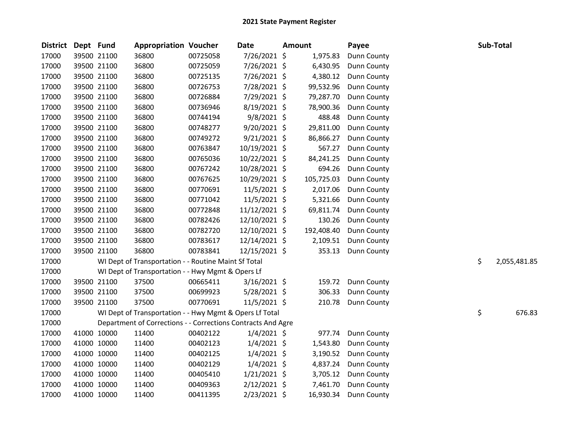| <b>District</b> | Dept Fund |             | <b>Appropriation Voucher</b>                                 |          | <b>Date</b>    | Amount |            | Payee              |    | Sub-Total    |
|-----------------|-----------|-------------|--------------------------------------------------------------|----------|----------------|--------|------------|--------------------|----|--------------|
| 17000           |           | 39500 21100 | 36800                                                        | 00725058 | 7/26/2021 \$   |        | 1,975.83   | Dunn County        |    |              |
| 17000           |           | 39500 21100 | 36800                                                        | 00725059 | 7/26/2021 \$   |        | 6,430.95   | Dunn County        |    |              |
| 17000           |           | 39500 21100 | 36800                                                        | 00725135 | 7/26/2021 \$   |        | 4,380.12   | Dunn County        |    |              |
| 17000           |           | 39500 21100 | 36800                                                        | 00726753 | 7/28/2021 \$   |        | 99,532.96  | Dunn County        |    |              |
| 17000           |           | 39500 21100 | 36800                                                        | 00726884 | 7/29/2021 \$   |        | 79,287.70  | <b>Dunn County</b> |    |              |
| 17000           |           | 39500 21100 | 36800                                                        | 00736946 | 8/19/2021 \$   |        | 78,900.36  | Dunn County        |    |              |
| 17000           |           | 39500 21100 | 36800                                                        | 00744194 | $9/8/2021$ \$  |        | 488.48     | Dunn County        |    |              |
| 17000           |           | 39500 21100 | 36800                                                        | 00748277 | $9/20/2021$ \$ |        | 29,811.00  | Dunn County        |    |              |
| 17000           |           | 39500 21100 | 36800                                                        | 00749272 | $9/21/2021$ \$ |        | 86,866.27  | Dunn County        |    |              |
| 17000           |           | 39500 21100 | 36800                                                        | 00763847 | 10/19/2021 \$  |        | 567.27     | Dunn County        |    |              |
| 17000           |           | 39500 21100 | 36800                                                        | 00765036 | 10/22/2021 \$  |        | 84,241.25  | Dunn County        |    |              |
| 17000           |           | 39500 21100 | 36800                                                        | 00767242 | 10/28/2021 \$  |        | 694.26     | Dunn County        |    |              |
| 17000           |           | 39500 21100 | 36800                                                        | 00767625 | 10/29/2021 \$  |        | 105,725.03 | Dunn County        |    |              |
| 17000           |           | 39500 21100 | 36800                                                        | 00770691 | $11/5/2021$ \$ |        | 2,017.06   | Dunn County        |    |              |
| 17000           |           | 39500 21100 | 36800                                                        | 00771042 | 11/5/2021 \$   |        | 5,321.66   | <b>Dunn County</b> |    |              |
| 17000           |           | 39500 21100 | 36800                                                        | 00772848 | 11/12/2021 \$  |        | 69,811.74  | Dunn County        |    |              |
| 17000           |           | 39500 21100 | 36800                                                        | 00782426 | 12/10/2021 \$  |        | 130.26     | Dunn County        |    |              |
| 17000           |           | 39500 21100 | 36800                                                        | 00782720 | 12/10/2021 \$  |        | 192,408.40 | Dunn County        |    |              |
| 17000           |           | 39500 21100 | 36800                                                        | 00783617 | 12/14/2021 \$  |        | 2,109.51   | Dunn County        |    |              |
| 17000           |           | 39500 21100 | 36800                                                        | 00783841 | 12/15/2021 \$  |        | 353.13     | Dunn County        |    |              |
| 17000           |           |             | WI Dept of Transportation - - Routine Maint Sf Total         |          |                |        |            |                    | \$ | 2,055,481.85 |
| 17000           |           |             | WI Dept of Transportation - - Hwy Mgmt & Opers Lf            |          |                |        |            |                    |    |              |
| 17000           |           | 39500 21100 | 37500                                                        | 00665411 | $3/16/2021$ \$ |        | 159.72     | <b>Dunn County</b> |    |              |
| 17000           |           | 39500 21100 | 37500                                                        | 00699923 | 5/28/2021 \$   |        | 306.33     | Dunn County        |    |              |
| 17000           |           | 39500 21100 | 37500                                                        | 00770691 | $11/5/2021$ \$ |        | 210.78     | Dunn County        |    |              |
| 17000           |           |             | WI Dept of Transportation - - Hwy Mgmt & Opers Lf Total      |          |                |        |            |                    | \$ | 676.83       |
| 17000           |           |             | Department of Corrections - - Corrections Contracts And Agre |          |                |        |            |                    |    |              |
| 17000           |           | 41000 10000 | 11400                                                        | 00402122 | $1/4/2021$ \$  |        | 977.74     | Dunn County        |    |              |
| 17000           |           | 41000 10000 | 11400                                                        | 00402123 | $1/4/2021$ \$  |        | 1,543.80   | Dunn County        |    |              |
| 17000           |           | 41000 10000 | 11400                                                        | 00402125 | $1/4/2021$ \$  |        | 3,190.52   | <b>Dunn County</b> |    |              |
| 17000           |           | 41000 10000 | 11400                                                        | 00402129 | $1/4/2021$ \$  |        | 4,837.24   | <b>Dunn County</b> |    |              |
| 17000           |           | 41000 10000 | 11400                                                        | 00405410 | $1/21/2021$ \$ |        | 3,705.12   | Dunn County        |    |              |
| 17000           |           | 41000 10000 | 11400                                                        | 00409363 | 2/12/2021 \$   |        | 7,461.70   | Dunn County        |    |              |
| 17000           |           | 41000 10000 | 11400                                                        | 00411395 | 2/23/2021 \$   |        | 16,930.34  | Dunn County        |    |              |
|                 |           |             |                                                              |          |                |        |            |                    |    |              |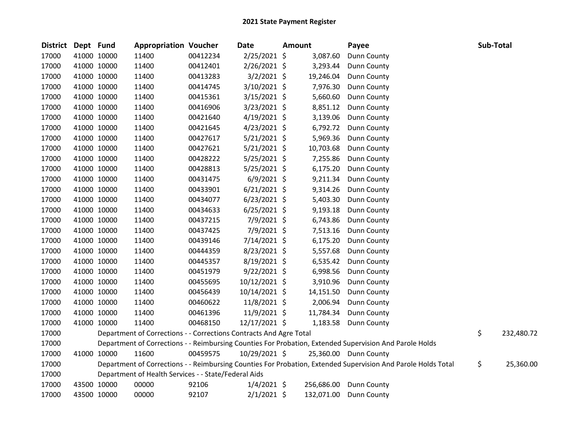| <b>District</b> | Dept Fund |             | <b>Appropriation Voucher</b>                                       |          | <b>Date</b>    | Amount     | Payee                                                                                                         | Sub-Total        |
|-----------------|-----------|-------------|--------------------------------------------------------------------|----------|----------------|------------|---------------------------------------------------------------------------------------------------------------|------------------|
| 17000           |           | 41000 10000 | 11400                                                              | 00412234 | $2/25/2021$ \$ | 3,087.60   | Dunn County                                                                                                   |                  |
| 17000           |           | 41000 10000 | 11400                                                              | 00412401 | 2/26/2021 \$   | 3,293.44   | Dunn County                                                                                                   |                  |
| 17000           |           | 41000 10000 | 11400                                                              | 00413283 | $3/2/2021$ \$  | 19,246.04  | Dunn County                                                                                                   |                  |
| 17000           |           | 41000 10000 | 11400                                                              | 00414745 | 3/10/2021 \$   | 7,976.30   | Dunn County                                                                                                   |                  |
| 17000           |           | 41000 10000 | 11400                                                              | 00415361 | $3/15/2021$ \$ | 5,660.60   | Dunn County                                                                                                   |                  |
| 17000           |           | 41000 10000 | 11400                                                              | 00416906 | 3/23/2021 \$   | 8,851.12   | Dunn County                                                                                                   |                  |
| 17000           |           | 41000 10000 | 11400                                                              | 00421640 | $4/19/2021$ \$ | 3,139.06   | Dunn County                                                                                                   |                  |
| 17000           |           | 41000 10000 | 11400                                                              | 00421645 | 4/23/2021 \$   | 6,792.72   | Dunn County                                                                                                   |                  |
| 17000           |           | 41000 10000 | 11400                                                              | 00427617 | $5/21/2021$ \$ | 5,969.36   | Dunn County                                                                                                   |                  |
| 17000           |           | 41000 10000 | 11400                                                              | 00427621 | $5/21/2021$ \$ | 10,703.68  | Dunn County                                                                                                   |                  |
| 17000           |           | 41000 10000 | 11400                                                              | 00428222 | 5/25/2021 \$   | 7,255.86   | Dunn County                                                                                                   |                  |
| 17000           |           | 41000 10000 | 11400                                                              | 00428813 | 5/25/2021 \$   | 6,175.20   | Dunn County                                                                                                   |                  |
| 17000           |           | 41000 10000 | 11400                                                              | 00431475 | $6/9/2021$ \$  | 9,211.34   | Dunn County                                                                                                   |                  |
| 17000           |           | 41000 10000 | 11400                                                              | 00433901 | $6/21/2021$ \$ | 9,314.26   | Dunn County                                                                                                   |                  |
| 17000           |           | 41000 10000 | 11400                                                              | 00434077 | $6/23/2021$ \$ | 5,403.30   | Dunn County                                                                                                   |                  |
| 17000           |           | 41000 10000 | 11400                                                              | 00434633 | $6/25/2021$ \$ | 9,193.18   | Dunn County                                                                                                   |                  |
| 17000           |           | 41000 10000 | 11400                                                              | 00437215 | 7/9/2021 \$    | 6,743.86   | Dunn County                                                                                                   |                  |
| 17000           |           | 41000 10000 | 11400                                                              | 00437425 | 7/9/2021 \$    | 7,513.16   | Dunn County                                                                                                   |                  |
| 17000           |           | 41000 10000 | 11400                                                              | 00439146 | $7/14/2021$ \$ | 6,175.20   | Dunn County                                                                                                   |                  |
| 17000           |           | 41000 10000 | 11400                                                              | 00444359 | 8/23/2021 \$   | 5,557.68   | Dunn County                                                                                                   |                  |
| 17000           |           | 41000 10000 | 11400                                                              | 00445357 | 8/19/2021 \$   | 6,535.42   | Dunn County                                                                                                   |                  |
| 17000           |           | 41000 10000 | 11400                                                              | 00451979 | $9/22/2021$ \$ | 6,998.56   | Dunn County                                                                                                   |                  |
| 17000           |           | 41000 10000 | 11400                                                              | 00455695 | 10/12/2021 \$  | 3,910.96   | Dunn County                                                                                                   |                  |
| 17000           |           | 41000 10000 | 11400                                                              | 00456439 | 10/14/2021 \$  | 14,151.50  | Dunn County                                                                                                   |                  |
| 17000           |           | 41000 10000 | 11400                                                              | 00460622 | 11/8/2021 \$   | 2,006.94   | Dunn County                                                                                                   |                  |
| 17000           |           | 41000 10000 | 11400                                                              | 00461396 | 11/9/2021 \$   | 11,784.34  | Dunn County                                                                                                   |                  |
| 17000           |           | 41000 10000 | 11400                                                              | 00468150 | 12/17/2021 \$  | 1,183.58   | Dunn County                                                                                                   |                  |
| 17000           |           |             | Department of Corrections - - Corrections Contracts And Agre Total |          |                |            |                                                                                                               | \$<br>232,480.72 |
| 17000           |           |             |                                                                    |          |                |            | Department of Corrections - - Reimbursing Counties For Probation, Extended Supervision And Parole Holds       |                  |
| 17000           |           | 41000 10000 | 11600                                                              | 00459575 | 10/29/2021 \$  |            | 25,360.00 Dunn County                                                                                         |                  |
| 17000           |           |             |                                                                    |          |                |            | Department of Corrections - - Reimbursing Counties For Probation, Extended Supervision And Parole Holds Total | \$<br>25,360.00  |
| 17000           |           |             | Department of Health Services - - State/Federal Aids               |          |                |            |                                                                                                               |                  |
| 17000           |           | 43500 10000 | 00000                                                              | 92106    | $1/4/2021$ \$  | 256,686.00 | Dunn County                                                                                                   |                  |
| 17000           |           | 43500 10000 | 00000                                                              | 92107    | $2/1/2021$ \$  | 132,071.00 | Dunn County                                                                                                   |                  |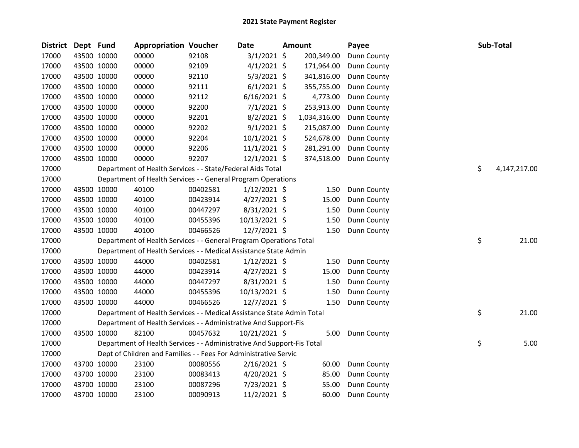| <b>District</b> | Dept Fund |             | <b>Appropriation Voucher</b>                                           |          | <b>Date</b>    | <b>Amount</b> | Payee       | Sub-Total          |
|-----------------|-----------|-------------|------------------------------------------------------------------------|----------|----------------|---------------|-------------|--------------------|
| 17000           |           | 43500 10000 | 00000                                                                  | 92108    | $3/1/2021$ \$  | 200,349.00    | Dunn County |                    |
| 17000           |           | 43500 10000 | 00000                                                                  | 92109    | $4/1/2021$ \$  | 171,964.00    | Dunn County |                    |
| 17000           |           | 43500 10000 | 00000                                                                  | 92110    | $5/3/2021$ \$  | 341,816.00    | Dunn County |                    |
| 17000           |           | 43500 10000 | 00000                                                                  | 92111    | $6/1/2021$ \$  | 355,755.00    | Dunn County |                    |
| 17000           |           | 43500 10000 | 00000                                                                  | 92112    | $6/16/2021$ \$ | 4,773.00      | Dunn County |                    |
| 17000           |           | 43500 10000 | 00000                                                                  | 92200    | $7/1/2021$ \$  | 253,913.00    | Dunn County |                    |
| 17000           |           | 43500 10000 | 00000                                                                  | 92201    | $8/2/2021$ \$  | 1,034,316.00  | Dunn County |                    |
| 17000           |           | 43500 10000 | 00000                                                                  | 92202    | $9/1/2021$ \$  | 215,087.00    | Dunn County |                    |
| 17000           |           | 43500 10000 | 00000                                                                  | 92204    | $10/1/2021$ \$ | 524,678.00    | Dunn County |                    |
| 17000           |           | 43500 10000 | 00000                                                                  | 92206    | $11/1/2021$ \$ | 281,291.00    | Dunn County |                    |
| 17000           |           | 43500 10000 | 00000                                                                  | 92207    | $12/1/2021$ \$ | 374,518.00    | Dunn County |                    |
| 17000           |           |             | Department of Health Services - - State/Federal Aids Total             |          |                |               |             | \$<br>4,147,217.00 |
| 17000           |           |             | Department of Health Services - - General Program Operations           |          |                |               |             |                    |
| 17000           |           | 43500 10000 | 40100                                                                  | 00402581 | $1/12/2021$ \$ | 1.50          | Dunn County |                    |
| 17000           |           | 43500 10000 | 40100                                                                  | 00423914 | $4/27/2021$ \$ | 15.00         | Dunn County |                    |
| 17000           |           | 43500 10000 | 40100                                                                  | 00447297 | $8/31/2021$ \$ | 1.50          | Dunn County |                    |
| 17000           |           | 43500 10000 | 40100                                                                  | 00455396 | 10/13/2021 \$  | 1.50          | Dunn County |                    |
| 17000           |           | 43500 10000 | 40100                                                                  | 00466526 | 12/7/2021 \$   | 1.50          | Dunn County |                    |
| 17000           |           |             | Department of Health Services - - General Program Operations Total     |          |                |               |             | \$<br>21.00        |
| 17000           |           |             | Department of Health Services - - Medical Assistance State Admin       |          |                |               |             |                    |
| 17000           |           | 43500 10000 | 44000                                                                  | 00402581 | $1/12/2021$ \$ | 1.50          | Dunn County |                    |
| 17000           |           | 43500 10000 | 44000                                                                  | 00423914 | $4/27/2021$ \$ | 15.00         | Dunn County |                    |
| 17000           |           | 43500 10000 | 44000                                                                  | 00447297 | $8/31/2021$ \$ | 1.50          | Dunn County |                    |
| 17000           |           | 43500 10000 | 44000                                                                  | 00455396 | 10/13/2021 \$  | 1.50          | Dunn County |                    |
| 17000           |           | 43500 10000 | 44000                                                                  | 00466526 | 12/7/2021 \$   | 1.50          | Dunn County |                    |
| 17000           |           |             | Department of Health Services - - Medical Assistance State Admin Total |          |                |               |             | \$<br>21.00        |
| 17000           |           |             | Department of Health Services - - Administrative And Support-Fis       |          |                |               |             |                    |
| 17000           |           | 43500 10000 | 82100                                                                  | 00457632 | 10/21/2021 \$  | 5.00          | Dunn County |                    |
| 17000           |           |             | Department of Health Services - - Administrative And Support-Fis Total |          |                |               |             | \$<br>5.00         |
| 17000           |           |             | Dept of Children and Families - - Fees For Administrative Servic       |          |                |               |             |                    |
| 17000           |           | 43700 10000 | 23100                                                                  | 00080556 | $2/16/2021$ \$ | 60.00         | Dunn County |                    |
| 17000           |           | 43700 10000 | 23100                                                                  | 00083413 | 4/20/2021 \$   | 85.00         | Dunn County |                    |
| 17000           |           | 43700 10000 | 23100                                                                  | 00087296 | 7/23/2021 \$   | 55.00         | Dunn County |                    |
| 17000           |           | 43700 10000 | 23100                                                                  | 00090913 | 11/2/2021 \$   | 60.00         | Dunn County |                    |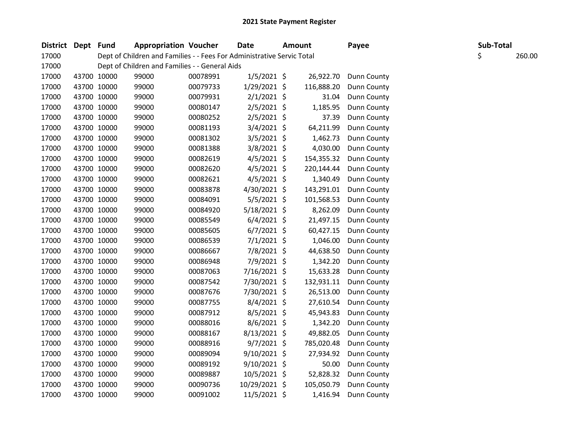| District Dept | Fund        | <b>Appropriation Voucher</b>                                           |          | <b>Date</b>    | <b>Amount</b> | Payee       | Sub-Total |        |
|---------------|-------------|------------------------------------------------------------------------|----------|----------------|---------------|-------------|-----------|--------|
| 17000         |             | Dept of Children and Families - - Fees For Administrative Servic Total |          |                |               |             | \$        | 260.00 |
| 17000         |             | Dept of Children and Families - - General Aids                         |          |                |               |             |           |        |
| 17000         | 43700 10000 | 99000                                                                  | 00078991 | $1/5/2021$ \$  | 26,922.70     | Dunn County |           |        |
| 17000         | 43700 10000 | 99000                                                                  | 00079733 | $1/29/2021$ \$ | 116,888.20    | Dunn County |           |        |
| 17000         | 43700 10000 | 99000                                                                  | 00079931 | $2/1/2021$ \$  | 31.04         | Dunn County |           |        |
| 17000         | 43700 10000 | 99000                                                                  | 00080147 | 2/5/2021 \$    | 1,185.95      | Dunn County |           |        |
| 17000         | 43700 10000 | 99000                                                                  | 00080252 | 2/5/2021 \$    | 37.39         | Dunn County |           |        |
| 17000         | 43700 10000 | 99000                                                                  | 00081193 | $3/4/2021$ \$  | 64,211.99     | Dunn County |           |        |
| 17000         | 43700 10000 | 99000                                                                  | 00081302 | 3/5/2021 \$    | 1,462.73      | Dunn County |           |        |
| 17000         | 43700 10000 | 99000                                                                  | 00081388 | 3/8/2021 \$    | 4,030.00      | Dunn County |           |        |
| 17000         | 43700 10000 | 99000                                                                  | 00082619 | $4/5/2021$ \$  | 154,355.32    | Dunn County |           |        |
| 17000         | 43700 10000 | 99000                                                                  | 00082620 | 4/5/2021 \$    | 220,144.44    | Dunn County |           |        |
| 17000         | 43700 10000 | 99000                                                                  | 00082621 | 4/5/2021 \$    | 1,340.49      | Dunn County |           |        |
| 17000         | 43700 10000 | 99000                                                                  | 00083878 | 4/30/2021 \$   | 143,291.01    | Dunn County |           |        |
| 17000         | 43700 10000 | 99000                                                                  | 00084091 | 5/5/2021 \$    | 101,568.53    | Dunn County |           |        |
| 17000         | 43700 10000 | 99000                                                                  | 00084920 | 5/18/2021 \$   | 8,262.09      | Dunn County |           |        |
| 17000         | 43700 10000 | 99000                                                                  | 00085549 | $6/4/2021$ \$  | 21,497.15     | Dunn County |           |        |
| 17000         | 43700 10000 | 99000                                                                  | 00085605 | $6/7/2021$ \$  | 60,427.15     | Dunn County |           |        |
| 17000         | 43700 10000 | 99000                                                                  | 00086539 | $7/1/2021$ \$  | 1,046.00      | Dunn County |           |        |
| 17000         | 43700 10000 | 99000                                                                  | 00086667 | 7/8/2021 \$    | 44,638.50     | Dunn County |           |        |
| 17000         | 43700 10000 | 99000                                                                  | 00086948 | 7/9/2021 \$    | 1,342.20      | Dunn County |           |        |
| 17000         | 43700 10000 | 99000                                                                  | 00087063 | 7/16/2021 \$   | 15,633.28     | Dunn County |           |        |
| 17000         | 43700 10000 | 99000                                                                  | 00087542 | 7/30/2021 \$   | 132,931.11    | Dunn County |           |        |
| 17000         | 43700 10000 | 99000                                                                  | 00087676 | 7/30/2021 \$   | 26,513.00     | Dunn County |           |        |
| 17000         | 43700 10000 | 99000                                                                  | 00087755 | 8/4/2021 \$    | 27,610.54     | Dunn County |           |        |
| 17000         | 43700 10000 | 99000                                                                  | 00087912 | 8/5/2021 \$    | 45,943.83     | Dunn County |           |        |
| 17000         | 43700 10000 | 99000                                                                  | 00088016 | 8/6/2021 \$    | 1,342.20      | Dunn County |           |        |
| 17000         | 43700 10000 | 99000                                                                  | 00088167 | 8/13/2021 \$   | 49,882.05     | Dunn County |           |        |
| 17000         | 43700 10000 | 99000                                                                  | 00088916 | $9/7/2021$ \$  | 785,020.48    | Dunn County |           |        |
| 17000         | 43700 10000 | 99000                                                                  | 00089094 | $9/10/2021$ \$ | 27,934.92     | Dunn County |           |        |
| 17000         | 43700 10000 | 99000                                                                  | 00089192 | $9/10/2021$ \$ | 50.00         | Dunn County |           |        |
| 17000         | 43700 10000 | 99000                                                                  | 00089887 | $10/5/2021$ \$ | 52,828.32     | Dunn County |           |        |
| 17000         | 43700 10000 | 99000                                                                  | 00090736 | 10/29/2021 \$  | 105,050.79    | Dunn County |           |        |
| 17000         | 43700 10000 | 99000                                                                  | 00091002 | 11/5/2021 \$   | 1,416.94      | Dunn County |           |        |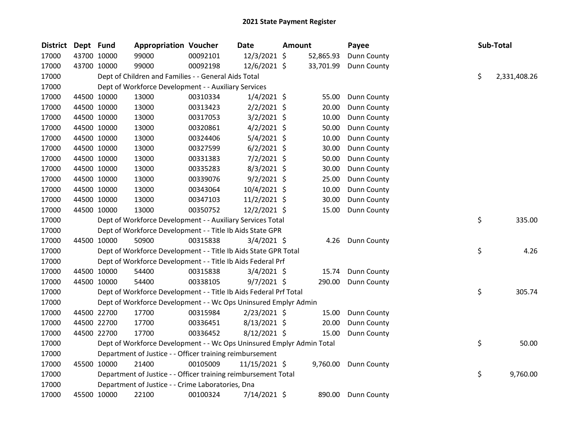| District | Dept Fund |             | <b>Appropriation Voucher</b>                                          |          | Date           | Amount |           | Payee              |    | Sub-Total    |
|----------|-----------|-------------|-----------------------------------------------------------------------|----------|----------------|--------|-----------|--------------------|----|--------------|
| 17000    |           | 43700 10000 | 99000                                                                 | 00092101 | 12/3/2021 \$   |        | 52,865.93 | Dunn County        |    |              |
| 17000    |           | 43700 10000 | 99000                                                                 | 00092198 | 12/6/2021 \$   |        | 33,701.99 | Dunn County        |    |              |
| 17000    |           |             | Dept of Children and Families - - General Aids Total                  |          |                |        |           |                    | \$ | 2,331,408.26 |
| 17000    |           |             | Dept of Workforce Development - - Auxiliary Services                  |          |                |        |           |                    |    |              |
| 17000    |           | 44500 10000 | 13000                                                                 | 00310334 | $1/4/2021$ \$  |        | 55.00     | <b>Dunn County</b> |    |              |
| 17000    |           | 44500 10000 | 13000                                                                 | 00313423 | $2/2/2021$ \$  |        | 20.00     | Dunn County        |    |              |
| 17000    |           | 44500 10000 | 13000                                                                 | 00317053 | $3/2/2021$ \$  |        | 10.00     | Dunn County        |    |              |
| 17000    |           | 44500 10000 | 13000                                                                 | 00320861 | $4/2/2021$ \$  |        | 50.00     | Dunn County        |    |              |
| 17000    |           | 44500 10000 | 13000                                                                 | 00324406 | $5/4/2021$ \$  |        | 10.00     | Dunn County        |    |              |
| 17000    |           | 44500 10000 | 13000                                                                 | 00327599 | $6/2/2021$ \$  |        | 30.00     | Dunn County        |    |              |
| 17000    |           | 44500 10000 | 13000                                                                 | 00331383 | 7/2/2021 \$    |        | 50.00     | Dunn County        |    |              |
| 17000    |           | 44500 10000 | 13000                                                                 | 00335283 | 8/3/2021 \$    |        | 30.00     | <b>Dunn County</b> |    |              |
| 17000    |           | 44500 10000 | 13000                                                                 | 00339076 | $9/2/2021$ \$  |        | 25.00     | Dunn County        |    |              |
| 17000    |           | 44500 10000 | 13000                                                                 | 00343064 | 10/4/2021 \$   |        | 10.00     | Dunn County        |    |              |
| 17000    |           | 44500 10000 | 13000                                                                 | 00347103 | 11/2/2021 \$   |        | 30.00     | Dunn County        |    |              |
| 17000    |           | 44500 10000 | 13000                                                                 | 00350752 | 12/2/2021 \$   |        | 15.00     | <b>Dunn County</b> |    |              |
| 17000    |           |             | Dept of Workforce Development - - Auxiliary Services Total            |          |                |        |           |                    | \$ | 335.00       |
| 17000    |           |             | Dept of Workforce Development - - Title Ib Aids State GPR             |          |                |        |           |                    |    |              |
| 17000    |           | 44500 10000 | 50900                                                                 | 00315838 | $3/4/2021$ \$  |        | 4.26      | Dunn County        |    |              |
| 17000    |           |             | Dept of Workforce Development - - Title Ib Aids State GPR Total       |          |                |        |           |                    | \$ | 4.26         |
| 17000    |           |             | Dept of Workforce Development - - Title Ib Aids Federal Prf           |          |                |        |           |                    |    |              |
| 17000    |           | 44500 10000 | 54400                                                                 | 00315838 | $3/4/2021$ \$  |        | 15.74     | Dunn County        |    |              |
| 17000    |           | 44500 10000 | 54400                                                                 | 00338105 | $9/7/2021$ \$  |        | 290.00    | Dunn County        |    |              |
| 17000    |           |             | Dept of Workforce Development - - Title Ib Aids Federal Prf Total     |          |                |        |           |                    | \$ | 305.74       |
| 17000    |           |             | Dept of Workforce Development - - Wc Ops Uninsured Emplyr Admin       |          |                |        |           |                    |    |              |
| 17000    |           | 44500 22700 | 17700                                                                 | 00315984 | $2/23/2021$ \$ |        | 15.00     | <b>Dunn County</b> |    |              |
| 17000    |           | 44500 22700 | 17700                                                                 | 00336451 | $8/13/2021$ \$ |        | 20.00     | Dunn County        |    |              |
| 17000    |           | 44500 22700 | 17700                                                                 | 00336452 | 8/12/2021 \$   |        | 15.00     | Dunn County        |    |              |
| 17000    |           |             | Dept of Workforce Development - - Wc Ops Uninsured Emplyr Admin Total |          |                |        |           |                    | \$ | 50.00        |
| 17000    |           |             | Department of Justice - - Officer training reimbursement              |          |                |        |           |                    |    |              |
| 17000    |           | 45500 10000 | 21400                                                                 | 00105009 | 11/15/2021 \$  |        | 9,760.00  | Dunn County        |    |              |
| 17000    |           |             | Department of Justice - - Officer training reimbursement Total        |          |                |        |           |                    | \$ | 9,760.00     |
| 17000    |           |             | Department of Justice - - Crime Laboratories, Dna                     |          |                |        |           |                    |    |              |
| 17000    |           | 45500 10000 | 22100                                                                 | 00100324 | 7/14/2021 \$   |        | 890.00    | Dunn County        |    |              |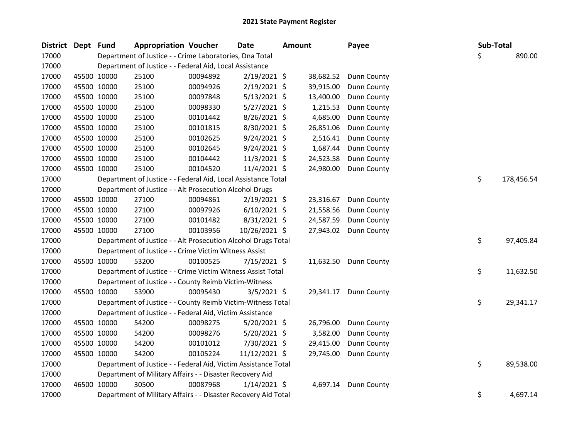| <b>District</b> | Dept | Fund        | <b>Appropriation Voucher</b>                                   |          | Date           | <b>Amount</b> |           | Payee       |  | Sub-Total |            |
|-----------------|------|-------------|----------------------------------------------------------------|----------|----------------|---------------|-----------|-------------|--|-----------|------------|
| 17000           |      |             | Department of Justice - - Crime Laboratories, Dna Total        |          |                |               |           |             |  | \$        | 890.00     |
| 17000           |      |             | Department of Justice - - Federal Aid, Local Assistance        |          |                |               |           |             |  |           |            |
| 17000           |      | 45500 10000 | 25100                                                          | 00094892 | 2/19/2021 \$   |               | 38,682.52 | Dunn County |  |           |            |
| 17000           |      | 45500 10000 | 25100                                                          | 00094926 | $2/19/2021$ \$ |               | 39,915.00 | Dunn County |  |           |            |
| 17000           |      | 45500 10000 | 25100                                                          | 00097848 | $5/13/2021$ \$ |               | 13,400.00 | Dunn County |  |           |            |
| 17000           |      | 45500 10000 | 25100                                                          | 00098330 | $5/27/2021$ \$ |               | 1,215.53  | Dunn County |  |           |            |
| 17000           |      | 45500 10000 | 25100                                                          | 00101442 | 8/26/2021 \$   |               | 4,685.00  | Dunn County |  |           |            |
| 17000           |      | 45500 10000 | 25100                                                          | 00101815 | 8/30/2021 \$   |               | 26,851.06 | Dunn County |  |           |            |
| 17000           |      | 45500 10000 | 25100                                                          | 00102625 | 9/24/2021 \$   |               | 2,516.41  | Dunn County |  |           |            |
| 17000           |      | 45500 10000 | 25100                                                          | 00102645 | 9/24/2021 \$   |               | 1,687.44  | Dunn County |  |           |            |
| 17000           |      | 45500 10000 | 25100                                                          | 00104442 | $11/3/2021$ \$ |               | 24,523.58 | Dunn County |  |           |            |
| 17000           |      | 45500 10000 | 25100                                                          | 00104520 | 11/4/2021 \$   |               | 24,980.00 | Dunn County |  |           |            |
| 17000           |      |             | Department of Justice - - Federal Aid, Local Assistance Total  |          |                |               |           |             |  | \$        | 178,456.54 |
| 17000           |      |             | Department of Justice - - Alt Prosecution Alcohol Drugs        |          |                |               |           |             |  |           |            |
| 17000           |      | 45500 10000 | 27100                                                          | 00094861 | $2/19/2021$ \$ |               | 23,316.67 | Dunn County |  |           |            |
| 17000           |      | 45500 10000 | 27100                                                          | 00097926 | $6/10/2021$ \$ |               | 21,558.56 | Dunn County |  |           |            |
| 17000           |      | 45500 10000 | 27100                                                          | 00101482 | 8/31/2021 \$   |               | 24,587.59 | Dunn County |  |           |            |
| 17000           |      | 45500 10000 | 27100                                                          | 00103956 | 10/26/2021 \$  |               | 27,943.02 | Dunn County |  |           |            |
| 17000           |      |             | Department of Justice - - Alt Prosecution Alcohol Drugs Total  |          |                |               |           |             |  | \$        | 97,405.84  |
| 17000           |      |             | Department of Justice - - Crime Victim Witness Assist          |          |                |               |           |             |  |           |            |
| 17000           |      | 45500 10000 | 53200                                                          | 00100525 | 7/15/2021 \$   |               | 11,632.50 | Dunn County |  |           |            |
| 17000           |      |             | Department of Justice - - Crime Victim Witness Assist Total    |          |                |               |           |             |  | \$        | 11,632.50  |
| 17000           |      |             | Department of Justice - - County Reimb Victim-Witness          |          |                |               |           |             |  |           |            |
| 17000           |      | 45500 10000 | 53900                                                          | 00095430 | $3/5/2021$ \$  |               | 29,341.17 | Dunn County |  |           |            |
| 17000           |      |             | Department of Justice - - County Reimb Victim-Witness Total    |          |                |               |           |             |  | \$        | 29,341.17  |
| 17000           |      |             | Department of Justice - - Federal Aid, Victim Assistance       |          |                |               |           |             |  |           |            |
| 17000           |      | 45500 10000 | 54200                                                          | 00098275 | $5/20/2021$ \$ |               | 26,796.00 | Dunn County |  |           |            |
| 17000           |      | 45500 10000 | 54200                                                          | 00098276 | $5/20/2021$ \$ |               | 3,582.00  | Dunn County |  |           |            |
| 17000           |      | 45500 10000 | 54200                                                          | 00101012 | 7/30/2021 \$   |               | 29,415.00 | Dunn County |  |           |            |
| 17000           |      | 45500 10000 | 54200                                                          | 00105224 | 11/12/2021 \$  |               | 29,745.00 | Dunn County |  |           |            |
| 17000           |      |             | Department of Justice - - Federal Aid, Victim Assistance Total |          |                |               |           |             |  | \$        | 89,538.00  |
| 17000           |      |             | Department of Military Affairs - - Disaster Recovery Aid       |          |                |               |           |             |  |           |            |
| 17000           |      | 46500 10000 | 30500                                                          | 00087968 | $1/14/2021$ \$ |               | 4,697.14  | Dunn County |  |           |            |
| 17000           |      |             | Department of Military Affairs - - Disaster Recovery Aid Total |          |                |               |           |             |  | \$        | 4,697.14   |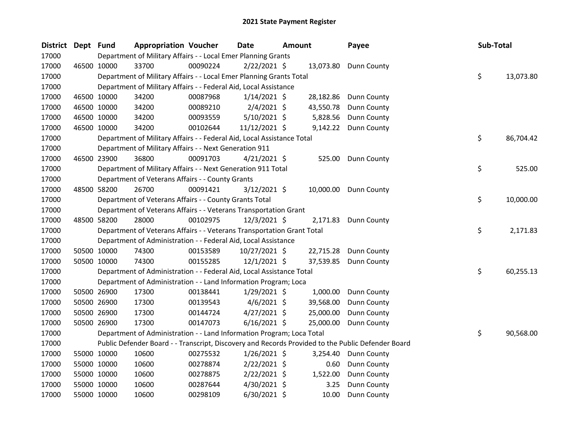| District Dept Fund |             | <b>Appropriation Voucher</b>                                           |          | Date           | Amount |           | Payee                                                                                             | Sub-Total |           |
|--------------------|-------------|------------------------------------------------------------------------|----------|----------------|--------|-----------|---------------------------------------------------------------------------------------------------|-----------|-----------|
| 17000              |             | Department of Military Affairs - - Local Emer Planning Grants          |          |                |        |           |                                                                                                   |           |           |
| 17000              | 46500 10000 | 33700                                                                  | 00090224 | $2/22/2021$ \$ |        |           | 13,073.80 Dunn County                                                                             |           |           |
| 17000              |             | Department of Military Affairs - - Local Emer Planning Grants Total    |          |                |        |           |                                                                                                   | \$        | 13,073.80 |
| 17000              |             | Department of Military Affairs - - Federal Aid, Local Assistance       |          |                |        |           |                                                                                                   |           |           |
| 17000              | 46500 10000 | 34200                                                                  | 00087968 | $1/14/2021$ \$ |        |           | 28,182.86 Dunn County                                                                             |           |           |
| 17000              | 46500 10000 | 34200                                                                  | 00089210 | $2/4/2021$ \$  |        | 43,550.78 | Dunn County                                                                                       |           |           |
| 17000              | 46500 10000 | 34200                                                                  | 00093559 | $5/10/2021$ \$ |        | 5,828.56  | Dunn County                                                                                       |           |           |
| 17000              | 46500 10000 | 34200                                                                  | 00102644 | 11/12/2021 \$  |        |           | 9,142.22 Dunn County                                                                              |           |           |
| 17000              |             | Department of Military Affairs - - Federal Aid, Local Assistance Total |          |                |        |           |                                                                                                   | \$        | 86,704.42 |
| 17000              |             | Department of Military Affairs - - Next Generation 911                 |          |                |        |           |                                                                                                   |           |           |
| 17000              | 46500 23900 | 36800                                                                  | 00091703 | $4/21/2021$ \$ |        | 525.00    | Dunn County                                                                                       |           |           |
| 17000              |             | Department of Military Affairs - - Next Generation 911 Total           |          |                |        |           |                                                                                                   | \$        | 525.00    |
| 17000              |             | Department of Veterans Affairs - - County Grants                       |          |                |        |           |                                                                                                   |           |           |
| 17000              | 48500 58200 | 26700                                                                  | 00091421 | $3/12/2021$ \$ |        |           | 10,000.00 Dunn County                                                                             |           |           |
| 17000              |             | Department of Veterans Affairs - - County Grants Total                 |          |                |        |           |                                                                                                   | \$        | 10,000.00 |
| 17000              |             | Department of Veterans Affairs - - Veterans Transportation Grant       |          |                |        |           |                                                                                                   |           |           |
| 17000              | 48500 58200 | 28000                                                                  | 00102975 | $12/3/2021$ \$ |        |           | 2,171.83 Dunn County                                                                              |           |           |
| 17000              |             | Department of Veterans Affairs - - Veterans Transportation Grant Total |          |                |        |           |                                                                                                   | \$        | 2,171.83  |
| 17000              |             | Department of Administration - - Federal Aid, Local Assistance         |          |                |        |           |                                                                                                   |           |           |
| 17000              | 50500 10000 | 74300                                                                  | 00153589 | 10/27/2021 \$  |        |           | 22,715.28 Dunn County                                                                             |           |           |
| 17000              | 50500 10000 | 74300                                                                  | 00155285 | $12/1/2021$ \$ |        | 37,539.85 | Dunn County                                                                                       |           |           |
| 17000              |             | Department of Administration - - Federal Aid, Local Assistance Total   |          |                |        |           |                                                                                                   | \$        | 60,255.13 |
| 17000              |             | Department of Administration - - Land Information Program; Loca        |          |                |        |           |                                                                                                   |           |           |
| 17000              | 50500 26900 | 17300                                                                  | 00138441 | $1/29/2021$ \$ |        | 1,000.00  | Dunn County                                                                                       |           |           |
| 17000              | 50500 26900 | 17300                                                                  | 00139543 | $4/6/2021$ \$  |        | 39,568.00 | <b>Dunn County</b>                                                                                |           |           |
| 17000              | 50500 26900 | 17300                                                                  | 00144724 | $4/27/2021$ \$ |        | 25,000.00 | <b>Dunn County</b>                                                                                |           |           |
| 17000              | 50500 26900 | 17300                                                                  | 00147073 | $6/16/2021$ \$ |        | 25,000.00 | Dunn County                                                                                       |           |           |
| 17000              |             | Department of Administration - - Land Information Program; Loca Total  |          |                |        |           |                                                                                                   | \$        | 90,568.00 |
| 17000              |             |                                                                        |          |                |        |           | Public Defender Board - - Transcript, Discovery and Records Provided to the Public Defender Board |           |           |
| 17000              | 55000 10000 | 10600                                                                  | 00275532 | $1/26/2021$ \$ |        | 3,254.40  | <b>Dunn County</b>                                                                                |           |           |
| 17000              | 55000 10000 | 10600                                                                  | 00278874 | $2/22/2021$ \$ |        | 0.60      | Dunn County                                                                                       |           |           |
| 17000              | 55000 10000 | 10600                                                                  | 00278875 | $2/22/2021$ \$ |        | 1,522.00  | Dunn County                                                                                       |           |           |
| 17000              | 55000 10000 | 10600                                                                  | 00287644 | $4/30/2021$ \$ |        | 3.25      | Dunn County                                                                                       |           |           |
| 17000              | 55000 10000 | 10600                                                                  | 00298109 | 6/30/2021 \$   |        | 10.00     | Dunn County                                                                                       |           |           |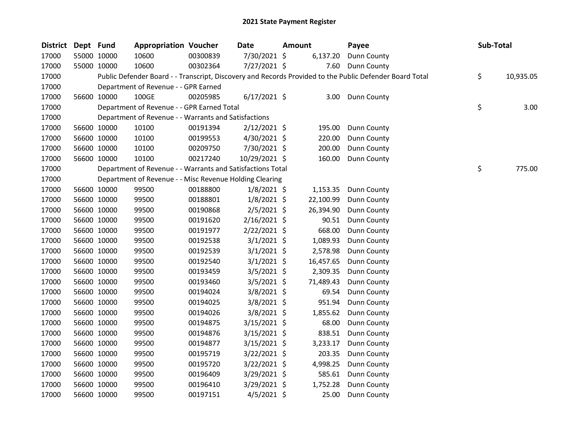| <b>District</b> | Dept Fund |             | <b>Appropriation Voucher</b>                               |          | <b>Date</b>    | <b>Amount</b> | Payee                                                                                                   | Sub-Total       |
|-----------------|-----------|-------------|------------------------------------------------------------|----------|----------------|---------------|---------------------------------------------------------------------------------------------------------|-----------------|
| 17000           |           | 55000 10000 | 10600                                                      | 00300839 | 7/30/2021 \$   | 6,137.20      | Dunn County                                                                                             |                 |
| 17000           |           | 55000 10000 | 10600                                                      | 00302364 | 7/27/2021 \$   | 7.60          | Dunn County                                                                                             |                 |
| 17000           |           |             |                                                            |          |                |               | Public Defender Board - - Transcript, Discovery and Records Provided to the Public Defender Board Total | \$<br>10,935.05 |
| 17000           |           |             | Department of Revenue - - GPR Earned                       |          |                |               |                                                                                                         |                 |
| 17000           |           | 56600 10000 | 100GE                                                      | 00205985 | $6/17/2021$ \$ | 3.00          | Dunn County                                                                                             |                 |
| 17000           |           |             | Department of Revenue - - GPR Earned Total                 |          |                |               |                                                                                                         | \$<br>3.00      |
| 17000           |           |             | Department of Revenue - - Warrants and Satisfactions       |          |                |               |                                                                                                         |                 |
| 17000           |           | 56600 10000 | 10100                                                      | 00191394 | $2/12/2021$ \$ | 195.00        | Dunn County                                                                                             |                 |
| 17000           |           | 56600 10000 | 10100                                                      | 00199553 | $4/30/2021$ \$ | 220.00        | Dunn County                                                                                             |                 |
| 17000           |           | 56600 10000 | 10100                                                      | 00209750 | 7/30/2021 \$   | 200.00        | Dunn County                                                                                             |                 |
| 17000           |           | 56600 10000 | 10100                                                      | 00217240 | 10/29/2021 \$  | 160.00        | Dunn County                                                                                             |                 |
| 17000           |           |             | Department of Revenue - - Warrants and Satisfactions Total |          |                |               |                                                                                                         | \$<br>775.00    |
| 17000           |           |             | Department of Revenue - - Misc Revenue Holding Clearing    |          |                |               |                                                                                                         |                 |
| 17000           |           | 56600 10000 | 99500                                                      | 00188800 | $1/8/2021$ \$  | 1,153.35      | Dunn County                                                                                             |                 |
| 17000           |           | 56600 10000 | 99500                                                      | 00188801 | $1/8/2021$ \$  | 22,100.99     | Dunn County                                                                                             |                 |
| 17000           |           | 56600 10000 | 99500                                                      | 00190868 | 2/5/2021 \$    | 26,394.90     | Dunn County                                                                                             |                 |
| 17000           |           | 56600 10000 | 99500                                                      | 00191620 | $2/16/2021$ \$ | 90.51         | Dunn County                                                                                             |                 |
| 17000           |           | 56600 10000 | 99500                                                      | 00191977 | $2/22/2021$ \$ | 668.00        | Dunn County                                                                                             |                 |
| 17000           |           | 56600 10000 | 99500                                                      | 00192538 | $3/1/2021$ \$  | 1,089.93      | Dunn County                                                                                             |                 |
| 17000           |           | 56600 10000 | 99500                                                      | 00192539 | $3/1/2021$ \$  | 2,578.98      | Dunn County                                                                                             |                 |
| 17000           |           | 56600 10000 | 99500                                                      | 00192540 | $3/1/2021$ \$  | 16,457.65     | Dunn County                                                                                             |                 |
| 17000           |           | 56600 10000 | 99500                                                      | 00193459 | 3/5/2021 \$    | 2,309.35      | Dunn County                                                                                             |                 |
| 17000           |           | 56600 10000 | 99500                                                      | 00193460 | 3/5/2021 \$    | 71,489.43     | Dunn County                                                                                             |                 |
| 17000           |           | 56600 10000 | 99500                                                      | 00194024 | 3/8/2021 \$    | 69.54         | Dunn County                                                                                             |                 |
| 17000           |           | 56600 10000 | 99500                                                      | 00194025 | 3/8/2021 \$    | 951.94        | Dunn County                                                                                             |                 |
| 17000           |           | 56600 10000 | 99500                                                      | 00194026 | 3/8/2021 \$    | 1,855.62      | Dunn County                                                                                             |                 |
| 17000           |           | 56600 10000 | 99500                                                      | 00194875 | 3/15/2021 \$   | 68.00         | Dunn County                                                                                             |                 |
| 17000           |           | 56600 10000 | 99500                                                      | 00194876 | 3/15/2021 \$   | 838.51        | Dunn County                                                                                             |                 |
| 17000           |           | 56600 10000 | 99500                                                      | 00194877 | $3/15/2021$ \$ | 3,233.17      | Dunn County                                                                                             |                 |
| 17000           |           | 56600 10000 | 99500                                                      | 00195719 | 3/22/2021 \$   | 203.35        | Dunn County                                                                                             |                 |
| 17000           |           | 56600 10000 | 99500                                                      | 00195720 | 3/22/2021 \$   | 4,998.25      | Dunn County                                                                                             |                 |
| 17000           |           | 56600 10000 | 99500                                                      | 00196409 | $3/29/2021$ \$ | 585.61        | Dunn County                                                                                             |                 |
| 17000           |           | 56600 10000 | 99500                                                      | 00196410 | 3/29/2021 \$   | 1,752.28      | Dunn County                                                                                             |                 |
| 17000           |           | 56600 10000 | 99500                                                      | 00197151 | $4/5/2021$ \$  | 25.00         | Dunn County                                                                                             |                 |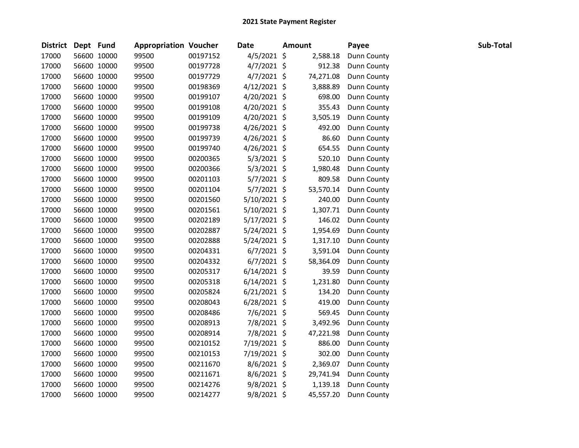| District Dept Fund |             | <b>Appropriation Voucher</b> |          | Date           | <b>Amount</b> | Payee       | Sub-Total |
|--------------------|-------------|------------------------------|----------|----------------|---------------|-------------|-----------|
| 17000              | 56600 10000 | 99500                        | 00197152 | $4/5/2021$ \$  | 2,588.18      | Dunn County |           |
| 17000              | 56600 10000 | 99500                        | 00197728 | $4/7/2021$ \$  | 912.38        | Dunn County |           |
| 17000              | 56600 10000 | 99500                        | 00197729 | $4/7/2021$ \$  | 74,271.08     | Dunn County |           |
| 17000              | 56600 10000 | 99500                        | 00198369 | $4/12/2021$ \$ | 3,888.89      | Dunn County |           |
| 17000              | 56600 10000 | 99500                        | 00199107 | $4/20/2021$ \$ | 698.00        | Dunn County |           |
| 17000              | 56600 10000 | 99500                        | 00199108 | 4/20/2021 \$   | 355.43        | Dunn County |           |
| 17000              | 56600 10000 | 99500                        | 00199109 | $4/20/2021$ \$ | 3,505.19      | Dunn County |           |
| 17000              | 56600 10000 | 99500                        | 00199738 | $4/26/2021$ \$ | 492.00        | Dunn County |           |
| 17000              | 56600 10000 | 99500                        | 00199739 | 4/26/2021 \$   | 86.60         | Dunn County |           |
| 17000              | 56600 10000 | 99500                        | 00199740 | 4/26/2021 \$   | 654.55        | Dunn County |           |
| 17000              | 56600 10000 | 99500                        | 00200365 | $5/3/2021$ \$  | 520.10        | Dunn County |           |
| 17000              | 56600 10000 | 99500                        | 00200366 | $5/3/2021$ \$  | 1,980.48      | Dunn County |           |
| 17000              | 56600 10000 | 99500                        | 00201103 | $5/7/2021$ \$  | 809.58        | Dunn County |           |
| 17000              | 56600 10000 | 99500                        | 00201104 | $5/7/2021$ \$  | 53,570.14     | Dunn County |           |
| 17000              | 56600 10000 | 99500                        | 00201560 | $5/10/2021$ \$ | 240.00        | Dunn County |           |
| 17000              | 56600 10000 | 99500                        | 00201561 | 5/10/2021 \$   | 1,307.71      | Dunn County |           |
| 17000              | 56600 10000 | 99500                        | 00202189 | $5/17/2021$ \$ | 146.02        | Dunn County |           |
| 17000              | 56600 10000 | 99500                        | 00202887 | $5/24/2021$ \$ | 1,954.69      | Dunn County |           |
| 17000              | 56600 10000 | 99500                        | 00202888 | $5/24/2021$ \$ | 1,317.10      | Dunn County |           |
| 17000              | 56600 10000 | 99500                        | 00204331 | $6/7/2021$ \$  | 3,591.04      | Dunn County |           |
| 17000              | 56600 10000 | 99500                        | 00204332 | $6/7/2021$ \$  | 58,364.09     | Dunn County |           |
| 17000              | 56600 10000 | 99500                        | 00205317 | $6/14/2021$ \$ | 39.59         | Dunn County |           |
| 17000              | 56600 10000 | 99500                        | 00205318 | $6/14/2021$ \$ | 1,231.80      | Dunn County |           |
| 17000              | 56600 10000 | 99500                        | 00205824 | $6/21/2021$ \$ | 134.20        | Dunn County |           |
| 17000              | 56600 10000 | 99500                        | 00208043 | $6/28/2021$ \$ | 419.00        | Dunn County |           |
| 17000              | 56600 10000 | 99500                        | 00208486 | 7/6/2021 \$    | 569.45        | Dunn County |           |
| 17000              | 56600 10000 | 99500                        | 00208913 | 7/8/2021 \$    | 3,492.96      | Dunn County |           |
| 17000              | 56600 10000 | 99500                        | 00208914 | 7/8/2021 \$    | 47,221.98     | Dunn County |           |
| 17000              | 56600 10000 | 99500                        | 00210152 | 7/19/2021 \$   | 886.00        | Dunn County |           |
| 17000              | 56600 10000 | 99500                        | 00210153 | 7/19/2021 \$   | 302.00        | Dunn County |           |
| 17000              | 56600 10000 | 99500                        | 00211670 | 8/6/2021 \$    | 2,369.07      | Dunn County |           |
| 17000              | 56600 10000 | 99500                        | 00211671 | 8/6/2021 \$    | 29,741.94     | Dunn County |           |
| 17000              | 56600 10000 | 99500                        | 00214276 | $9/8/2021$ \$  | 1,139.18      | Dunn County |           |
| 17000              | 56600 10000 | 99500                        | 00214277 | 9/8/2021 \$    | 45,557.20     | Dunn County |           |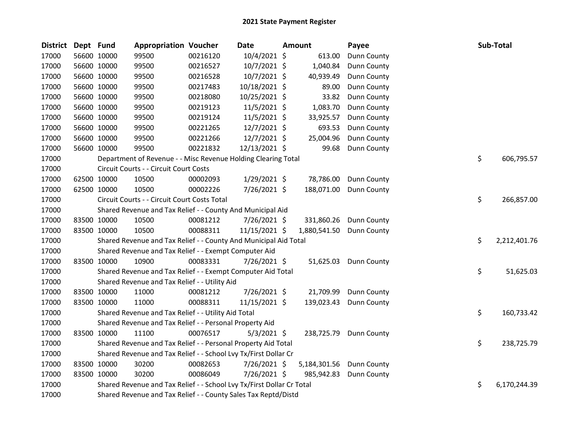| <b>District</b> | Dept Fund |             | <b>Appropriation Voucher</b>                                          |          | <b>Date</b>    | Amount       | Payee       | Sub-Total          |  |
|-----------------|-----------|-------------|-----------------------------------------------------------------------|----------|----------------|--------------|-------------|--------------------|--|
| 17000           |           | 56600 10000 | 99500                                                                 | 00216120 | 10/4/2021 \$   | 613.00       | Dunn County |                    |  |
| 17000           |           | 56600 10000 | 99500                                                                 | 00216527 | 10/7/2021 \$   | 1,040.84     | Dunn County |                    |  |
| 17000           |           | 56600 10000 | 99500                                                                 | 00216528 | 10/7/2021 \$   | 40,939.49    | Dunn County |                    |  |
| 17000           |           | 56600 10000 | 99500                                                                 | 00217483 | 10/18/2021 \$  | 89.00        | Dunn County |                    |  |
| 17000           |           | 56600 10000 | 99500                                                                 | 00218080 | 10/25/2021 \$  | 33.82        | Dunn County |                    |  |
| 17000           |           | 56600 10000 | 99500                                                                 | 00219123 | 11/5/2021 \$   | 1,083.70     | Dunn County |                    |  |
| 17000           |           | 56600 10000 | 99500                                                                 | 00219124 | 11/5/2021 \$   | 33,925.57    | Dunn County |                    |  |
| 17000           |           | 56600 10000 | 99500                                                                 | 00221265 | 12/7/2021 \$   | 693.53       | Dunn County |                    |  |
| 17000           |           | 56600 10000 | 99500                                                                 | 00221266 | 12/7/2021 \$   | 25,004.96    | Dunn County |                    |  |
| 17000           |           | 56600 10000 | 99500                                                                 | 00221832 | 12/13/2021 \$  | 99.68        | Dunn County |                    |  |
| 17000           |           |             | Department of Revenue - - Misc Revenue Holding Clearing Total         |          |                |              |             | \$<br>606,795.57   |  |
| 17000           |           |             | Circuit Courts - - Circuit Court Costs                                |          |                |              |             |                    |  |
| 17000           |           | 62500 10000 | 10500                                                                 | 00002093 | $1/29/2021$ \$ | 78,786.00    | Dunn County |                    |  |
| 17000           |           | 62500 10000 | 10500                                                                 | 00002226 | 7/26/2021 \$   | 188,071.00   | Dunn County |                    |  |
| 17000           |           |             | Circuit Courts - - Circuit Court Costs Total                          |          |                |              |             | \$<br>266,857.00   |  |
| 17000           |           |             | Shared Revenue and Tax Relief - - County And Municipal Aid            |          |                |              |             |                    |  |
| 17000           |           | 83500 10000 | 10500                                                                 | 00081212 | 7/26/2021 \$   | 331,860.26   | Dunn County |                    |  |
| 17000           |           | 83500 10000 | 10500                                                                 | 00088311 | 11/15/2021 \$  | 1,880,541.50 | Dunn County |                    |  |
| 17000           |           |             | Shared Revenue and Tax Relief - - County And Municipal Aid Total      |          |                |              |             | \$<br>2,212,401.76 |  |
| 17000           |           |             | Shared Revenue and Tax Relief - - Exempt Computer Aid                 |          |                |              |             |                    |  |
| 17000           |           | 83500 10000 | 10900                                                                 | 00083331 | 7/26/2021 \$   | 51,625.03    | Dunn County |                    |  |
| 17000           |           |             | Shared Revenue and Tax Relief - - Exempt Computer Aid Total           |          |                |              |             | \$<br>51,625.03    |  |
| 17000           |           |             | Shared Revenue and Tax Relief - - Utility Aid                         |          |                |              |             |                    |  |
| 17000           |           | 83500 10000 | 11000                                                                 | 00081212 | 7/26/2021 \$   | 21,709.99    | Dunn County |                    |  |
| 17000           |           | 83500 10000 | 11000                                                                 | 00088311 | 11/15/2021 \$  | 139,023.43   | Dunn County |                    |  |
| 17000           |           |             | Shared Revenue and Tax Relief - - Utility Aid Total                   |          |                |              |             | \$<br>160,733.42   |  |
| 17000           |           |             | Shared Revenue and Tax Relief - - Personal Property Aid               |          |                |              |             |                    |  |
| 17000           |           | 83500 10000 | 11100                                                                 | 00076517 | $5/3/2021$ \$  | 238,725.79   | Dunn County |                    |  |
| 17000           |           |             | Shared Revenue and Tax Relief - - Personal Property Aid Total         |          |                |              |             | \$<br>238,725.79   |  |
| 17000           |           |             | Shared Revenue and Tax Relief - - School Lvy Tx/First Dollar Cr       |          |                |              |             |                    |  |
| 17000           |           | 83500 10000 | 30200                                                                 | 00082653 | 7/26/2021 \$   | 5,184,301.56 | Dunn County |                    |  |
| 17000           |           | 83500 10000 | 30200                                                                 | 00086049 | 7/26/2021 \$   | 985,942.83   | Dunn County |                    |  |
| 17000           |           |             | Shared Revenue and Tax Relief - - School Lvy Tx/First Dollar Cr Total |          |                |              |             | \$<br>6,170,244.39 |  |
| 17000           |           |             | Shared Revenue and Tax Relief - - County Sales Tax Reptd/Distd        |          |                |              |             |                    |  |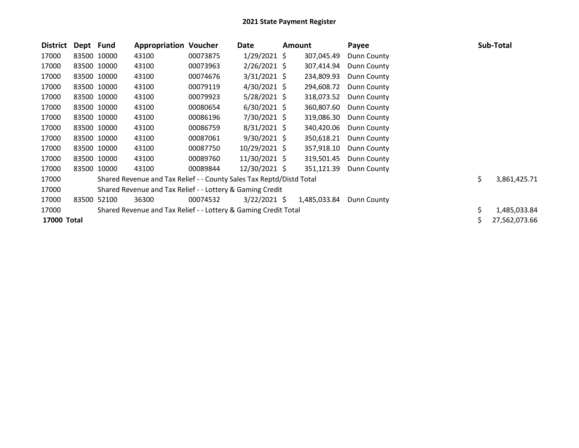| <b>District</b> | Dept Fund |             | <b>Appropriation Voucher</b>                                         |          | Date           | <b>Amount</b> | Payee       |    | Sub-Total     |
|-----------------|-----------|-------------|----------------------------------------------------------------------|----------|----------------|---------------|-------------|----|---------------|
| 17000           |           | 83500 10000 | 43100                                                                | 00073875 | $1/29/2021$ \$ | 307,045.49    | Dunn County |    |               |
| 17000           |           | 83500 10000 | 43100                                                                | 00073963 | $2/26/2021$ \$ | 307,414.94    | Dunn County |    |               |
| 17000           |           | 83500 10000 | 43100                                                                | 00074676 | $3/31/2021$ \$ | 234,809.93    | Dunn County |    |               |
| 17000           |           | 83500 10000 | 43100                                                                | 00079119 | 4/30/2021 \$   | 294,608.72    | Dunn County |    |               |
| 17000           |           | 83500 10000 | 43100                                                                | 00079923 | 5/28/2021 \$   | 318,073.52    | Dunn County |    |               |
| 17000           |           | 83500 10000 | 43100                                                                | 00080654 | $6/30/2021$ \$ | 360,807.60    | Dunn County |    |               |
| 17000           |           | 83500 10000 | 43100                                                                | 00086196 | 7/30/2021 \$   | 319,086.30    | Dunn County |    |               |
| 17000           |           | 83500 10000 | 43100                                                                | 00086759 | $8/31/2021$ \$ | 340,420.06    | Dunn County |    |               |
| 17000           |           | 83500 10000 | 43100                                                                | 00087061 | $9/30/2021$ \$ | 350,618.21    | Dunn County |    |               |
| 17000           |           | 83500 10000 | 43100                                                                | 00087750 | 10/29/2021 \$  | 357,918.10    | Dunn County |    |               |
| 17000           |           | 83500 10000 | 43100                                                                | 00089760 | 11/30/2021 \$  | 319,501.45    | Dunn County |    |               |
| 17000           |           | 83500 10000 | 43100                                                                | 00089844 | 12/30/2021 \$  | 351,121.39    | Dunn County |    |               |
| 17000           |           |             | Shared Revenue and Tax Relief - - County Sales Tax Reptd/Distd Total |          |                |               |             | \$ | 3,861,425.71  |
| 17000           |           |             | Shared Revenue and Tax Relief - - Lottery & Gaming Credit            |          |                |               |             |    |               |
| 17000           |           | 83500 52100 | 36300                                                                | 00074532 | $3/22/2021$ \$ | 1,485,033.84  | Dunn County |    |               |
| 17000           |           |             | Shared Revenue and Tax Relief - - Lottery & Gaming Credit Total      |          |                |               |             | Ś. | 1,485,033.84  |
| 17000 Total     |           |             |                                                                      |          |                |               |             |    | 27,562,073.66 |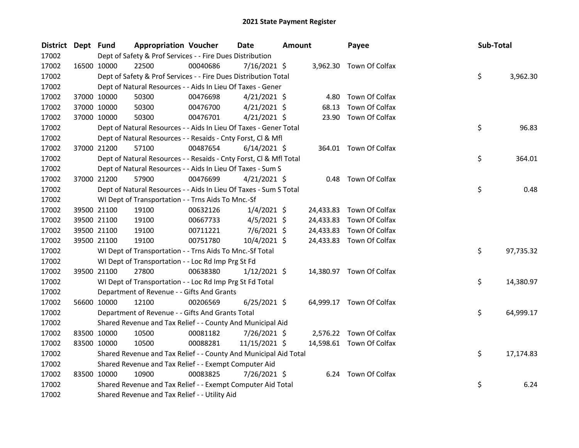| District Dept Fund |             | <b>Appropriation Voucher</b>                                       |          | <b>Date</b>    | <b>Amount</b> |           | Payee                    | Sub-Total |           |
|--------------------|-------------|--------------------------------------------------------------------|----------|----------------|---------------|-----------|--------------------------|-----------|-----------|
| 17002              |             | Dept of Safety & Prof Services - - Fire Dues Distribution          |          |                |               |           |                          |           |           |
| 17002              | 16500 10000 | 22500                                                              | 00040686 | $7/16/2021$ \$ |               |           | 3,962.30 Town Of Colfax  |           |           |
| 17002              |             | Dept of Safety & Prof Services - - Fire Dues Distribution Total    |          |                |               |           |                          | \$        | 3,962.30  |
| 17002              |             | Dept of Natural Resources - - Aids In Lieu Of Taxes - Gener        |          |                |               |           |                          |           |           |
| 17002              | 37000 10000 | 50300                                                              | 00476698 | $4/21/2021$ \$ |               | 4.80      | Town Of Colfax           |           |           |
| 17002              | 37000 10000 | 50300                                                              | 00476700 | $4/21/2021$ \$ |               | 68.13     | Town Of Colfax           |           |           |
| 17002              | 37000 10000 | 50300                                                              | 00476701 | $4/21/2021$ \$ |               |           | 23.90 Town Of Colfax     |           |           |
| 17002              |             | Dept of Natural Resources - - Aids In Lieu Of Taxes - Gener Total  |          |                |               |           |                          | \$        | 96.83     |
| 17002              |             | Dept of Natural Resources - - Resaids - Cnty Forst, Cl & Mfl       |          |                |               |           |                          |           |           |
| 17002              | 37000 21200 | 57100                                                              | 00487654 | $6/14/2021$ \$ |               |           | 364.01 Town Of Colfax    |           |           |
| 17002              |             | Dept of Natural Resources - - Resaids - Cnty Forst, CI & Mfl Total |          |                |               |           |                          | \$        | 364.01    |
| 17002              |             | Dept of Natural Resources - - Aids In Lieu Of Taxes - Sum S        |          |                |               |           |                          |           |           |
| 17002              | 37000 21200 | 57900                                                              | 00476699 | $4/21/2021$ \$ |               |           | 0.48 Town Of Colfax      |           |           |
| 17002              |             | Dept of Natural Resources - - Aids In Lieu Of Taxes - Sum S Total  |          |                |               |           |                          | \$        | 0.48      |
| 17002              |             | WI Dept of Transportation - - Trns Aids To Mnc.-Sf                 |          |                |               |           |                          |           |           |
| 17002              | 39500 21100 | 19100                                                              | 00632126 | $1/4/2021$ \$  |               | 24,433.83 | Town Of Colfax           |           |           |
| 17002              | 39500 21100 | 19100                                                              | 00667733 | $4/5/2021$ \$  |               | 24,433.83 | Town Of Colfax           |           |           |
| 17002              | 39500 21100 | 19100                                                              | 00711221 | $7/6/2021$ \$  |               | 24,433.83 | Town Of Colfax           |           |           |
| 17002              | 39500 21100 | 19100                                                              | 00751780 | 10/4/2021 \$   |               |           | 24,433.83 Town Of Colfax |           |           |
| 17002              |             | WI Dept of Transportation - - Trns Aids To Mnc.-Sf Total           |          |                |               |           |                          | \$        | 97,735.32 |
| 17002              |             | WI Dept of Transportation - - Loc Rd Imp Prg St Fd                 |          |                |               |           |                          |           |           |
| 17002              | 39500 21100 | 27800                                                              | 00638380 | $1/12/2021$ \$ |               |           | 14,380.97 Town Of Colfax |           |           |
| 17002              |             | WI Dept of Transportation - - Loc Rd Imp Prg St Fd Total           |          |                |               |           |                          | \$        | 14,380.97 |
| 17002              |             | Department of Revenue - - Gifts And Grants                         |          |                |               |           |                          |           |           |
| 17002              | 56600 10000 | 12100                                                              | 00206569 | $6/25/2021$ \$ |               |           | 64,999.17 Town Of Colfax |           |           |
| 17002              |             | Department of Revenue - - Gifts And Grants Total                   |          |                |               |           |                          | \$        | 64,999.17 |
| 17002              |             | Shared Revenue and Tax Relief - - County And Municipal Aid         |          |                |               |           |                          |           |           |
| 17002              | 83500 10000 | 10500                                                              | 00081182 | 7/26/2021 \$   |               | 2,576.22  | Town Of Colfax           |           |           |
| 17002              | 83500 10000 | 10500                                                              | 00088281 | 11/15/2021 \$  |               |           | 14,598.61 Town Of Colfax |           |           |
| 17002              |             | Shared Revenue and Tax Relief - - County And Municipal Aid Total   |          |                |               |           |                          | \$        | 17,174.83 |
| 17002              |             | Shared Revenue and Tax Relief - - Exempt Computer Aid              |          |                |               |           |                          |           |           |
| 17002              | 83500 10000 | 10900                                                              | 00083825 | 7/26/2021 \$   |               |           | 6.24 Town Of Colfax      |           |           |
| 17002              |             | Shared Revenue and Tax Relief - - Exempt Computer Aid Total        |          |                |               |           |                          | \$        | 6.24      |
| 17002              |             | Shared Revenue and Tax Relief - - Utility Aid                      |          |                |               |           |                          |           |           |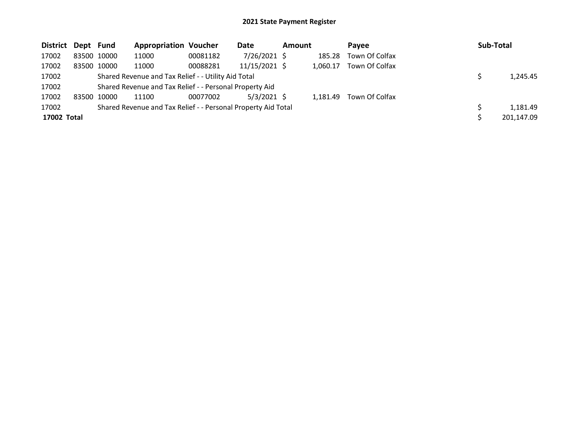| District Dept Fund |             | <b>Appropriation Voucher</b>                                  |          | Date          | <b>Amount</b> |          | Pavee          | <b>Sub-Total</b> |
|--------------------|-------------|---------------------------------------------------------------|----------|---------------|---------------|----------|----------------|------------------|
| 17002              | 83500 10000 | 11000                                                         | 00081182 | 7/26/2021 \$  |               | 185.28   | Town Of Colfax |                  |
| 17002              | 83500 10000 | 11000                                                         | 00088281 | 11/15/2021 \$ |               | 1.060.17 | Town Of Colfax |                  |
| 17002              |             | Shared Revenue and Tax Relief - - Utility Aid Total           |          |               |               |          |                | 1,245.45         |
| 17002              |             | Shared Revenue and Tax Relief - - Personal Property Aid       |          |               |               |          |                |                  |
| 17002              | 83500 10000 | 11100                                                         | 00077002 | $5/3/2021$ \$ |               | 1.181.49 | Town Of Colfax |                  |
| 17002              |             | Shared Revenue and Tax Relief - - Personal Property Aid Total |          |               |               |          |                | 1,181.49         |
| 17002 Total        |             |                                                               |          |               |               |          |                | 201,147.09       |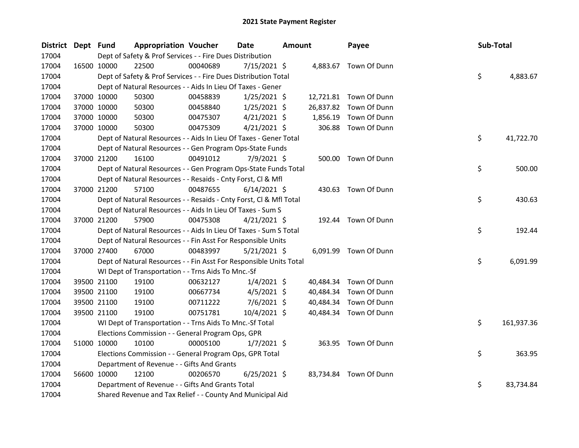| <b>District</b> | Dept Fund |             | <b>Appropriation Voucher</b>                                       |          | <b>Date</b>    | Amount |           | Payee                  | Sub-Total |            |
|-----------------|-----------|-------------|--------------------------------------------------------------------|----------|----------------|--------|-----------|------------------------|-----------|------------|
| 17004           |           |             | Dept of Safety & Prof Services - - Fire Dues Distribution          |          |                |        |           |                        |           |            |
| 17004           |           | 16500 10000 | 22500                                                              | 00040689 | 7/15/2021 \$   |        |           | 4,883.67 Town Of Dunn  |           |            |
| 17004           |           |             | Dept of Safety & Prof Services - - Fire Dues Distribution Total    |          |                |        |           |                        | \$        | 4,883.67   |
| 17004           |           |             | Dept of Natural Resources - - Aids In Lieu Of Taxes - Gener        |          |                |        |           |                        |           |            |
| 17004           |           | 37000 10000 | 50300                                                              | 00458839 | $1/25/2021$ \$ |        |           | 12,721.81 Town Of Dunn |           |            |
| 17004           |           | 37000 10000 | 50300                                                              | 00458840 | $1/25/2021$ \$ |        |           | 26,837.82 Town Of Dunn |           |            |
| 17004           |           | 37000 10000 | 50300                                                              | 00475307 | $4/21/2021$ \$ |        | 1,856.19  | Town Of Dunn           |           |            |
| 17004           |           | 37000 10000 | 50300                                                              | 00475309 | $4/21/2021$ \$ |        |           | 306.88 Town Of Dunn    |           |            |
| 17004           |           |             | Dept of Natural Resources - - Aids In Lieu Of Taxes - Gener Total  |          |                |        |           |                        | \$        | 41,722.70  |
| 17004           |           |             | Dept of Natural Resources - - Gen Program Ops-State Funds          |          |                |        |           |                        |           |            |
| 17004           |           | 37000 21200 | 16100                                                              | 00491012 | 7/9/2021 \$    |        |           | 500.00 Town Of Dunn    |           |            |
| 17004           |           |             | Dept of Natural Resources - - Gen Program Ops-State Funds Total    |          |                |        |           |                        | \$        | 500.00     |
| 17004           |           |             | Dept of Natural Resources - - Resaids - Cnty Forst, Cl & Mfl       |          |                |        |           |                        |           |            |
| 17004           |           | 37000 21200 | 57100                                                              | 00487655 | $6/14/2021$ \$ |        |           | 430.63 Town Of Dunn    |           |            |
| 17004           |           |             | Dept of Natural Resources - - Resaids - Cnty Forst, Cl & Mfl Total |          |                |        |           |                        | \$        | 430.63     |
| 17004           |           |             | Dept of Natural Resources - - Aids In Lieu Of Taxes - Sum S        |          |                |        |           |                        |           |            |
| 17004           |           | 37000 21200 | 57900                                                              | 00475308 | $4/21/2021$ \$ |        |           | 192.44 Town Of Dunn    |           |            |
| 17004           |           |             | Dept of Natural Resources - - Aids In Lieu Of Taxes - Sum S Total  |          |                |        |           |                        | \$        | 192.44     |
| 17004           |           |             | Dept of Natural Resources - - Fin Asst For Responsible Units       |          |                |        |           |                        |           |            |
| 17004           |           | 37000 27400 | 67000                                                              | 00483997 | $5/21/2021$ \$ |        |           | 6,091.99 Town Of Dunn  |           |            |
| 17004           |           |             | Dept of Natural Resources - - Fin Asst For Responsible Units Total |          |                |        |           |                        | \$        | 6,091.99   |
| 17004           |           |             | WI Dept of Transportation - - Trns Aids To Mnc.-Sf                 |          |                |        |           |                        |           |            |
| 17004           |           | 39500 21100 | 19100                                                              | 00632127 | $1/4/2021$ \$  |        | 40,484.34 | Town Of Dunn           |           |            |
| 17004           |           | 39500 21100 | 19100                                                              | 00667734 | $4/5/2021$ \$  |        | 40,484.34 | Town Of Dunn           |           |            |
| 17004           |           | 39500 21100 | 19100                                                              | 00711222 | 7/6/2021 \$    |        | 40,484.34 | Town Of Dunn           |           |            |
| 17004           |           | 39500 21100 | 19100                                                              | 00751781 | 10/4/2021 \$   |        | 40,484.34 | Town Of Dunn           |           |            |
| 17004           |           |             | WI Dept of Transportation - - Trns Aids To Mnc.-Sf Total           |          |                |        |           |                        | \$        | 161,937.36 |
| 17004           |           |             | Elections Commission - - General Program Ops, GPR                  |          |                |        |           |                        |           |            |
| 17004           |           | 51000 10000 | 10100                                                              | 00005100 | $1/7/2021$ \$  |        |           | 363.95 Town Of Dunn    |           |            |
| 17004           |           |             | Elections Commission - - General Program Ops, GPR Total            |          |                |        |           |                        | \$        | 363.95     |
| 17004           |           |             | Department of Revenue - - Gifts And Grants                         |          |                |        |           |                        |           |            |
| 17004           |           | 56600 10000 | 12100                                                              | 00206570 | $6/25/2021$ \$ |        |           | 83,734.84 Town Of Dunn |           |            |
| 17004           |           |             | Department of Revenue - - Gifts And Grants Total                   |          |                |        |           |                        | \$        | 83,734.84  |
| 17004           |           |             | Shared Revenue and Tax Relief - - County And Municipal Aid         |          |                |        |           |                        |           |            |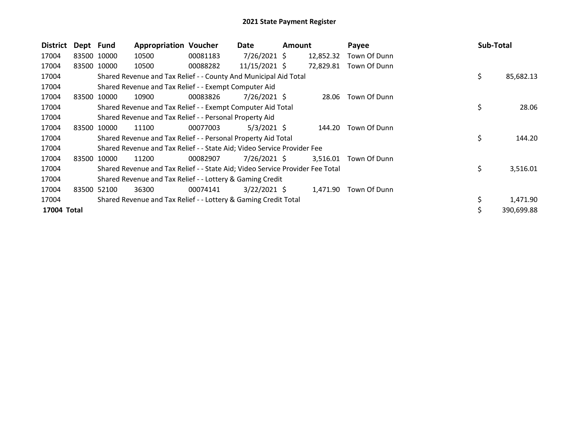| <b>District</b> | Dept Fund |             | <b>Appropriation Voucher</b>                                                  |          | Date            | <b>Amount</b> |           | Payee        | Sub-Total       |
|-----------------|-----------|-------------|-------------------------------------------------------------------------------|----------|-----------------|---------------|-----------|--------------|-----------------|
| 17004           |           | 83500 10000 | 10500                                                                         | 00081183 | 7/26/2021 \$    |               | 12,852.32 | Town Of Dunn |                 |
| 17004           |           | 83500 10000 | 10500                                                                         | 00088282 | $11/15/2021$ \$ |               | 72,829.81 | Town Of Dunn |                 |
| 17004           |           |             | Shared Revenue and Tax Relief - - County And Municipal Aid Total              |          |                 |               |           |              | \$<br>85,682.13 |
| 17004           |           |             | Shared Revenue and Tax Relief - - Exempt Computer Aid                         |          |                 |               |           |              |                 |
| 17004           | 83500     | 10000       | 10900                                                                         | 00083826 | 7/26/2021 \$    |               | 28.06     | Town Of Dunn |                 |
| 17004           |           |             | Shared Revenue and Tax Relief - - Exempt Computer Aid Total                   |          |                 |               |           |              | \$<br>28.06     |
| 17004           |           |             | Shared Revenue and Tax Relief - - Personal Property Aid                       |          |                 |               |           |              |                 |
| 17004           |           | 83500 10000 | 11100                                                                         | 00077003 | $5/3/2021$ \$   |               | 144.20    | Town Of Dunn |                 |
| 17004           |           |             | Shared Revenue and Tax Relief - - Personal Property Aid Total                 |          |                 |               |           |              | \$<br>144.20    |
| 17004           |           |             | Shared Revenue and Tax Relief - - State Aid; Video Service Provider Fee       |          |                 |               |           |              |                 |
| 17004           |           | 83500 10000 | 11200                                                                         | 00082907 | 7/26/2021 \$    |               | 3,516.01  | Town Of Dunn |                 |
| 17004           |           |             | Shared Revenue and Tax Relief - - State Aid; Video Service Provider Fee Total |          |                 |               |           |              | \$<br>3,516.01  |
| 17004           |           |             | Shared Revenue and Tax Relief - - Lottery & Gaming Credit                     |          |                 |               |           |              |                 |
| 17004           | 83500     | 52100       | 36300                                                                         | 00074141 | $3/22/2021$ \$  |               | 1,471.90  | Town Of Dunn |                 |
| 17004           |           |             | Shared Revenue and Tax Relief - - Lottery & Gaming Credit Total               |          |                 |               |           |              | 1,471.90        |
| 17004 Total     |           |             |                                                                               |          |                 |               |           |              | 390,699.88      |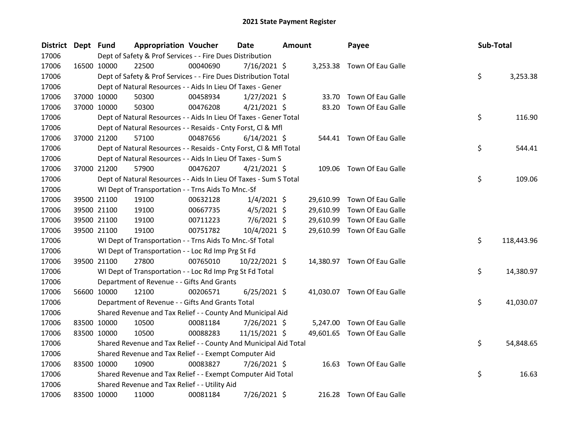| District Dept Fund |             | <b>Appropriation Voucher</b>                                       |          | <b>Date</b>    | <b>Amount</b> |           | Payee                       | Sub-Total |            |
|--------------------|-------------|--------------------------------------------------------------------|----------|----------------|---------------|-----------|-----------------------------|-----------|------------|
| 17006              |             | Dept of Safety & Prof Services - - Fire Dues Distribution          |          |                |               |           |                             |           |            |
| 17006              | 16500 10000 | 22500                                                              | 00040690 | $7/16/2021$ \$ |               |           | 3,253.38 Town Of Eau Galle  |           |            |
| 17006              |             | Dept of Safety & Prof Services - - Fire Dues Distribution Total    |          |                |               |           |                             | \$        | 3,253.38   |
| 17006              |             | Dept of Natural Resources - - Aids In Lieu Of Taxes - Gener        |          |                |               |           |                             |           |            |
| 17006              | 37000 10000 | 50300                                                              | 00458934 | $1/27/2021$ \$ |               | 33.70     | Town Of Eau Galle           |           |            |
| 17006              | 37000 10000 | 50300                                                              | 00476208 | $4/21/2021$ \$ |               | 83.20     | Town Of Eau Galle           |           |            |
| 17006              |             | Dept of Natural Resources - - Aids In Lieu Of Taxes - Gener Total  |          |                |               |           |                             | \$        | 116.90     |
| 17006              |             | Dept of Natural Resources - - Resaids - Cnty Forst, Cl & Mfl       |          |                |               |           |                             |           |            |
| 17006              | 37000 21200 | 57100                                                              | 00487656 | $6/14/2021$ \$ |               | 544.41    | Town Of Eau Galle           |           |            |
| 17006              |             | Dept of Natural Resources - - Resaids - Cnty Forst, Cl & Mfl Total |          |                |               |           |                             | \$        | 544.41     |
| 17006              |             | Dept of Natural Resources - - Aids In Lieu Of Taxes - Sum S        |          |                |               |           |                             |           |            |
| 17006              | 37000 21200 | 57900                                                              | 00476207 | $4/21/2021$ \$ |               |           | 109.06 Town Of Eau Galle    |           |            |
| 17006              |             | Dept of Natural Resources - - Aids In Lieu Of Taxes - Sum S Total  |          |                |               |           |                             | \$        | 109.06     |
| 17006              |             | WI Dept of Transportation - - Trns Aids To Mnc.-Sf                 |          |                |               |           |                             |           |            |
| 17006              | 39500 21100 | 19100                                                              | 00632128 | $1/4/2021$ \$  |               | 29,610.99 | Town Of Eau Galle           |           |            |
| 17006              | 39500 21100 | 19100                                                              | 00667735 | $4/5/2021$ \$  |               | 29,610.99 | Town Of Eau Galle           |           |            |
| 17006              | 39500 21100 | 19100                                                              | 00711223 | $7/6/2021$ \$  |               | 29,610.99 | Town Of Eau Galle           |           |            |
| 17006              | 39500 21100 | 19100                                                              | 00751782 | 10/4/2021 \$   |               | 29,610.99 | Town Of Eau Galle           |           |            |
| 17006              |             | WI Dept of Transportation - - Trns Aids To Mnc.-Sf Total           |          |                |               |           |                             | \$        | 118,443.96 |
| 17006              |             | WI Dept of Transportation - - Loc Rd Imp Prg St Fd                 |          |                |               |           |                             |           |            |
| 17006              | 39500 21100 | 27800                                                              | 00765010 | 10/22/2021 \$  |               |           | 14,380.97 Town Of Eau Galle |           |            |
| 17006              |             | WI Dept of Transportation - - Loc Rd Imp Prg St Fd Total           |          |                |               |           |                             | \$        | 14,380.97  |
| 17006              |             | Department of Revenue - - Gifts And Grants                         |          |                |               |           |                             |           |            |
| 17006              | 56600 10000 | 12100                                                              | 00206571 | $6/25/2021$ \$ |               |           | 41,030.07 Town Of Eau Galle |           |            |
| 17006              |             | Department of Revenue - - Gifts And Grants Total                   |          |                |               |           |                             | \$        | 41,030.07  |
| 17006              |             | Shared Revenue and Tax Relief - - County And Municipal Aid         |          |                |               |           |                             |           |            |
| 17006              | 83500 10000 | 10500                                                              | 00081184 | 7/26/2021 \$   |               | 5,247.00  | Town Of Eau Galle           |           |            |
| 17006              | 83500 10000 | 10500                                                              | 00088283 | 11/15/2021 \$  |               |           | 49,601.65 Town Of Eau Galle |           |            |
| 17006              |             | Shared Revenue and Tax Relief - - County And Municipal Aid Total   |          |                |               |           |                             | \$        | 54,848.65  |
| 17006              |             | Shared Revenue and Tax Relief - - Exempt Computer Aid              |          |                |               |           |                             |           |            |
| 17006              | 83500 10000 | 10900                                                              | 00083827 | 7/26/2021 \$   |               |           | 16.63 Town Of Eau Galle     |           |            |
| 17006              |             | Shared Revenue and Tax Relief - - Exempt Computer Aid Total        |          |                |               |           |                             | \$        | 16.63      |
| 17006              |             | Shared Revenue and Tax Relief - - Utility Aid                      |          |                |               |           |                             |           |            |
| 17006              | 83500 10000 | 11000                                                              | 00081184 | 7/26/2021 \$   |               |           | 216.28 Town Of Eau Galle    |           |            |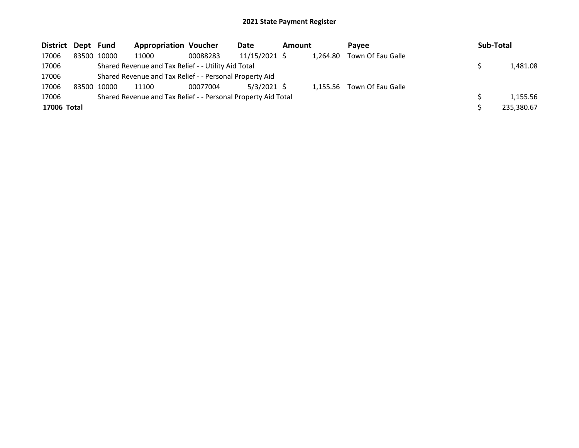| <b>District</b> | Dept Fund |             | <b>Appropriation Voucher</b>                                  |          | Date            | <b>Amount</b> |          | <b>Pavee</b>               | <b>Sub-Total</b> |
|-----------------|-----------|-------------|---------------------------------------------------------------|----------|-----------------|---------------|----------|----------------------------|------------------|
| 17006           |           | 83500 10000 | 11000                                                         | 00088283 | $11/15/2021$ \$ |               | 1.264.80 | Town Of Eau Galle          |                  |
| 17006           |           |             | Shared Revenue and Tax Relief - - Utility Aid Total           |          |                 |               |          |                            | 1,481.08         |
| 17006           |           |             | Shared Revenue and Tax Relief - - Personal Property Aid       |          |                 |               |          |                            |                  |
| 17006           |           | 83500 10000 | 11100                                                         | 00077004 | 5/3/2021 \$     |               |          | 1,155.56 Town Of Eau Galle |                  |
| 17006           |           |             | Shared Revenue and Tax Relief - - Personal Property Aid Total |          |                 |               |          |                            | 1,155.56         |
| 17006 Total     |           |             |                                                               |          |                 |               |          |                            | 235,380.67       |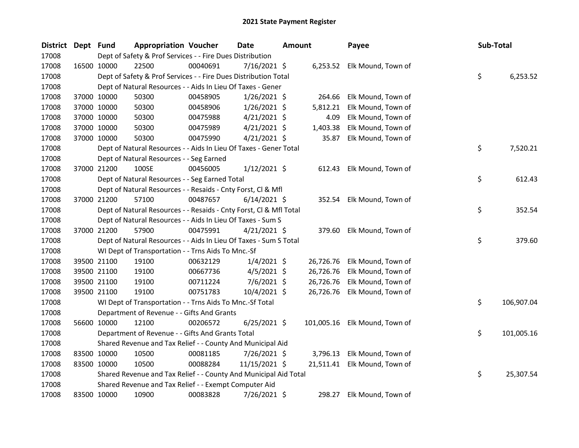| District | Dept Fund | <b>Appropriation Voucher</b>                                       |          | <b>Date</b>    | Amount |           | Payee                         | Sub-Total |            |
|----------|-----------|--------------------------------------------------------------------|----------|----------------|--------|-----------|-------------------------------|-----------|------------|
| 17008    |           | Dept of Safety & Prof Services - - Fire Dues Distribution          |          |                |        |           |                               |           |            |
| 17008    |           | 22500<br>16500 10000                                               | 00040691 | 7/16/2021 \$   |        |           | 6,253.52 Elk Mound, Town of   |           |            |
| 17008    |           | Dept of Safety & Prof Services - - Fire Dues Distribution Total    |          |                |        |           |                               | \$        | 6,253.52   |
| 17008    |           | Dept of Natural Resources - - Aids In Lieu Of Taxes - Gener        |          |                |        |           |                               |           |            |
| 17008    |           | 37000 10000<br>50300                                               | 00458905 | $1/26/2021$ \$ |        | 264.66    | Elk Mound, Town of            |           |            |
| 17008    |           | 37000 10000<br>50300                                               | 00458906 | $1/26/2021$ \$ |        | 5,812.21  | Elk Mound, Town of            |           |            |
| 17008    |           | 37000 10000<br>50300                                               | 00475988 | $4/21/2021$ \$ |        | 4.09      | Elk Mound, Town of            |           |            |
| 17008    |           | 37000 10000<br>50300                                               | 00475989 | 4/21/2021 \$   |        | 1,403.38  | Elk Mound, Town of            |           |            |
| 17008    |           | 37000 10000<br>50300                                               | 00475990 | $4/21/2021$ \$ |        | 35.87     | Elk Mound, Town of            |           |            |
| 17008    |           | Dept of Natural Resources - - Aids In Lieu Of Taxes - Gener Total  |          |                |        |           |                               | \$        | 7,520.21   |
| 17008    |           | Dept of Natural Resources - - Seg Earned                           |          |                |        |           |                               |           |            |
| 17008    |           | 37000 21200<br>100SE                                               | 00456005 | $1/12/2021$ \$ |        | 612.43    | Elk Mound, Town of            |           |            |
| 17008    |           | Dept of Natural Resources - - Seg Earned Total                     |          |                |        |           |                               | \$        | 612.43     |
| 17008    |           | Dept of Natural Resources - - Resaids - Cnty Forst, Cl & Mfl       |          |                |        |           |                               |           |            |
| 17008    |           | 37000 21200<br>57100                                               | 00487657 | $6/14/2021$ \$ |        |           | 352.54 Elk Mound, Town of     |           |            |
| 17008    |           | Dept of Natural Resources - - Resaids - Cnty Forst, Cl & Mfl Total |          |                |        |           |                               | \$        | 352.54     |
| 17008    |           | Dept of Natural Resources - - Aids In Lieu Of Taxes - Sum S        |          |                |        |           |                               |           |            |
| 17008    |           | 57900<br>37000 21200                                               | 00475991 | $4/21/2021$ \$ |        | 379.60    | Elk Mound, Town of            |           |            |
| 17008    |           | Dept of Natural Resources - - Aids In Lieu Of Taxes - Sum S Total  |          |                |        |           |                               | \$        | 379.60     |
| 17008    |           | WI Dept of Transportation - - Trns Aids To Mnc.-Sf                 |          |                |        |           |                               |           |            |
| 17008    |           | 19100<br>39500 21100                                               | 00632129 | $1/4/2021$ \$  |        | 26,726.76 | Elk Mound, Town of            |           |            |
| 17008    |           | 39500 21100<br>19100                                               | 00667736 | $4/5/2021$ \$  |        | 26,726.76 | Elk Mound, Town of            |           |            |
| 17008    |           | 39500 21100<br>19100                                               | 00711224 | 7/6/2021 \$    |        | 26,726.76 | Elk Mound, Town of            |           |            |
| 17008    |           | 19100<br>39500 21100                                               | 00751783 | 10/4/2021 \$   |        | 26,726.76 | Elk Mound, Town of            |           |            |
| 17008    |           | WI Dept of Transportation - - Trns Aids To Mnc.-Sf Total           |          |                |        |           |                               | \$        | 106,907.04 |
| 17008    |           | Department of Revenue - - Gifts And Grants                         |          |                |        |           |                               |           |            |
| 17008    |           | 56600 10000<br>12100                                               | 00206572 | $6/25/2021$ \$ |        |           | 101,005.16 Elk Mound, Town of |           |            |
| 17008    |           | Department of Revenue - - Gifts And Grants Total                   |          |                |        |           |                               | \$        | 101,005.16 |
| 17008    |           | Shared Revenue and Tax Relief - - County And Municipal Aid         |          |                |        |           |                               |           |            |
| 17008    |           | 83500 10000<br>10500                                               | 00081185 | 7/26/2021 \$   |        | 3,796.13  | Elk Mound, Town of            |           |            |
| 17008    |           | 83500 10000<br>10500                                               | 00088284 | 11/15/2021 \$  |        |           | 21,511.41 Elk Mound, Town of  |           |            |
| 17008    |           | Shared Revenue and Tax Relief - - County And Municipal Aid Total   |          |                |        |           |                               | \$        | 25,307.54  |
| 17008    |           | Shared Revenue and Tax Relief - - Exempt Computer Aid              |          |                |        |           |                               |           |            |
| 17008    |           | 83500 10000<br>10900                                               | 00083828 | 7/26/2021 \$   |        | 298.27    | Elk Mound, Town of            |           |            |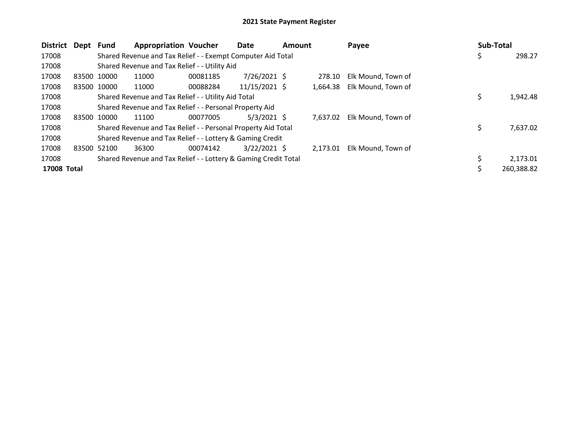| District Dept |             | Fund        | <b>Appropriation Voucher</b>                                    |          | Date            | <b>Amount</b> |          | Payee              | Sub-Total |            |
|---------------|-------------|-------------|-----------------------------------------------------------------|----------|-----------------|---------------|----------|--------------------|-----------|------------|
| 17008         |             |             | Shared Revenue and Tax Relief - - Exempt Computer Aid Total     |          |                 |               |          |                    | \$.       | 298.27     |
| 17008         |             |             | Shared Revenue and Tax Relief - - Utility Aid                   |          |                 |               |          |                    |           |            |
| 17008         | 83500 10000 |             | 11000                                                           | 00081185 | $7/26/2021$ \$  |               | 278.10   | Elk Mound, Town of |           |            |
| 17008         |             | 83500 10000 | 11000                                                           | 00088284 | $11/15/2021$ \$ |               | 1,664.38 | Elk Mound, Town of |           |            |
| 17008         |             |             | Shared Revenue and Tax Relief - - Utility Aid Total             |          |                 |               |          |                    | \$        | 1,942.48   |
| 17008         |             |             | Shared Revenue and Tax Relief - - Personal Property Aid         |          |                 |               |          |                    |           |            |
| 17008         | 83500 10000 |             | 11100                                                           | 00077005 | $5/3/2021$ \$   |               | 7.637.02 | Elk Mound, Town of |           |            |
| 17008         |             |             | Shared Revenue and Tax Relief - - Personal Property Aid Total   |          |                 |               |          |                    | \$        | 7,637.02   |
| 17008         |             |             | Shared Revenue and Tax Relief - - Lottery & Gaming Credit       |          |                 |               |          |                    |           |            |
| 17008         | 83500 52100 |             | 36300                                                           | 00074142 | $3/22/2021$ \$  |               | 2,173.01 | Elk Mound, Town of |           |            |
| 17008         |             |             | Shared Revenue and Tax Relief - - Lottery & Gaming Credit Total |          |                 |               |          |                    | Ś.        | 2,173.01   |
| 17008 Total   |             |             |                                                                 |          |                 |               |          |                    |           | 260,388.82 |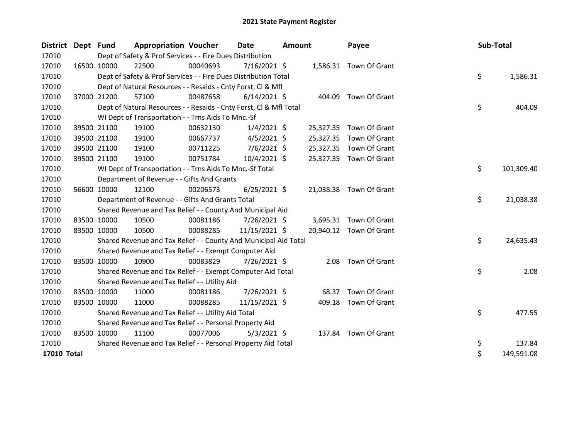| District Dept Fund |             | <b>Appropriation Voucher</b>                                       |          | <b>Date</b>    | <b>Amount</b> |           | Payee                   | Sub-Total |            |
|--------------------|-------------|--------------------------------------------------------------------|----------|----------------|---------------|-----------|-------------------------|-----------|------------|
| 17010              |             | Dept of Safety & Prof Services - - Fire Dues Distribution          |          |                |               |           |                         |           |            |
| 17010              | 16500 10000 | 22500                                                              | 00040693 | 7/16/2021 \$   |               |           | 1,586.31 Town Of Grant  |           |            |
| 17010              |             | Dept of Safety & Prof Services - - Fire Dues Distribution Total    |          |                |               |           |                         | \$        | 1,586.31   |
| 17010              |             | Dept of Natural Resources - - Resaids - Cnty Forst, CI & MfI       |          |                |               |           |                         |           |            |
| 17010              | 37000 21200 | 57100                                                              | 00487658 | $6/14/2021$ \$ |               | 404.09    | Town Of Grant           |           |            |
| 17010              |             | Dept of Natural Resources - - Resaids - Cnty Forst, CI & Mfl Total |          |                |               |           |                         | \$        | 404.09     |
| 17010              |             | WI Dept of Transportation - - Trns Aids To Mnc.-Sf                 |          |                |               |           |                         |           |            |
| 17010              | 39500 21100 | 19100                                                              | 00632130 | $1/4/2021$ \$  |               |           | 25,327.35 Town Of Grant |           |            |
| 17010              | 39500 21100 | 19100                                                              | 00667737 | $4/5/2021$ \$  |               | 25,327.35 | Town Of Grant           |           |            |
| 17010              | 39500 21100 | 19100                                                              | 00711225 | $7/6/2021$ \$  |               | 25,327.35 | Town Of Grant           |           |            |
| 17010              | 39500 21100 | 19100                                                              | 00751784 | 10/4/2021 \$   |               |           | 25,327.35 Town Of Grant |           |            |
| 17010              |             | WI Dept of Transportation - - Trns Aids To Mnc.-Sf Total           |          |                |               |           |                         | \$        | 101,309.40 |
| 17010              |             | Department of Revenue - - Gifts And Grants                         |          |                |               |           |                         |           |            |
| 17010              | 56600 10000 | 12100                                                              | 00206573 | $6/25/2021$ \$ |               |           | 21,038.38 Town Of Grant |           |            |
| 17010              |             | Department of Revenue - - Gifts And Grants Total                   |          |                |               |           |                         | \$        | 21,038.38  |
| 17010              |             | Shared Revenue and Tax Relief - - County And Municipal Aid         |          |                |               |           |                         |           |            |
| 17010              | 83500 10000 | 10500                                                              | 00081186 | 7/26/2021 \$   |               |           | 3,695.31 Town Of Grant  |           |            |
| 17010              | 83500 10000 | 10500                                                              | 00088285 | 11/15/2021 \$  |               |           | 20,940.12 Town Of Grant |           |            |
| 17010              |             | Shared Revenue and Tax Relief - - County And Municipal Aid Total   |          |                |               |           |                         | \$        | 24,635.43  |
| 17010              |             | Shared Revenue and Tax Relief - - Exempt Computer Aid              |          |                |               |           |                         |           |            |
| 17010              | 83500 10000 | 10900                                                              | 00083829 | 7/26/2021 \$   |               | 2.08      | Town Of Grant           |           |            |
| 17010              |             | Shared Revenue and Tax Relief - - Exempt Computer Aid Total        |          |                |               |           |                         | \$        | 2.08       |
| 17010              |             | Shared Revenue and Tax Relief - - Utility Aid                      |          |                |               |           |                         |           |            |
| 17010              | 83500 10000 | 11000                                                              | 00081186 | $7/26/2021$ \$ |               | 68.37     | Town Of Grant           |           |            |
| 17010              | 83500 10000 | 11000                                                              | 00088285 | 11/15/2021 \$  |               | 409.18    | Town Of Grant           |           |            |
| 17010              |             | Shared Revenue and Tax Relief - - Utility Aid Total                |          |                |               |           |                         | \$        | 477.55     |
| 17010              |             | Shared Revenue and Tax Relief - - Personal Property Aid            |          |                |               |           |                         |           |            |
| 17010              | 83500 10000 | 11100                                                              | 00077006 | $5/3/2021$ \$  |               |           | 137.84 Town Of Grant    |           |            |
| 17010              |             | Shared Revenue and Tax Relief - - Personal Property Aid Total      |          |                |               |           |                         | \$        | 137.84     |
| 17010 Total        |             |                                                                    |          |                |               |           |                         | \$        | 149,591.08 |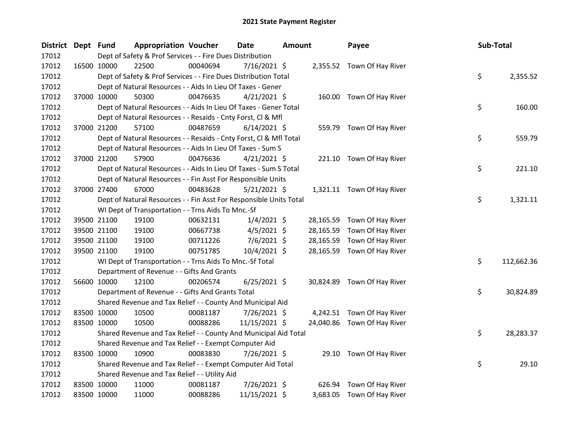| <b>District</b> | Dept Fund |             | <b>Appropriation Voucher</b>                                       |          | <b>Date</b>    | <b>Amount</b> |           | Payee                       | Sub-Total |            |
|-----------------|-----------|-------------|--------------------------------------------------------------------|----------|----------------|---------------|-----------|-----------------------------|-----------|------------|
| 17012           |           |             | Dept of Safety & Prof Services - - Fire Dues Distribution          |          |                |               |           |                             |           |            |
| 17012           |           | 16500 10000 | 22500                                                              | 00040694 | 7/16/2021 \$   |               |           | 2,355.52 Town Of Hay River  |           |            |
| 17012           |           |             | Dept of Safety & Prof Services - - Fire Dues Distribution Total    |          |                |               |           |                             | \$        | 2,355.52   |
| 17012           |           |             | Dept of Natural Resources - - Aids In Lieu Of Taxes - Gener        |          |                |               |           |                             |           |            |
| 17012           |           | 37000 10000 | 50300                                                              | 00476635 | $4/21/2021$ \$ |               |           | 160.00 Town Of Hay River    |           |            |
| 17012           |           |             | Dept of Natural Resources - - Aids In Lieu Of Taxes - Gener Total  |          |                |               |           |                             | \$        | 160.00     |
| 17012           |           |             | Dept of Natural Resources - - Resaids - Cnty Forst, Cl & Mfl       |          |                |               |           |                             |           |            |
| 17012           |           | 37000 21200 | 57100                                                              | 00487659 | $6/14/2021$ \$ |               |           | 559.79 Town Of Hay River    |           |            |
| 17012           |           |             | Dept of Natural Resources - - Resaids - Cnty Forst, Cl & Mfl Total |          |                |               |           |                             | \$        | 559.79     |
| 17012           |           |             | Dept of Natural Resources - - Aids In Lieu Of Taxes - Sum S        |          |                |               |           |                             |           |            |
| 17012           |           | 37000 21200 | 57900                                                              | 00476636 | $4/21/2021$ \$ |               |           | 221.10 Town Of Hay River    |           |            |
| 17012           |           |             | Dept of Natural Resources - - Aids In Lieu Of Taxes - Sum S Total  |          |                |               |           |                             | \$        | 221.10     |
| 17012           |           |             | Dept of Natural Resources - - Fin Asst For Responsible Units       |          |                |               |           |                             |           |            |
| 17012           |           | 37000 27400 | 67000                                                              | 00483628 | $5/21/2021$ \$ |               |           | 1,321.11 Town Of Hay River  |           |            |
| 17012           |           |             | Dept of Natural Resources - - Fin Asst For Responsible Units Total |          |                |               |           |                             | \$        | 1,321.11   |
| 17012           |           |             | WI Dept of Transportation - - Trns Aids To Mnc.-Sf                 |          |                |               |           |                             |           |            |
| 17012           |           | 39500 21100 | 19100                                                              | 00632131 | $1/4/2021$ \$  |               | 28,165.59 | Town Of Hay River           |           |            |
| 17012           |           | 39500 21100 | 19100                                                              | 00667738 | $4/5/2021$ \$  |               | 28,165.59 | Town Of Hay River           |           |            |
| 17012           |           | 39500 21100 | 19100                                                              | 00711226 | $7/6/2021$ \$  |               | 28,165.59 | Town Of Hay River           |           |            |
| 17012           |           | 39500 21100 | 19100                                                              | 00751785 | 10/4/2021 \$   |               |           | 28,165.59 Town Of Hay River |           |            |
| 17012           |           |             | WI Dept of Transportation - - Trns Aids To Mnc.-Sf Total           |          |                |               |           |                             | \$        | 112,662.36 |
| 17012           |           |             | Department of Revenue - - Gifts And Grants                         |          |                |               |           |                             |           |            |
| 17012           |           | 56600 10000 | 12100                                                              | 00206574 | $6/25/2021$ \$ |               |           | 30,824.89 Town Of Hay River |           |            |
| 17012           |           |             | Department of Revenue - - Gifts And Grants Total                   |          |                |               |           |                             | \$        | 30,824.89  |
| 17012           |           |             | Shared Revenue and Tax Relief - - County And Municipal Aid         |          |                |               |           |                             |           |            |
| 17012           |           | 83500 10000 | 10500                                                              | 00081187 | 7/26/2021 \$   |               |           | 4,242.51 Town Of Hay River  |           |            |
| 17012           |           | 83500 10000 | 10500                                                              | 00088286 | 11/15/2021 \$  |               |           | 24,040.86 Town Of Hay River |           |            |
| 17012           |           |             | Shared Revenue and Tax Relief - - County And Municipal Aid Total   |          |                |               |           |                             | \$        | 28,283.37  |
| 17012           |           |             | Shared Revenue and Tax Relief - - Exempt Computer Aid              |          |                |               |           |                             |           |            |
| 17012           |           | 83500 10000 | 10900                                                              | 00083830 | 7/26/2021 \$   |               |           | 29.10 Town Of Hay River     |           |            |
| 17012           |           |             | Shared Revenue and Tax Relief - - Exempt Computer Aid Total        |          |                |               |           |                             | \$        | 29.10      |
| 17012           |           |             | Shared Revenue and Tax Relief - - Utility Aid                      |          |                |               |           |                             |           |            |
| 17012           |           | 83500 10000 | 11000                                                              | 00081187 | 7/26/2021 \$   |               | 626.94    | Town Of Hay River           |           |            |
| 17012           |           | 83500 10000 | 11000                                                              | 00088286 | 11/15/2021 \$  |               |           | 3,683.05 Town Of Hay River  |           |            |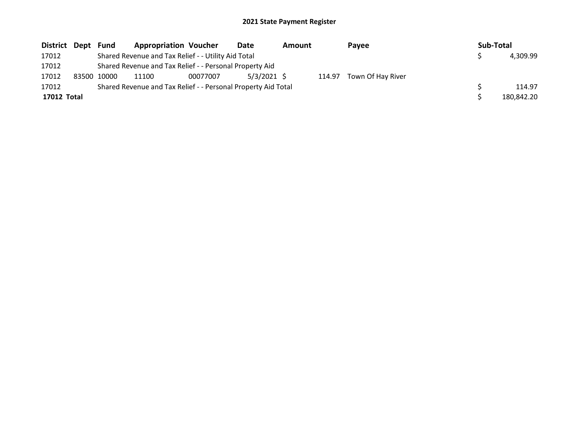| District Dept | Fund        | <b>Appropriation Voucher</b>                                  |          | Date          | Amount |        | Payee             |  | Sub-Total |            |
|---------------|-------------|---------------------------------------------------------------|----------|---------------|--------|--------|-------------------|--|-----------|------------|
| 17012         |             | Shared Revenue and Tax Relief - - Utility Aid Total           |          |               |        |        |                   |  |           | 4,309.99   |
| 17012         |             | Shared Revenue and Tax Relief - - Personal Property Aid       |          |               |        |        |                   |  |           |            |
| 17012         | 83500 10000 | 11100                                                         | 00077007 | $5/3/2021$ \$ |        | 114.97 | Town Of Hay River |  |           |            |
| 17012         |             | Shared Revenue and Tax Relief - - Personal Property Aid Total |          |               |        |        |                   |  |           | 114.97     |
| 17012 Total   |             |                                                               |          |               |        |        |                   |  |           | 180,842.20 |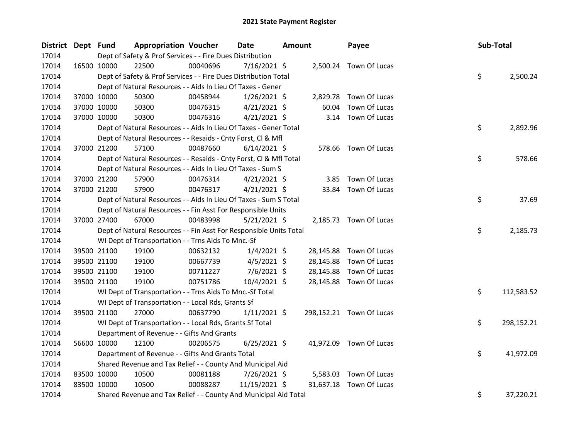| <b>District</b> | Dept Fund |             | <b>Appropriation Voucher</b>                                       |          | Date           | Amount |           | Payee                    | Sub-Total |            |
|-----------------|-----------|-------------|--------------------------------------------------------------------|----------|----------------|--------|-----------|--------------------------|-----------|------------|
| 17014           |           |             | Dept of Safety & Prof Services - - Fire Dues Distribution          |          |                |        |           |                          |           |            |
| 17014           |           | 16500 10000 | 22500                                                              | 00040696 | 7/16/2021 \$   |        |           | 2,500.24 Town Of Lucas   |           |            |
| 17014           |           |             | Dept of Safety & Prof Services - - Fire Dues Distribution Total    |          |                |        |           |                          | \$        | 2,500.24   |
| 17014           |           |             | Dept of Natural Resources - - Aids In Lieu Of Taxes - Gener        |          |                |        |           |                          |           |            |
| 17014           |           | 37000 10000 | 50300                                                              | 00458944 | $1/26/2021$ \$ |        |           | 2,829.78 Town Of Lucas   |           |            |
| 17014           |           | 37000 10000 | 50300                                                              | 00476315 | $4/21/2021$ \$ |        | 60.04     | Town Of Lucas            |           |            |
| 17014           |           | 37000 10000 | 50300                                                              | 00476316 | $4/21/2021$ \$ |        |           | 3.14 Town Of Lucas       |           |            |
| 17014           |           |             | Dept of Natural Resources - - Aids In Lieu Of Taxes - Gener Total  |          |                |        |           |                          | \$        | 2,892.96   |
| 17014           |           |             | Dept of Natural Resources - - Resaids - Cnty Forst, Cl & Mfl       |          |                |        |           |                          |           |            |
| 17014           |           | 37000 21200 | 57100                                                              | 00487660 | $6/14/2021$ \$ |        |           | 578.66 Town Of Lucas     |           |            |
| 17014           |           |             | Dept of Natural Resources - - Resaids - Cnty Forst, Cl & Mfl Total |          |                |        |           |                          | \$        | 578.66     |
| 17014           |           |             | Dept of Natural Resources - - Aids In Lieu Of Taxes - Sum S        |          |                |        |           |                          |           |            |
| 17014           |           | 37000 21200 | 57900                                                              | 00476314 | $4/21/2021$ \$ |        |           | 3.85 Town Of Lucas       |           |            |
| 17014           |           | 37000 21200 | 57900                                                              | 00476317 | $4/21/2021$ \$ |        |           | 33.84 Town Of Lucas      |           |            |
| 17014           |           |             | Dept of Natural Resources - - Aids In Lieu Of Taxes - Sum S Total  |          |                |        |           |                          | \$        | 37.69      |
| 17014           |           |             | Dept of Natural Resources - - Fin Asst For Responsible Units       |          |                |        |           |                          |           |            |
| 17014           |           | 37000 27400 | 67000                                                              | 00483998 | 5/21/2021 \$   |        |           | 2,185.73 Town Of Lucas   |           |            |
| 17014           |           |             | Dept of Natural Resources - - Fin Asst For Responsible Units Total |          |                |        |           |                          | \$        | 2,185.73   |
| 17014           |           |             | WI Dept of Transportation - - Trns Aids To Mnc.-Sf                 |          |                |        |           |                          |           |            |
| 17014           |           | 39500 21100 | 19100                                                              | 00632132 | $1/4/2021$ \$  |        |           | 28,145.88 Town Of Lucas  |           |            |
| 17014           |           | 39500 21100 | 19100                                                              | 00667739 | $4/5/2021$ \$  |        | 28,145.88 | Town Of Lucas            |           |            |
| 17014           |           | 39500 21100 | 19100                                                              | 00711227 | $7/6/2021$ \$  |        | 28,145.88 | Town Of Lucas            |           |            |
| 17014           |           | 39500 21100 | 19100                                                              | 00751786 | 10/4/2021 \$   |        |           | 28,145.88 Town Of Lucas  |           |            |
| 17014           |           |             | WI Dept of Transportation - - Trns Aids To Mnc.-Sf Total           |          |                |        |           |                          | \$        | 112,583.52 |
| 17014           |           |             | WI Dept of Transportation - - Local Rds, Grants Sf                 |          |                |        |           |                          |           |            |
| 17014           |           | 39500 21100 | 27000                                                              | 00637790 | $1/11/2021$ \$ |        |           | 298,152.21 Town Of Lucas |           |            |
| 17014           |           |             | WI Dept of Transportation - - Local Rds, Grants Sf Total           |          |                |        |           |                          | \$        | 298,152.21 |
| 17014           |           |             | Department of Revenue - - Gifts And Grants                         |          |                |        |           |                          |           |            |
| 17014           |           | 56600 10000 | 12100                                                              | 00206575 | $6/25/2021$ \$ |        |           | 41,972.09 Town Of Lucas  |           |            |
| 17014           |           |             | Department of Revenue - - Gifts And Grants Total                   |          |                |        |           |                          | \$.       | 41,972.09  |
| 17014           |           |             | Shared Revenue and Tax Relief - - County And Municipal Aid         |          |                |        |           |                          |           |            |
| 17014           |           | 83500 10000 | 10500                                                              | 00081188 | 7/26/2021 \$   |        | 5,583.03  | Town Of Lucas            |           |            |
| 17014           |           | 83500 10000 | 10500                                                              | 00088287 | 11/15/2021 \$  |        | 31,637.18 | Town Of Lucas            |           |            |
| 17014           |           |             | Shared Revenue and Tax Relief - - County And Municipal Aid Total   |          |                |        |           |                          | \$        | 37,220.21  |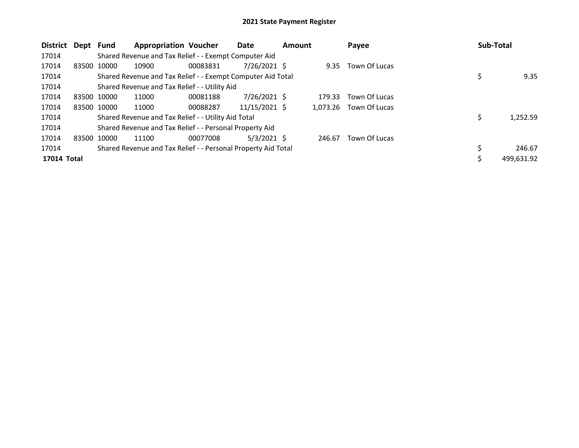| <b>District</b> | Dept | Fund        | <b>Appropriation Voucher</b>                                  |          | Date            | <b>Amount</b> |          | Payee         | Sub-Total |            |
|-----------------|------|-------------|---------------------------------------------------------------|----------|-----------------|---------------|----------|---------------|-----------|------------|
| 17014           |      |             | Shared Revenue and Tax Relief - - Exempt Computer Aid         |          |                 |               |          |               |           |            |
| 17014           |      | 83500 10000 | 10900                                                         | 00083831 | $7/26/2021$ \$  |               | 9.35     | Town Of Lucas |           |            |
| 17014           |      |             | Shared Revenue and Tax Relief - - Exempt Computer Aid Total   |          |                 |               |          |               | \$        | 9.35       |
| 17014           |      |             | Shared Revenue and Tax Relief - - Utility Aid                 |          |                 |               |          |               |           |            |
| 17014           |      | 83500 10000 | 11000                                                         | 00081188 | $7/26/2021$ \$  |               | 179.33   | Town Of Lucas |           |            |
| 17014           |      | 83500 10000 | 11000                                                         | 00088287 | $11/15/2021$ \$ |               | 1.073.26 | Town Of Lucas |           |            |
| 17014           |      |             | Shared Revenue and Tax Relief - - Utility Aid Total           |          |                 |               |          |               | \$        | 1,252.59   |
| 17014           |      |             | Shared Revenue and Tax Relief - - Personal Property Aid       |          |                 |               |          |               |           |            |
| 17014           |      | 83500 10000 | 11100                                                         | 00077008 | $5/3/2021$ \$   |               | 246.67   | Town Of Lucas |           |            |
| 17014           |      |             | Shared Revenue and Tax Relief - - Personal Property Aid Total |          |                 |               |          |               | \$        | 246.67     |
| 17014 Total     |      |             |                                                               |          |                 |               |          |               |           | 499,631.92 |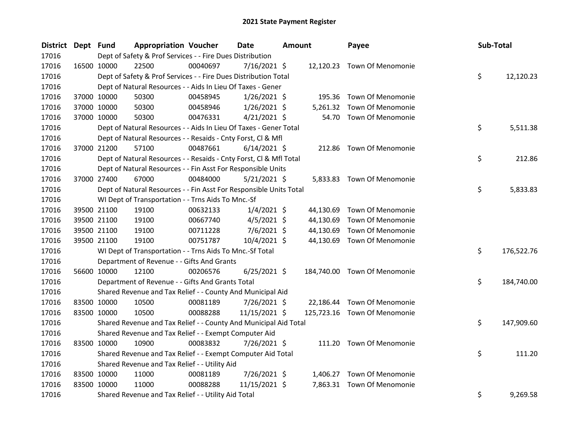| <b>District</b> | Dept Fund |             | <b>Appropriation Voucher</b>                                       |          | <b>Date</b>    | <b>Amount</b> |           | Payee                        | Sub-Total |            |
|-----------------|-----------|-------------|--------------------------------------------------------------------|----------|----------------|---------------|-----------|------------------------------|-----------|------------|
| 17016           |           |             | Dept of Safety & Prof Services - - Fire Dues Distribution          |          |                |               |           |                              |           |            |
| 17016           |           | 16500 10000 | 22500                                                              | 00040697 | $7/16/2021$ \$ |               |           | 12,120.23 Town Of Menomonie  |           |            |
| 17016           |           |             | Dept of Safety & Prof Services - - Fire Dues Distribution Total    |          |                |               |           |                              | \$        | 12,120.23  |
| 17016           |           |             | Dept of Natural Resources - - Aids In Lieu Of Taxes - Gener        |          |                |               |           |                              |           |            |
| 17016           |           | 37000 10000 | 50300                                                              | 00458945 | $1/26/2021$ \$ |               | 195.36    | Town Of Menomonie            |           |            |
| 17016           |           | 37000 10000 | 50300                                                              | 00458946 | $1/26/2021$ \$ |               | 5,261.32  | Town Of Menomonie            |           |            |
| 17016           |           | 37000 10000 | 50300                                                              | 00476331 | $4/21/2021$ \$ |               |           | 54.70 Town Of Menomonie      |           |            |
| 17016           |           |             | Dept of Natural Resources - - Aids In Lieu Of Taxes - Gener Total  |          |                |               |           |                              | \$        | 5,511.38   |
| 17016           |           |             | Dept of Natural Resources - - Resaids - Cnty Forst, Cl & Mfl       |          |                |               |           |                              |           |            |
| 17016           |           | 37000 21200 | 57100                                                              | 00487661 | $6/14/2021$ \$ |               | 212.86    | Town Of Menomonie            |           |            |
| 17016           |           |             | Dept of Natural Resources - - Resaids - Cnty Forst, Cl & Mfl Total |          |                |               |           |                              | \$        | 212.86     |
| 17016           |           |             | Dept of Natural Resources - - Fin Asst For Responsible Units       |          |                |               |           |                              |           |            |
| 17016           |           | 37000 27400 | 67000                                                              | 00484000 | $5/21/2021$ \$ |               |           | 5,833.83 Town Of Menomonie   |           |            |
| 17016           |           |             | Dept of Natural Resources - - Fin Asst For Responsible Units Total |          |                |               |           |                              | \$        | 5,833.83   |
| 17016           |           |             | WI Dept of Transportation - - Trns Aids To Mnc.-Sf                 |          |                |               |           |                              |           |            |
| 17016           |           | 39500 21100 | 19100                                                              | 00632133 | $1/4/2021$ \$  |               | 44,130.69 | Town Of Menomonie            |           |            |
| 17016           |           | 39500 21100 | 19100                                                              | 00667740 | $4/5/2021$ \$  |               | 44,130.69 | Town Of Menomonie            |           |            |
| 17016           |           | 39500 21100 | 19100                                                              | 00711228 | $7/6/2021$ \$  |               | 44,130.69 | Town Of Menomonie            |           |            |
| 17016           |           | 39500 21100 | 19100                                                              | 00751787 | 10/4/2021 \$   |               |           | 44,130.69 Town Of Menomonie  |           |            |
| 17016           |           |             | WI Dept of Transportation - - Trns Aids To Mnc.-Sf Total           |          |                |               |           |                              | \$        | 176,522.76 |
| 17016           |           |             | Department of Revenue - - Gifts And Grants                         |          |                |               |           |                              |           |            |
| 17016           |           | 56600 10000 | 12100                                                              | 00206576 | $6/25/2021$ \$ |               |           | 184,740.00 Town Of Menomonie |           |            |
| 17016           |           |             | Department of Revenue - - Gifts And Grants Total                   |          |                |               |           |                              | \$        | 184,740.00 |
| 17016           |           |             | Shared Revenue and Tax Relief - - County And Municipal Aid         |          |                |               |           |                              |           |            |
| 17016           |           | 83500 10000 | 10500                                                              | 00081189 | 7/26/2021 \$   |               | 22,186.44 | Town Of Menomonie            |           |            |
| 17016           |           | 83500 10000 | 10500                                                              | 00088288 | 11/15/2021 \$  |               |           | 125,723.16 Town Of Menomonie |           |            |
| 17016           |           |             | Shared Revenue and Tax Relief - - County And Municipal Aid Total   |          |                |               |           |                              | \$        | 147,909.60 |
| 17016           |           |             | Shared Revenue and Tax Relief - - Exempt Computer Aid              |          |                |               |           |                              |           |            |
| 17016           |           | 83500 10000 | 10900                                                              | 00083832 | 7/26/2021 \$   |               |           | 111.20 Town Of Menomonie     |           |            |
| 17016           |           |             | Shared Revenue and Tax Relief - - Exempt Computer Aid Total        |          |                |               |           |                              | \$        | 111.20     |
| 17016           |           |             | Shared Revenue and Tax Relief - - Utility Aid                      |          |                |               |           |                              |           |            |
| 17016           |           | 83500 10000 | 11000                                                              | 00081189 | 7/26/2021 \$   |               |           | 1,406.27 Town Of Menomonie   |           |            |
| 17016           |           | 83500 10000 | 11000                                                              | 00088288 | 11/15/2021 \$  |               |           | 7,863.31 Town Of Menomonie   |           |            |
| 17016           |           |             | Shared Revenue and Tax Relief - - Utility Aid Total                |          |                |               |           |                              | \$        | 9,269.58   |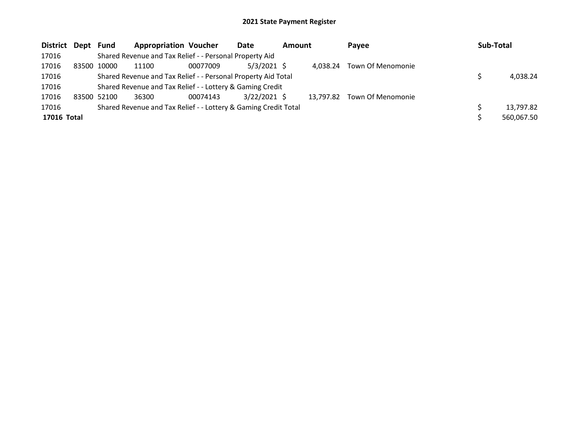| <b>District</b> | Dept  | Fund        | <b>Appropriation Voucher</b>                                    |          | Date           | <b>Amount</b> |           | Payee             | <b>Sub-Total</b> |            |
|-----------------|-------|-------------|-----------------------------------------------------------------|----------|----------------|---------------|-----------|-------------------|------------------|------------|
| 17016           |       |             | Shared Revenue and Tax Relief - - Personal Property Aid         |          |                |               |           |                   |                  |            |
| 17016           | 83500 | 10000       | 11100                                                           | 00077009 | $5/3/2021$ \$  |               | 4.038.24  | Town Of Menomonie |                  |            |
| 17016           |       |             | Shared Revenue and Tax Relief - - Personal Property Aid Total   |          |                |               |           |                   |                  | 4,038.24   |
| 17016           |       |             | Shared Revenue and Tax Relief - - Lottery & Gaming Credit       |          |                |               |           |                   |                  |            |
| 17016           |       | 83500 52100 | 36300                                                           | 00074143 | $3/22/2021$ \$ |               | 13,797.82 | Town Of Menomonie |                  |            |
| 17016           |       |             | Shared Revenue and Tax Relief - - Lottery & Gaming Credit Total |          |                |               |           |                   |                  | 13,797.82  |
| 17016 Total     |       |             |                                                                 |          |                |               |           |                   |                  | 560,067.50 |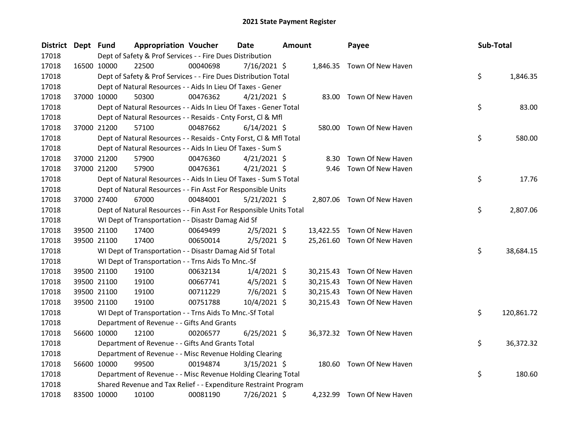| <b>District</b> | Dept Fund |             | <b>Appropriation Voucher</b>                                       |          | <b>Date</b>    | <b>Amount</b> |           | Payee                       | Sub-Total |            |
|-----------------|-----------|-------------|--------------------------------------------------------------------|----------|----------------|---------------|-----------|-----------------------------|-----------|------------|
| 17018           |           |             | Dept of Safety & Prof Services - - Fire Dues Distribution          |          |                |               |           |                             |           |            |
| 17018           |           | 16500 10000 | 22500                                                              | 00040698 | $7/16/2021$ \$ |               |           | 1,846.35 Town Of New Haven  |           |            |
| 17018           |           |             | Dept of Safety & Prof Services - - Fire Dues Distribution Total    |          |                |               |           |                             | \$        | 1,846.35   |
| 17018           |           |             | Dept of Natural Resources - - Aids In Lieu Of Taxes - Gener        |          |                |               |           |                             |           |            |
| 17018           |           | 37000 10000 | 50300                                                              | 00476362 | $4/21/2021$ \$ |               |           | 83.00 Town Of New Haven     |           |            |
| 17018           |           |             | Dept of Natural Resources - - Aids In Lieu Of Taxes - Gener Total  |          |                |               |           |                             | \$        | 83.00      |
| 17018           |           |             | Dept of Natural Resources - - Resaids - Cnty Forst, Cl & Mfl       |          |                |               |           |                             |           |            |
| 17018           |           | 37000 21200 | 57100                                                              | 00487662 | $6/14/2021$ \$ |               |           | 580.00 Town Of New Haven    |           |            |
| 17018           |           |             | Dept of Natural Resources - - Resaids - Cnty Forst, CI & Mfl Total |          |                |               |           |                             | \$        | 580.00     |
| 17018           |           |             | Dept of Natural Resources - - Aids In Lieu Of Taxes - Sum S        |          |                |               |           |                             |           |            |
| 17018           |           | 37000 21200 | 57900                                                              | 00476360 | $4/21/2021$ \$ |               | 8.30      | Town Of New Haven           |           |            |
| 17018           |           | 37000 21200 | 57900                                                              | 00476361 | $4/21/2021$ \$ |               |           | 9.46 Town Of New Haven      |           |            |
| 17018           |           |             | Dept of Natural Resources - - Aids In Lieu Of Taxes - Sum S Total  |          |                |               |           |                             | \$        | 17.76      |
| 17018           |           |             | Dept of Natural Resources - - Fin Asst For Responsible Units       |          |                |               |           |                             |           |            |
| 17018           |           | 37000 27400 | 67000                                                              | 00484001 | $5/21/2021$ \$ |               |           | 2,807.06 Town Of New Haven  |           |            |
| 17018           |           |             | Dept of Natural Resources - - Fin Asst For Responsible Units Total |          |                |               |           |                             | \$        | 2,807.06   |
| 17018           |           |             | WI Dept of Transportation - - Disastr Damag Aid Sf                 |          |                |               |           |                             |           |            |
| 17018           |           | 39500 21100 | 17400                                                              | 00649499 | $2/5/2021$ \$  |               |           | 13,422.55 Town Of New Haven |           |            |
| 17018           |           | 39500 21100 | 17400                                                              | 00650014 | $2/5/2021$ \$  |               |           | 25,261.60 Town Of New Haven |           |            |
| 17018           |           |             | WI Dept of Transportation - - Disastr Damag Aid Sf Total           |          |                |               |           |                             | \$        | 38,684.15  |
| 17018           |           |             | WI Dept of Transportation - - Trns Aids To Mnc.-Sf                 |          |                |               |           |                             |           |            |
| 17018           |           | 39500 21100 | 19100                                                              | 00632134 | $1/4/2021$ \$  |               | 30,215.43 | Town Of New Haven           |           |            |
| 17018           |           | 39500 21100 | 19100                                                              | 00667741 | $4/5/2021$ \$  |               | 30,215.43 | Town Of New Haven           |           |            |
| 17018           |           | 39500 21100 | 19100                                                              | 00711229 | $7/6/2021$ \$  |               | 30,215.43 | Town Of New Haven           |           |            |
| 17018           |           | 39500 21100 | 19100                                                              | 00751788 | 10/4/2021 \$   |               |           | 30,215.43 Town Of New Haven |           |            |
| 17018           |           |             | WI Dept of Transportation - - Trns Aids To Mnc.-Sf Total           |          |                |               |           |                             | \$        | 120,861.72 |
| 17018           |           |             | Department of Revenue - - Gifts And Grants                         |          |                |               |           |                             |           |            |
| 17018           |           | 56600 10000 | 12100                                                              | 00206577 | $6/25/2021$ \$ |               |           | 36,372.32 Town Of New Haven |           |            |
| 17018           |           |             | Department of Revenue - - Gifts And Grants Total                   |          |                |               |           |                             | \$        | 36,372.32  |
| 17018           |           |             | Department of Revenue - - Misc Revenue Holding Clearing            |          |                |               |           |                             |           |            |
| 17018           |           | 56600 10000 | 99500                                                              | 00194874 | $3/15/2021$ \$ |               |           | 180.60 Town Of New Haven    |           |            |
| 17018           |           |             | Department of Revenue - - Misc Revenue Holding Clearing Total      |          |                |               |           |                             | \$        | 180.60     |
| 17018           |           |             | Shared Revenue and Tax Relief - - Expenditure Restraint Program    |          |                |               |           |                             |           |            |
| 17018           |           | 83500 10000 | 10100                                                              | 00081190 | 7/26/2021 \$   |               | 4,232.99  | Town Of New Haven           |           |            |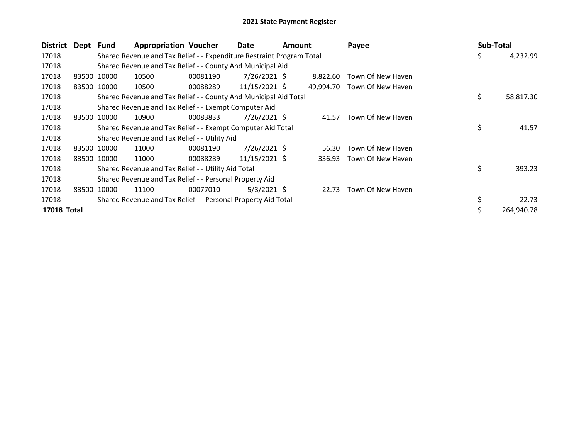| District           | Dept Fund |             | <b>Appropriation Voucher</b>                                          |          | Date            | <b>Amount</b> |           | Payee             | Sub-Total |            |
|--------------------|-----------|-------------|-----------------------------------------------------------------------|----------|-----------------|---------------|-----------|-------------------|-----------|------------|
| 17018              |           |             | Shared Revenue and Tax Relief - - Expenditure Restraint Program Total |          |                 |               |           |                   | \$        | 4,232.99   |
| 17018              |           |             | Shared Revenue and Tax Relief - - County And Municipal Aid            |          |                 |               |           |                   |           |            |
| 17018              |           | 83500 10000 | 10500                                                                 | 00081190 | 7/26/2021 \$    |               | 8,822.60  | Town Of New Haven |           |            |
| 17018              |           | 83500 10000 | 10500                                                                 | 00088289 | $11/15/2021$ \$ |               | 49.994.70 | Town Of New Haven |           |            |
| 17018              |           |             | Shared Revenue and Tax Relief - - County And Municipal Aid Total      |          |                 |               |           |                   | \$        | 58,817.30  |
| 17018              |           |             | Shared Revenue and Tax Relief - - Exempt Computer Aid                 |          |                 |               |           |                   |           |            |
| 17018              |           | 83500 10000 | 10900                                                                 | 00083833 | 7/26/2021 \$    |               | 41.57     | Town Of New Haven |           |            |
| 17018              |           |             | Shared Revenue and Tax Relief - - Exempt Computer Aid Total           |          |                 |               |           |                   | \$        | 41.57      |
| 17018              |           |             | Shared Revenue and Tax Relief - - Utility Aid                         |          |                 |               |           |                   |           |            |
| 17018              |           | 83500 10000 | 11000                                                                 | 00081190 | $7/26/2021$ \$  |               | 56.30     | Town Of New Haven |           |            |
| 17018              |           | 83500 10000 | 11000                                                                 | 00088289 | 11/15/2021 \$   |               | 336.93    | Town Of New Haven |           |            |
| 17018              |           |             | Shared Revenue and Tax Relief - - Utility Aid Total                   |          |                 |               |           |                   | \$        | 393.23     |
| 17018              |           |             | Shared Revenue and Tax Relief - - Personal Property Aid               |          |                 |               |           |                   |           |            |
| 17018              |           | 83500 10000 | 11100                                                                 | 00077010 | 5/3/2021 \$     |               | 22.73     | Town Of New Haven |           |            |
| 17018              |           |             | Shared Revenue and Tax Relief - - Personal Property Aid Total         |          |                 |               |           |                   | \$        | 22.73      |
| <b>17018 Total</b> |           |             |                                                                       |          |                 |               |           |                   |           | 264.940.78 |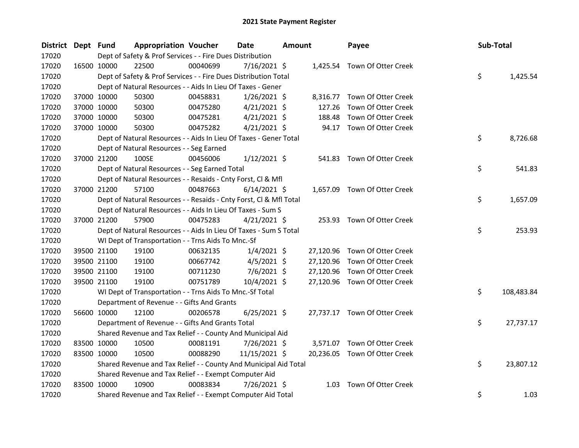| District Dept Fund |             |                                                                    | <b>Appropriation Voucher</b> | Date           | <b>Amount</b> | Payee                         | Sub-Total |            |
|--------------------|-------------|--------------------------------------------------------------------|------------------------------|----------------|---------------|-------------------------------|-----------|------------|
| 17020              |             | Dept of Safety & Prof Services - - Fire Dues Distribution          |                              |                |               |                               |           |            |
| 17020              |             | 22500<br>16500 10000                                               | 00040699                     | $7/16/2021$ \$ |               | 1,425.54 Town Of Otter Creek  |           |            |
| 17020              |             | Dept of Safety & Prof Services - - Fire Dues Distribution Total    |                              |                |               |                               | \$        | 1,425.54   |
| 17020              |             | Dept of Natural Resources - - Aids In Lieu Of Taxes - Gener        |                              |                |               |                               |           |            |
| 17020              |             | 50300<br>37000 10000                                               | 00458831                     | $1/26/2021$ \$ |               | 8,316.77 Town Of Otter Creek  |           |            |
| 17020              |             | 37000 10000<br>50300                                               | 00475280                     | $4/21/2021$ \$ | 127.26        | Town Of Otter Creek           |           |            |
| 17020              |             | 37000 10000<br>50300                                               | 00475281                     | $4/21/2021$ \$ | 188.48        | Town Of Otter Creek           |           |            |
| 17020              |             | 37000 10000<br>50300                                               | 00475282                     | $4/21/2021$ \$ |               | 94.17 Town Of Otter Creek     |           |            |
| 17020              |             | Dept of Natural Resources - - Aids In Lieu Of Taxes - Gener Total  |                              |                |               |                               | \$        | 8,726.68   |
| 17020              |             | Dept of Natural Resources - - Seg Earned                           |                              |                |               |                               |           |            |
| 17020              |             | 100SE<br>37000 21200                                               | 00456006                     | $1/12/2021$ \$ |               | 541.83 Town Of Otter Creek    |           |            |
| 17020              |             | Dept of Natural Resources - - Seg Earned Total                     |                              |                |               |                               | \$        | 541.83     |
| 17020              |             | Dept of Natural Resources - - Resaids - Cnty Forst, Cl & Mfl       |                              |                |               |                               |           |            |
| 17020              |             | 37000 21200<br>57100                                               | 00487663                     | $6/14/2021$ \$ |               | 1,657.09 Town Of Otter Creek  |           |            |
| 17020              |             | Dept of Natural Resources - - Resaids - Cnty Forst, Cl & Mfl Total |                              |                |               |                               | \$        | 1,657.09   |
| 17020              |             | Dept of Natural Resources - - Aids In Lieu Of Taxes - Sum S        |                              |                |               |                               |           |            |
| 17020              |             | 37000 21200<br>57900                                               | 00475283                     | $4/21/2021$ \$ |               | 253.93 Town Of Otter Creek    |           |            |
| 17020              |             | Dept of Natural Resources - - Aids In Lieu Of Taxes - Sum S Total  |                              |                |               |                               | \$        | 253.93     |
| 17020              |             | WI Dept of Transportation - - Trns Aids To Mnc.-Sf                 |                              |                |               |                               |           |            |
| 17020              |             | 19100<br>39500 21100                                               | 00632135                     | $1/4/2021$ \$  |               | 27,120.96 Town Of Otter Creek |           |            |
| 17020              |             | 39500 21100<br>19100                                               | 00667742                     | $4/5/2021$ \$  | 27,120.96     | Town Of Otter Creek           |           |            |
| 17020              |             | 39500 21100<br>19100                                               | 00711230                     | $7/6/2021$ \$  | 27,120.96     | Town Of Otter Creek           |           |            |
| 17020              |             | 39500 21100<br>19100                                               | 00751789                     | 10/4/2021 \$   |               | 27,120.96 Town Of Otter Creek |           |            |
| 17020              |             | WI Dept of Transportation - - Trns Aids To Mnc.-Sf Total           |                              |                |               |                               | \$        | 108,483.84 |
| 17020              |             | Department of Revenue - - Gifts And Grants                         |                              |                |               |                               |           |            |
| 17020              |             | 56600 10000<br>12100                                               | 00206578                     | $6/25/2021$ \$ |               | 27,737.17 Town Of Otter Creek |           |            |
| 17020              |             | Department of Revenue - - Gifts And Grants Total                   |                              |                |               |                               | \$        | 27,737.17  |
| 17020              |             | Shared Revenue and Tax Relief - - County And Municipal Aid         |                              |                |               |                               |           |            |
| 17020              |             | 83500 10000<br>10500                                               | 00081191                     | 7/26/2021 \$   |               | 3,571.07 Town Of Otter Creek  |           |            |
| 17020              | 83500 10000 | 10500                                                              | 00088290                     | 11/15/2021 \$  |               | 20,236.05 Town Of Otter Creek |           |            |
| 17020              |             | Shared Revenue and Tax Relief - - County And Municipal Aid Total   |                              |                |               |                               | \$        | 23,807.12  |
| 17020              |             | Shared Revenue and Tax Relief - - Exempt Computer Aid              |                              |                |               |                               |           |            |
| 17020              |             | 83500 10000<br>10900                                               | 00083834                     | 7/26/2021 \$   | 1.03          | Town Of Otter Creek           |           |            |
| 17020              |             | Shared Revenue and Tax Relief - - Exempt Computer Aid Total        |                              |                |               |                               | \$        | 1.03       |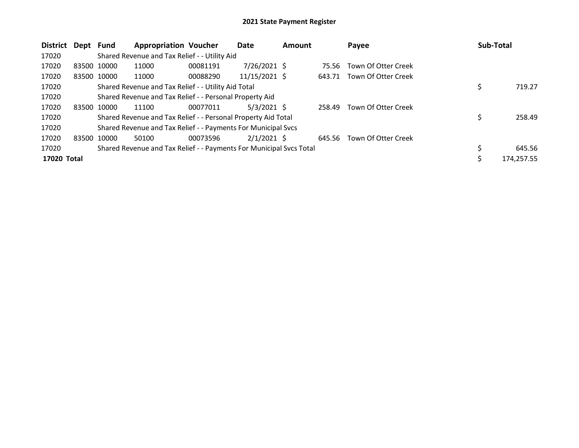| <b>District</b> | Dept        | Fund        | <b>Appropriation Voucher</b>                                        |          | Date           | <b>Amount</b> |        | Payee                      | Sub-Total  |
|-----------------|-------------|-------------|---------------------------------------------------------------------|----------|----------------|---------------|--------|----------------------------|------------|
| 17020           |             |             | Shared Revenue and Tax Relief - - Utility Aid                       |          |                |               |        |                            |            |
| 17020           |             | 83500 10000 | 11000                                                               | 00081191 | $7/26/2021$ \$ |               | 75.56  | Town Of Otter Creek        |            |
| 17020           |             | 83500 10000 | 11000                                                               | 00088290 | 11/15/2021 \$  |               |        | 643.71 Town Of Otter Creek |            |
| 17020           |             |             | Shared Revenue and Tax Relief - - Utility Aid Total                 |          |                |               |        |                            | 719.27     |
| 17020           |             |             | Shared Revenue and Tax Relief - - Personal Property Aid             |          |                |               |        |                            |            |
| 17020           | 83500 10000 |             | 11100                                                               | 00077011 | $5/3/2021$ \$  |               | 258.49 | Town Of Otter Creek        |            |
| 17020           |             |             | Shared Revenue and Tax Relief - - Personal Property Aid Total       |          |                |               |        |                            | 258.49     |
| 17020           |             |             | Shared Revenue and Tax Relief - - Payments For Municipal Svcs       |          |                |               |        |                            |            |
| 17020           | 83500 10000 |             | 50100                                                               | 00073596 | $2/1/2021$ \$  |               |        | 645.56 Town Of Otter Creek |            |
| 17020           |             |             | Shared Revenue and Tax Relief - - Payments For Municipal Svcs Total |          |                |               |        |                            | 645.56     |
| 17020 Total     |             |             |                                                                     |          |                |               |        |                            | 174,257.55 |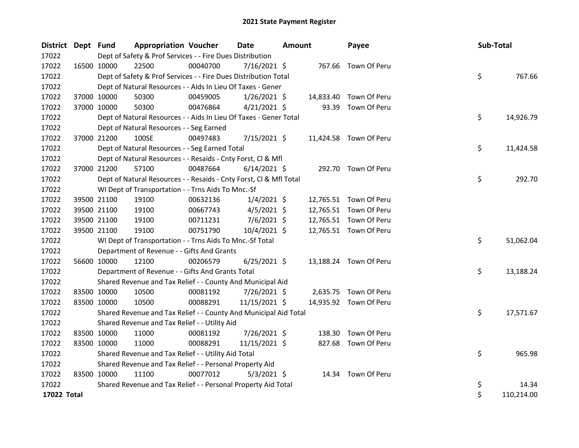| District Dept Fund |             |                                                                    | <b>Appropriation Voucher</b> | Date           | <b>Amount</b> |           | Payee                  | Sub-Total |            |
|--------------------|-------------|--------------------------------------------------------------------|------------------------------|----------------|---------------|-----------|------------------------|-----------|------------|
| 17022              |             | Dept of Safety & Prof Services - - Fire Dues Distribution          |                              |                |               |           |                        |           |            |
| 17022              | 16500 10000 | 22500                                                              | 00040700                     | 7/16/2021 \$   |               |           | 767.66 Town Of Peru    |           |            |
| 17022              |             | Dept of Safety & Prof Services - - Fire Dues Distribution Total    |                              |                |               |           |                        | \$        | 767.66     |
| 17022              |             | Dept of Natural Resources - - Aids In Lieu Of Taxes - Gener        |                              |                |               |           |                        |           |            |
| 17022              | 37000 10000 | 50300                                                              | 00459005                     | $1/26/2021$ \$ |               | 14,833.40 | Town Of Peru           |           |            |
| 17022              |             | 37000 10000<br>50300                                               | 00476864                     | $4/21/2021$ \$ |               | 93.39     | Town Of Peru           |           |            |
| 17022              |             | Dept of Natural Resources - - Aids In Lieu Of Taxes - Gener Total  |                              |                |               |           |                        | \$        | 14,926.79  |
| 17022              |             | Dept of Natural Resources - - Seg Earned                           |                              |                |               |           |                        |           |            |
| 17022              | 37000 21200 | 100SE                                                              | 00497483                     | 7/15/2021 \$   |               |           | 11,424.58 Town Of Peru |           |            |
| 17022              |             | Dept of Natural Resources - - Seg Earned Total                     |                              |                |               |           |                        | \$        | 11,424.58  |
| 17022              |             | Dept of Natural Resources - - Resaids - Cnty Forst, Cl & Mfl       |                              |                |               |           |                        |           |            |
| 17022              | 37000 21200 | 57100                                                              | 00487664                     | $6/14/2021$ \$ |               |           | 292.70 Town Of Peru    |           |            |
| 17022              |             | Dept of Natural Resources - - Resaids - Cnty Forst, Cl & Mfl Total |                              |                |               |           |                        | \$        | 292.70     |
| 17022              |             | WI Dept of Transportation - - Trns Aids To Mnc.-Sf                 |                              |                |               |           |                        |           |            |
| 17022              |             | 39500 21100<br>19100                                               | 00632136                     | $1/4/2021$ \$  |               |           | 12,765.51 Town Of Peru |           |            |
| 17022              | 39500 21100 | 19100                                                              | 00667743                     | $4/5/2021$ \$  |               |           | 12,765.51 Town Of Peru |           |            |
| 17022              | 39500 21100 | 19100                                                              | 00711231                     | $7/6/2021$ \$  |               |           | 12,765.51 Town Of Peru |           |            |
| 17022              | 39500 21100 | 19100                                                              | 00751790                     | 10/4/2021 \$   |               |           | 12,765.51 Town Of Peru |           |            |
| 17022              |             | WI Dept of Transportation - - Trns Aids To Mnc.-Sf Total           |                              |                |               |           |                        | \$        | 51,062.04  |
| 17022              |             | Department of Revenue - - Gifts And Grants                         |                              |                |               |           |                        |           |            |
| 17022              | 56600 10000 | 12100                                                              | 00206579                     | $6/25/2021$ \$ |               |           | 13,188.24 Town Of Peru |           |            |
| 17022              |             | Department of Revenue - - Gifts And Grants Total                   |                              |                |               |           |                        | \$        | 13,188.24  |
| 17022              |             | Shared Revenue and Tax Relief - - County And Municipal Aid         |                              |                |               |           |                        |           |            |
| 17022              | 83500 10000 | 10500                                                              | 00081192                     | 7/26/2021 \$   |               |           | 2,635.75 Town Of Peru  |           |            |
| 17022              | 83500 10000 | 10500                                                              | 00088291                     | 11/15/2021 \$  |               |           | 14,935.92 Town Of Peru |           |            |
| 17022              |             | Shared Revenue and Tax Relief - - County And Municipal Aid Total   |                              |                |               |           |                        | \$        | 17,571.67  |
| 17022              |             | Shared Revenue and Tax Relief - - Utility Aid                      |                              |                |               |           |                        |           |            |
| 17022              | 83500 10000 | 11000                                                              | 00081192                     | 7/26/2021 \$   |               | 138.30    | Town Of Peru           |           |            |
| 17022              | 83500 10000 | 11000                                                              | 00088291                     | 11/15/2021 \$  |               |           | 827.68 Town Of Peru    |           |            |
| 17022              |             | Shared Revenue and Tax Relief - - Utility Aid Total                |                              |                |               |           |                        | \$        | 965.98     |
| 17022              |             | Shared Revenue and Tax Relief - - Personal Property Aid            |                              |                |               |           |                        |           |            |
| 17022              | 83500 10000 | 11100                                                              | 00077012                     | $5/3/2021$ \$  |               |           | 14.34 Town Of Peru     |           |            |
| 17022              |             | Shared Revenue and Tax Relief - - Personal Property Aid Total      |                              |                |               |           |                        | \$        | 14.34      |
| 17022 Total        |             |                                                                    |                              |                |               |           |                        | \$        | 110,214.00 |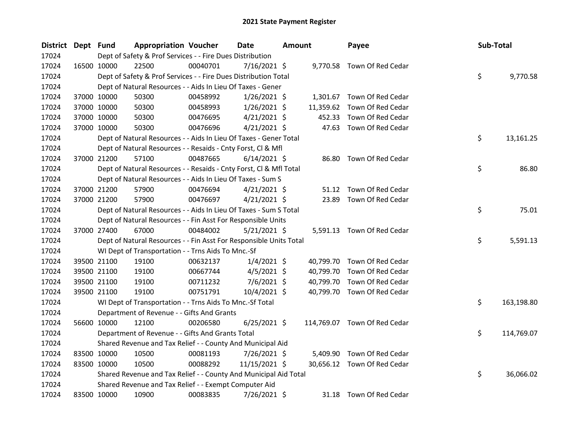| District | Dept Fund |             | <b>Appropriation Voucher</b>                                       |          | Date           | <b>Amount</b> |           | Payee                        | Sub-Total |            |
|----------|-----------|-------------|--------------------------------------------------------------------|----------|----------------|---------------|-----------|------------------------------|-----------|------------|
| 17024    |           |             | Dept of Safety & Prof Services - - Fire Dues Distribution          |          |                |               |           |                              |           |            |
| 17024    |           | 16500 10000 | 22500                                                              | 00040701 | $7/16/2021$ \$ |               |           | 9,770.58 Town Of Red Cedar   |           |            |
| 17024    |           |             | Dept of Safety & Prof Services - - Fire Dues Distribution Total    |          |                |               |           |                              | \$        | 9,770.58   |
| 17024    |           |             | Dept of Natural Resources - - Aids In Lieu Of Taxes - Gener        |          |                |               |           |                              |           |            |
| 17024    |           | 37000 10000 | 50300                                                              | 00458992 | $1/26/2021$ \$ |               |           | 1,301.67 Town Of Red Cedar   |           |            |
| 17024    |           | 37000 10000 | 50300                                                              | 00458993 | $1/26/2021$ \$ |               |           | 11,359.62 Town Of Red Cedar  |           |            |
| 17024    |           | 37000 10000 | 50300                                                              | 00476695 | $4/21/2021$ \$ |               | 452.33    | Town Of Red Cedar            |           |            |
| 17024    |           | 37000 10000 | 50300                                                              | 00476696 | $4/21/2021$ \$ |               |           | 47.63 Town Of Red Cedar      |           |            |
| 17024    |           |             | Dept of Natural Resources - - Aids In Lieu Of Taxes - Gener Total  |          |                |               |           |                              | \$        | 13,161.25  |
| 17024    |           |             | Dept of Natural Resources - - Resaids - Cnty Forst, Cl & Mfl       |          |                |               |           |                              |           |            |
| 17024    |           | 37000 21200 | 57100                                                              | 00487665 | $6/14/2021$ \$ |               |           | 86.80 Town Of Red Cedar      |           |            |
| 17024    |           |             | Dept of Natural Resources - - Resaids - Cnty Forst, Cl & Mfl Total |          |                |               |           |                              | \$        | 86.80      |
| 17024    |           |             | Dept of Natural Resources - - Aids In Lieu Of Taxes - Sum S        |          |                |               |           |                              |           |            |
| 17024    |           | 37000 21200 | 57900                                                              | 00476694 | $4/21/2021$ \$ |               |           | 51.12 Town Of Red Cedar      |           |            |
| 17024    |           | 37000 21200 | 57900                                                              | 00476697 | $4/21/2021$ \$ |               |           | 23.89 Town Of Red Cedar      |           |            |
| 17024    |           |             | Dept of Natural Resources - - Aids In Lieu Of Taxes - Sum S Total  |          |                |               |           |                              | \$        | 75.01      |
| 17024    |           |             | Dept of Natural Resources - - Fin Asst For Responsible Units       |          |                |               |           |                              |           |            |
| 17024    |           | 37000 27400 | 67000                                                              | 00484002 | $5/21/2021$ \$ |               |           | 5,591.13 Town Of Red Cedar   |           |            |
| 17024    |           |             | Dept of Natural Resources - - Fin Asst For Responsible Units Total |          |                |               |           |                              | \$        | 5,591.13   |
| 17024    |           |             | WI Dept of Transportation - - Trns Aids To Mnc.-Sf                 |          |                |               |           |                              |           |            |
| 17024    |           | 39500 21100 | 19100                                                              | 00632137 | $1/4/2021$ \$  |               | 40,799.70 | Town Of Red Cedar            |           |            |
| 17024    |           | 39500 21100 | 19100                                                              | 00667744 | $4/5/2021$ \$  |               | 40,799.70 | Town Of Red Cedar            |           |            |
| 17024    |           | 39500 21100 | 19100                                                              | 00711232 | $7/6/2021$ \$  |               | 40,799.70 | Town Of Red Cedar            |           |            |
| 17024    |           | 39500 21100 | 19100                                                              | 00751791 | 10/4/2021 \$   |               |           | 40,799.70 Town Of Red Cedar  |           |            |
| 17024    |           |             | WI Dept of Transportation - - Trns Aids To Mnc.-Sf Total           |          |                |               |           |                              | \$        | 163,198.80 |
| 17024    |           |             | Department of Revenue - - Gifts And Grants                         |          |                |               |           |                              |           |            |
| 17024    |           | 56600 10000 | 12100                                                              | 00206580 | $6/25/2021$ \$ |               |           | 114,769.07 Town Of Red Cedar |           |            |
| 17024    |           |             | Department of Revenue - - Gifts And Grants Total                   |          |                |               |           |                              | \$        | 114,769.07 |
| 17024    |           |             | Shared Revenue and Tax Relief - - County And Municipal Aid         |          |                |               |           |                              |           |            |
| 17024    |           | 83500 10000 | 10500                                                              | 00081193 | 7/26/2021 \$   |               |           | 5,409.90 Town Of Red Cedar   |           |            |
| 17024    |           | 83500 10000 | 10500                                                              | 00088292 | 11/15/2021 \$  |               |           | 30,656.12 Town Of Red Cedar  |           |            |
| 17024    |           |             | Shared Revenue and Tax Relief - - County And Municipal Aid Total   |          |                |               |           |                              | \$        | 36,066.02  |
| 17024    |           |             | Shared Revenue and Tax Relief - - Exempt Computer Aid              |          |                |               |           |                              |           |            |
| 17024    |           | 83500 10000 | 10900                                                              | 00083835 | 7/26/2021 \$   |               |           | 31.18 Town Of Red Cedar      |           |            |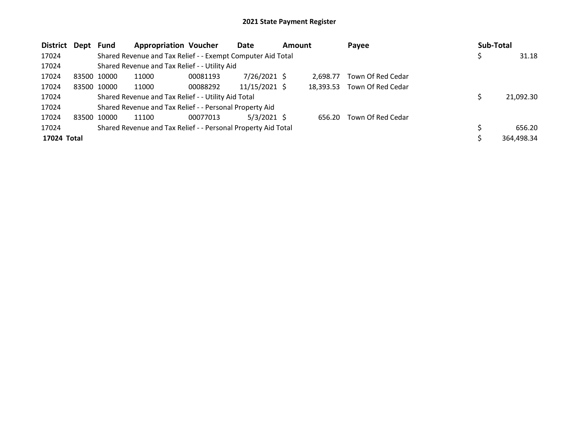| <b>District</b> | Dept  | Fund        | <b>Appropriation Voucher</b>                                  |          | Date          | <b>Amount</b> |           | Payee             | Sub-Total |            |
|-----------------|-------|-------------|---------------------------------------------------------------|----------|---------------|---------------|-----------|-------------------|-----------|------------|
| 17024           |       |             | Shared Revenue and Tax Relief - - Exempt Computer Aid Total   |          |               |               |           |                   |           | 31.18      |
| 17024           |       |             | Shared Revenue and Tax Relief - - Utility Aid                 |          |               |               |           |                   |           |            |
| 17024           |       | 83500 10000 | 11000                                                         | 00081193 | 7/26/2021 \$  |               | 2.698.77  | Town Of Red Cedar |           |            |
| 17024           |       | 83500 10000 | 11000                                                         | 00088292 | 11/15/2021 \$ |               | 18.393.53 | Town Of Red Cedar |           |            |
| 17024           |       |             | Shared Revenue and Tax Relief - - Utility Aid Total           |          |               | 21,092.30     |           |                   |           |            |
| 17024           |       |             | Shared Revenue and Tax Relief - - Personal Property Aid       |          |               |               |           |                   |           |            |
| 17024           | 83500 | 10000       | 11100                                                         | 00077013 | $5/3/2021$ \$ |               | 656.20    | Town Of Red Cedar |           |            |
| 17024           |       |             | Shared Revenue and Tax Relief - - Personal Property Aid Total |          |               |               |           |                   |           | 656.20     |
| 17024 Total     |       |             |                                                               |          |               |               |           |                   |           | 364,498.34 |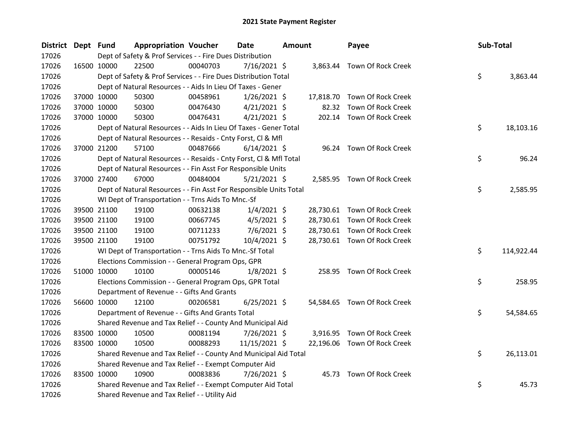| <b>District</b> | Dept Fund |                                                                                                            | <b>Appropriation Voucher</b>                                       |          | <b>Date</b><br><b>Amount</b> |  | Payee |                              | Sub-Total |    |            |
|-----------------|-----------|------------------------------------------------------------------------------------------------------------|--------------------------------------------------------------------|----------|------------------------------|--|-------|------------------------------|-----------|----|------------|
| 17026           |           | Dept of Safety & Prof Services - - Fire Dues Distribution<br>$7/16/2021$ \$<br>3,863.44 Town Of Rock Creek |                                                                    |          |                              |  |       |                              |           |    |            |
| 17026           |           | 16500 10000                                                                                                | 22500                                                              | 00040703 |                              |  |       |                              |           |    |            |
| 17026           |           |                                                                                                            | Dept of Safety & Prof Services - - Fire Dues Distribution Total    |          |                              |  |       |                              |           | \$ | 3,863.44   |
| 17026           |           |                                                                                                            | Dept of Natural Resources - - Aids In Lieu Of Taxes - Gener        |          |                              |  |       |                              |           |    |            |
| 17026           |           | 37000 10000                                                                                                | 50300                                                              | 00458961 | $1/26/2021$ \$               |  |       | 17,818.70 Town Of Rock Creek |           |    |            |
| 17026           |           | 37000 10000                                                                                                | 50300                                                              | 00476430 | $4/21/2021$ \$               |  | 82.32 | Town Of Rock Creek           |           |    |            |
| 17026           |           | 37000 10000                                                                                                | 50300                                                              | 00476431 | $4/21/2021$ \$               |  |       | 202.14 Town Of Rock Creek    |           |    |            |
| 17026           |           |                                                                                                            | Dept of Natural Resources - - Aids In Lieu Of Taxes - Gener Total  |          |                              |  |       |                              |           | \$ | 18,103.16  |
| 17026           |           |                                                                                                            | Dept of Natural Resources - - Resaids - Cnty Forst, Cl & Mfl       |          |                              |  |       |                              |           |    |            |
| 17026           |           | 37000 21200                                                                                                | 57100                                                              | 00487666 | $6/14/2021$ \$               |  |       | 96.24 Town Of Rock Creek     |           |    |            |
| 17026           |           |                                                                                                            | Dept of Natural Resources - - Resaids - Cnty Forst, Cl & Mfl Total |          |                              |  |       |                              |           | \$ | 96.24      |
| 17026           |           |                                                                                                            | Dept of Natural Resources - - Fin Asst For Responsible Units       |          |                              |  |       |                              |           |    |            |
| 17026           |           | 37000 27400                                                                                                | 67000                                                              | 00484004 | $5/21/2021$ \$               |  |       | 2,585.95 Town Of Rock Creek  |           |    |            |
| 17026           |           |                                                                                                            | Dept of Natural Resources - - Fin Asst For Responsible Units Total |          |                              |  |       |                              |           | \$ | 2,585.95   |
| 17026           |           |                                                                                                            | WI Dept of Transportation - - Trns Aids To Mnc.-Sf                 |          |                              |  |       |                              |           |    |            |
| 17026           |           | 39500 21100                                                                                                | 19100                                                              | 00632138 | $1/4/2021$ \$                |  |       | 28,730.61 Town Of Rock Creek |           |    |            |
| 17026           |           | 39500 21100                                                                                                | 19100                                                              | 00667745 | $4/5/2021$ \$                |  |       | 28,730.61 Town Of Rock Creek |           |    |            |
| 17026           |           | 39500 21100                                                                                                | 19100                                                              | 00711233 | $7/6/2021$ \$                |  |       | 28,730.61 Town Of Rock Creek |           |    |            |
| 17026           |           | 39500 21100                                                                                                | 19100                                                              | 00751792 | 10/4/2021 \$                 |  |       | 28,730.61 Town Of Rock Creek |           |    |            |
| 17026           |           |                                                                                                            | WI Dept of Transportation - - Trns Aids To Mnc.-Sf Total           |          |                              |  |       |                              |           | \$ | 114,922.44 |
| 17026           |           |                                                                                                            | Elections Commission - - General Program Ops, GPR                  |          |                              |  |       |                              |           |    |            |
| 17026           |           | 51000 10000                                                                                                | 10100                                                              | 00005146 | $1/8/2021$ \$                |  |       | 258.95 Town Of Rock Creek    |           |    |            |
| 17026           |           |                                                                                                            | Elections Commission - - General Program Ops, GPR Total            |          |                              |  |       |                              |           | \$ | 258.95     |
| 17026           |           |                                                                                                            | Department of Revenue - - Gifts And Grants                         |          |                              |  |       |                              |           |    |            |
| 17026           |           | 56600 10000                                                                                                | 12100                                                              | 00206581 | $6/25/2021$ \$               |  |       | 54,584.65 Town Of Rock Creek |           |    |            |
| 17026           |           |                                                                                                            | Department of Revenue - - Gifts And Grants Total                   |          |                              |  |       |                              |           | \$ | 54,584.65  |
| 17026           |           |                                                                                                            | Shared Revenue and Tax Relief - - County And Municipal Aid         |          |                              |  |       |                              |           |    |            |
| 17026           |           | 83500 10000                                                                                                | 10500                                                              | 00081194 | 7/26/2021 \$                 |  |       | 3,916.95 Town Of Rock Creek  |           |    |            |
| 17026           |           | 83500 10000                                                                                                | 10500                                                              | 00088293 | 11/15/2021 \$                |  |       | 22,196.06 Town Of Rock Creek |           |    |            |
| 17026           |           |                                                                                                            | Shared Revenue and Tax Relief - - County And Municipal Aid Total   |          |                              |  |       |                              |           | \$ | 26,113.01  |
| 17026           |           |                                                                                                            | Shared Revenue and Tax Relief - - Exempt Computer Aid              |          |                              |  |       |                              |           |    |            |
| 17026           |           | 83500 10000                                                                                                | 10900                                                              | 00083836 | 7/26/2021 \$                 |  |       | 45.73 Town Of Rock Creek     |           |    |            |
| 17026           |           |                                                                                                            | Shared Revenue and Tax Relief - - Exempt Computer Aid Total        |          |                              |  |       |                              |           | \$ | 45.73      |
| 17026           |           |                                                                                                            | Shared Revenue and Tax Relief - - Utility Aid                      |          |                              |  |       |                              |           |    |            |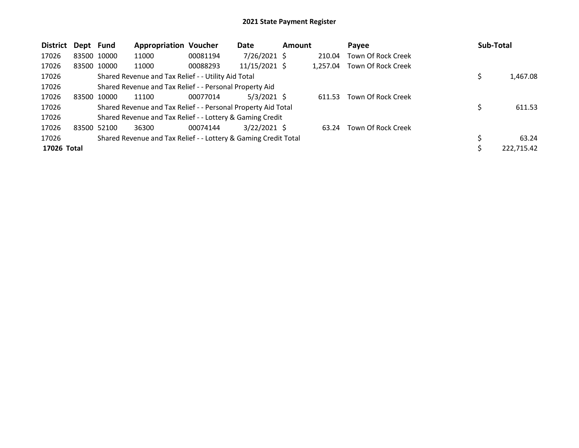| <b>District</b> | Dept Fund |             | <b>Appropriation Voucher</b>                                    |          | Date           | <b>Amount</b> |          | Payee              | Sub-Total |            |
|-----------------|-----------|-------------|-----------------------------------------------------------------|----------|----------------|---------------|----------|--------------------|-----------|------------|
| 17026           |           | 83500 10000 | 11000                                                           | 00081194 | $7/26/2021$ \$ |               | 210.04   | Town Of Rock Creek |           |            |
| 17026           |           | 83500 10000 | 11000                                                           | 00088293 | 11/15/2021 \$  |               | 1.257.04 | Town Of Rock Creek |           |            |
| 17026           |           |             | Shared Revenue and Tax Relief - - Utility Aid Total             |          |                |               |          |                    | \$        | 1,467.08   |
| 17026           |           |             | Shared Revenue and Tax Relief - - Personal Property Aid         |          |                |               |          |                    |           |            |
| 17026           |           | 83500 10000 | 11100                                                           | 00077014 | $5/3/2021$ \$  |               | 611.53   | Town Of Rock Creek |           |            |
| 17026           |           |             | Shared Revenue and Tax Relief - - Personal Property Aid Total   |          |                |               |          |                    | \$        | 611.53     |
| 17026           |           |             | Shared Revenue and Tax Relief - - Lottery & Gaming Credit       |          |                |               |          |                    |           |            |
| 17026           |           | 83500 52100 | 36300                                                           | 00074144 | $3/22/2021$ \$ |               | 63.24    | Town Of Rock Creek |           |            |
| 17026           |           |             | Shared Revenue and Tax Relief - - Lottery & Gaming Credit Total |          |                |               |          |                    |           | 63.24      |
| 17026 Total     |           |             |                                                                 |          |                |               |          |                    |           | 222,715.42 |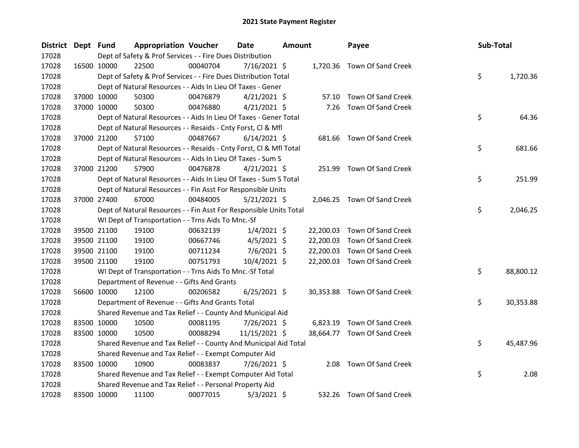| <b>District</b> | Dept Fund |             | <b>Appropriation Voucher</b>                                       |          | Date           | Amount |           | Payee                        | Sub-Total |           |
|-----------------|-----------|-------------|--------------------------------------------------------------------|----------|----------------|--------|-----------|------------------------------|-----------|-----------|
| 17028           |           |             | Dept of Safety & Prof Services - - Fire Dues Distribution          |          |                |        |           |                              |           |           |
| 17028           |           | 16500 10000 | 22500                                                              | 00040704 | 7/16/2021 \$   |        |           | 1,720.36 Town Of Sand Creek  |           |           |
| 17028           |           |             | Dept of Safety & Prof Services - - Fire Dues Distribution Total    |          |                |        |           |                              | \$        | 1,720.36  |
| 17028           |           |             | Dept of Natural Resources - - Aids In Lieu Of Taxes - Gener        |          |                |        |           |                              |           |           |
| 17028           |           | 37000 10000 | 50300                                                              | 00476879 | $4/21/2021$ \$ |        |           | 57.10 Town Of Sand Creek     |           |           |
| 17028           |           | 37000 10000 | 50300                                                              | 00476880 | $4/21/2021$ \$ |        | 7.26      | Town Of Sand Creek           |           |           |
| 17028           |           |             | Dept of Natural Resources - - Aids In Lieu Of Taxes - Gener Total  |          |                |        |           |                              | \$        | 64.36     |
| 17028           |           |             | Dept of Natural Resources - - Resaids - Cnty Forst, Cl & Mfl       |          |                |        |           |                              |           |           |
| 17028           |           | 37000 21200 | 57100                                                              | 00487667 | $6/14/2021$ \$ |        |           | 681.66 Town Of Sand Creek    |           |           |
| 17028           |           |             | Dept of Natural Resources - - Resaids - Cnty Forst, Cl & Mfl Total |          |                |        |           |                              | \$        | 681.66    |
| 17028           |           |             | Dept of Natural Resources - - Aids In Lieu Of Taxes - Sum S        |          |                |        |           |                              |           |           |
| 17028           |           | 37000 21200 | 57900                                                              | 00476878 | $4/21/2021$ \$ |        |           | 251.99 Town Of Sand Creek    |           |           |
| 17028           |           |             | Dept of Natural Resources - - Aids In Lieu Of Taxes - Sum S Total  |          |                |        |           |                              | \$        | 251.99    |
| 17028           |           |             | Dept of Natural Resources - - Fin Asst For Responsible Units       |          |                |        |           |                              |           |           |
| 17028           |           | 37000 27400 | 67000                                                              | 00484005 | $5/21/2021$ \$ |        |           | 2,046.25 Town Of Sand Creek  |           |           |
| 17028           |           |             | Dept of Natural Resources - - Fin Asst For Responsible Units Total |          |                |        |           |                              | \$        | 2,046.25  |
| 17028           |           |             | WI Dept of Transportation - - Trns Aids To Mnc.-Sf                 |          |                |        |           |                              |           |           |
| 17028           |           | 39500 21100 | 19100                                                              | 00632139 | $1/4/2021$ \$  |        | 22,200.03 | Town Of Sand Creek           |           |           |
| 17028           |           | 39500 21100 | 19100                                                              | 00667746 | $4/5/2021$ \$  |        | 22,200.03 | Town Of Sand Creek           |           |           |
| 17028           |           | 39500 21100 | 19100                                                              | 00711234 | $7/6/2021$ \$  |        | 22,200.03 | Town Of Sand Creek           |           |           |
| 17028           |           | 39500 21100 | 19100                                                              | 00751793 | 10/4/2021 \$   |        | 22,200.03 | Town Of Sand Creek           |           |           |
| 17028           |           |             | WI Dept of Transportation - - Trns Aids To Mnc.-Sf Total           |          |                |        |           |                              | \$        | 88,800.12 |
| 17028           |           |             | Department of Revenue - - Gifts And Grants                         |          |                |        |           |                              |           |           |
| 17028           |           | 56600 10000 | 12100                                                              | 00206582 | $6/25/2021$ \$ |        |           | 30,353.88 Town Of Sand Creek |           |           |
| 17028           |           |             | Department of Revenue - - Gifts And Grants Total                   |          |                |        |           |                              | \$.       | 30,353.88 |
| 17028           |           |             | Shared Revenue and Tax Relief - - County And Municipal Aid         |          |                |        |           |                              |           |           |
| 17028           |           | 83500 10000 | 10500                                                              | 00081195 | 7/26/2021 \$   |        |           | 6,823.19 Town Of Sand Creek  |           |           |
| 17028           |           | 83500 10000 | 10500                                                              | 00088294 | 11/15/2021 \$  |        |           | 38,664.77 Town Of Sand Creek |           |           |
| 17028           |           |             | Shared Revenue and Tax Relief - - County And Municipal Aid Total   |          |                |        |           |                              | \$.       | 45,487.96 |
| 17028           |           |             | Shared Revenue and Tax Relief - - Exempt Computer Aid              |          |                |        |           |                              |           |           |
| 17028           |           | 83500 10000 | 10900                                                              | 00083837 | $7/26/2021$ \$ |        |           | 2.08 Town Of Sand Creek      |           |           |
| 17028           |           |             | Shared Revenue and Tax Relief - - Exempt Computer Aid Total        |          |                |        |           |                              | \$        | 2.08      |
| 17028           |           |             | Shared Revenue and Tax Relief - - Personal Property Aid            |          |                |        |           |                              |           |           |
| 17028           |           | 83500 10000 | 11100                                                              | 00077015 | $5/3/2021$ \$  |        |           | 532.26 Town Of Sand Creek    |           |           |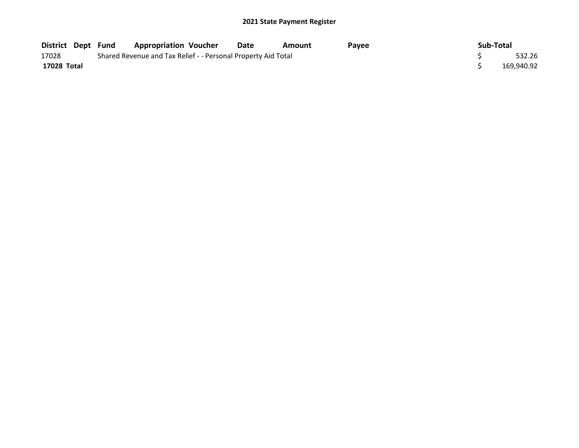| District Dept Fund |                                                               | <b>Appropriation Voucher</b> | Date   | Amount | Pavee |  | Sub-Total |            |
|--------------------|---------------------------------------------------------------|------------------------------|--------|--------|-------|--|-----------|------------|
| 17028              | Shared Revenue and Tax Relief - - Personal Property Aid Total |                              | 532.26 |        |       |  |           |            |
| 17028 Total        |                                                               |                              |        |        |       |  |           | 169,940.92 |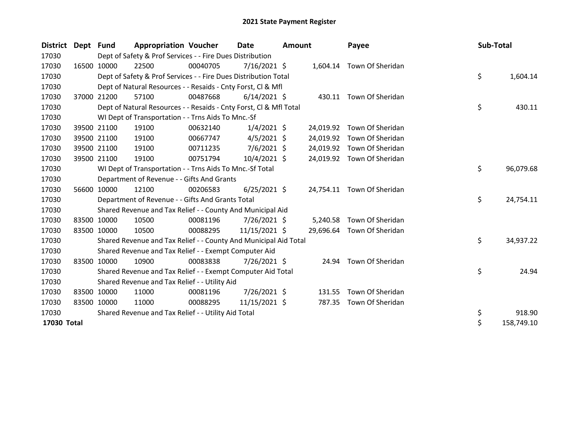| <b>District</b> | Dept Fund |             | <b>Appropriation Voucher</b>                                       |          | <b>Date</b>    | <b>Amount</b> |           | Payee                      |  | Sub-Total |            |
|-----------------|-----------|-------------|--------------------------------------------------------------------|----------|----------------|---------------|-----------|----------------------------|--|-----------|------------|
| 17030           |           |             | Dept of Safety & Prof Services - - Fire Dues Distribution          |          |                |               |           |                            |  |           |            |
| 17030           |           | 16500 10000 | 22500                                                              | 00040705 | $7/16/2021$ \$ |               |           | 1,604.14 Town Of Sheridan  |  |           |            |
| 17030           |           |             | Dept of Safety & Prof Services - - Fire Dues Distribution Total    |          |                |               |           |                            |  | \$        | 1,604.14   |
| 17030           |           |             | Dept of Natural Resources - - Resaids - Cnty Forst, CI & Mfl       |          |                |               |           |                            |  |           |            |
| 17030           |           | 37000 21200 | 57100                                                              | 00487668 | $6/14/2021$ \$ |               |           | 430.11 Town Of Sheridan    |  |           |            |
| 17030           |           |             | Dept of Natural Resources - - Resaids - Cnty Forst, Cl & Mfl Total |          |                |               |           |                            |  | \$        | 430.11     |
| 17030           |           |             | WI Dept of Transportation - - Trns Aids To Mnc.-Sf                 |          |                |               |           |                            |  |           |            |
| 17030           |           | 39500 21100 | 19100                                                              | 00632140 | $1/4/2021$ \$  |               | 24,019.92 | Town Of Sheridan           |  |           |            |
| 17030           |           | 39500 21100 | 19100                                                              | 00667747 | $4/5/2021$ \$  |               | 24,019.92 | Town Of Sheridan           |  |           |            |
| 17030           |           | 39500 21100 | 19100                                                              | 00711235 | $7/6/2021$ \$  |               | 24,019.92 | Town Of Sheridan           |  |           |            |
| 17030           |           | 39500 21100 | 19100                                                              | 00751794 | 10/4/2021 \$   |               |           | 24,019.92 Town Of Sheridan |  |           |            |
| 17030           |           |             | WI Dept of Transportation - - Trns Aids To Mnc.-Sf Total           |          |                |               |           |                            |  |           | 96,079.68  |
| 17030           |           |             | Department of Revenue - - Gifts And Grants                         |          |                |               |           |                            |  |           |            |
| 17030           |           | 56600 10000 | 12100                                                              | 00206583 | $6/25/2021$ \$ |               |           | 24,754.11 Town Of Sheridan |  |           |            |
| 17030           |           |             | Department of Revenue - - Gifts And Grants Total                   |          |                |               |           |                            |  | \$        | 24,754.11  |
| 17030           |           |             | Shared Revenue and Tax Relief - - County And Municipal Aid         |          |                |               |           |                            |  |           |            |
| 17030           |           | 83500 10000 | 10500                                                              | 00081196 | $7/26/2021$ \$ |               | 5,240.58  | Town Of Sheridan           |  |           |            |
| 17030           |           | 83500 10000 | 10500                                                              | 00088295 | 11/15/2021 \$  |               |           | 29,696.64 Town Of Sheridan |  |           |            |
| 17030           |           |             | Shared Revenue and Tax Relief - - County And Municipal Aid Total   |          |                |               |           |                            |  | \$        | 34,937.22  |
| 17030           |           |             | Shared Revenue and Tax Relief - - Exempt Computer Aid              |          |                |               |           |                            |  |           |            |
| 17030           |           | 83500 10000 | 10900                                                              | 00083838 | 7/26/2021 \$   |               |           | 24.94 Town Of Sheridan     |  |           |            |
| 17030           |           |             | Shared Revenue and Tax Relief - - Exempt Computer Aid Total        |          |                |               |           |                            |  | \$        | 24.94      |
| 17030           |           |             | Shared Revenue and Tax Relief - - Utility Aid                      |          |                |               |           |                            |  |           |            |
| 17030           |           | 83500 10000 | 11000                                                              | 00081196 | 7/26/2021 \$   |               | 131.55    | Town Of Sheridan           |  |           |            |
| 17030           |           | 83500 10000 | 11000                                                              | 00088295 | 11/15/2021 \$  |               | 787.35    | Town Of Sheridan           |  |           |            |
| 17030           |           |             | Shared Revenue and Tax Relief - - Utility Aid Total                |          |                |               |           |                            |  | \$        | 918.90     |
| 17030 Total     |           |             |                                                                    |          |                |               |           |                            |  | \$        | 158,749.10 |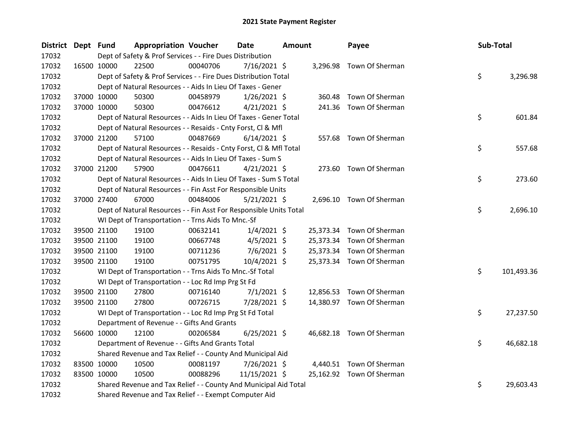| <b>District</b> | Dept Fund |             | <b>Appropriation Voucher</b>                                       |          | <b>Date</b><br>Amount |  | Payee  | Sub-Total                 |    |            |
|-----------------|-----------|-------------|--------------------------------------------------------------------|----------|-----------------------|--|--------|---------------------------|----|------------|
| 17032           |           |             | Dept of Safety & Prof Services - - Fire Dues Distribution          |          |                       |  |        |                           |    |            |
| 17032           |           | 16500 10000 | 22500                                                              | 00040706 | $7/16/2021$ \$        |  |        | 3,296.98 Town Of Sherman  |    |            |
| 17032           |           |             | Dept of Safety & Prof Services - - Fire Dues Distribution Total    |          |                       |  |        |                           | \$ | 3,296.98   |
| 17032           |           |             | Dept of Natural Resources - - Aids In Lieu Of Taxes - Gener        |          |                       |  |        |                           |    |            |
| 17032           |           | 37000 10000 | 50300                                                              | 00458979 | $1/26/2021$ \$        |  | 360.48 | Town Of Sherman           |    |            |
| 17032           |           | 37000 10000 | 50300                                                              | 00476612 | $4/21/2021$ \$        |  |        | 241.36 Town Of Sherman    |    |            |
| 17032           |           |             | Dept of Natural Resources - - Aids In Lieu Of Taxes - Gener Total  |          |                       |  |        |                           | \$ | 601.84     |
| 17032           |           |             | Dept of Natural Resources - - Resaids - Cnty Forst, Cl & Mfl       |          |                       |  |        |                           |    |            |
| 17032           |           | 37000 21200 | 57100                                                              | 00487669 | $6/14/2021$ \$        |  |        | 557.68 Town Of Sherman    |    |            |
| 17032           |           |             | Dept of Natural Resources - - Resaids - Cnty Forst, Cl & Mfl Total |          |                       |  |        |                           | \$ | 557.68     |
| 17032           |           |             | Dept of Natural Resources - - Aids In Lieu Of Taxes - Sum S        |          |                       |  |        |                           |    |            |
| 17032           |           | 37000 21200 | 57900                                                              | 00476611 | $4/21/2021$ \$        |  |        | 273.60 Town Of Sherman    |    |            |
| 17032           |           |             | Dept of Natural Resources - - Aids In Lieu Of Taxes - Sum S Total  |          |                       |  |        |                           | \$ | 273.60     |
| 17032           |           |             | Dept of Natural Resources - - Fin Asst For Responsible Units       |          |                       |  |        |                           |    |            |
| 17032           |           | 37000 27400 | 67000                                                              | 00484006 | $5/21/2021$ \$        |  |        | 2,696.10 Town Of Sherman  |    |            |
| 17032           |           |             | Dept of Natural Resources - - Fin Asst For Responsible Units Total |          |                       |  |        |                           | \$ | 2,696.10   |
| 17032           |           |             | WI Dept of Transportation - - Trns Aids To Mnc.-Sf                 |          |                       |  |        |                           |    |            |
| 17032           |           | 39500 21100 | 19100                                                              | 00632141 | $1/4/2021$ \$         |  |        | 25,373.34 Town Of Sherman |    |            |
| 17032           |           | 39500 21100 | 19100                                                              | 00667748 | $4/5/2021$ \$         |  |        | 25,373.34 Town Of Sherman |    |            |
| 17032           |           | 39500 21100 | 19100                                                              | 00711236 | $7/6/2021$ \$         |  |        | 25,373.34 Town Of Sherman |    |            |
| 17032           |           | 39500 21100 | 19100                                                              | 00751795 | 10/4/2021 \$          |  |        | 25,373.34 Town Of Sherman |    |            |
| 17032           |           |             | WI Dept of Transportation - - Trns Aids To Mnc.-Sf Total           |          |                       |  |        |                           | \$ | 101,493.36 |
| 17032           |           |             | WI Dept of Transportation - - Loc Rd Imp Prg St Fd                 |          |                       |  |        |                           |    |            |
| 17032           |           | 39500 21100 | 27800                                                              | 00716140 | $7/1/2021$ \$         |  |        | 12,856.53 Town Of Sherman |    |            |
| 17032           |           | 39500 21100 | 27800                                                              | 00726715 | 7/28/2021 \$          |  |        | 14,380.97 Town Of Sherman |    |            |
| 17032           |           |             | WI Dept of Transportation - - Loc Rd Imp Prg St Fd Total           |          |                       |  |        |                           | \$ | 27,237.50  |
| 17032           |           |             | Department of Revenue - - Gifts And Grants                         |          |                       |  |        |                           |    |            |
| 17032           |           | 56600 10000 | 12100                                                              | 00206584 | $6/25/2021$ \$        |  |        | 46,682.18 Town Of Sherman |    |            |
| 17032           |           |             | Department of Revenue - - Gifts And Grants Total                   |          |                       |  |        |                           | \$ | 46,682.18  |
| 17032           |           |             | Shared Revenue and Tax Relief - - County And Municipal Aid         |          |                       |  |        |                           |    |            |
| 17032           |           | 83500 10000 | 10500                                                              | 00081197 | 7/26/2021 \$          |  |        | 4,440.51 Town Of Sherman  |    |            |
| 17032           |           | 83500 10000 | 10500                                                              | 00088296 | 11/15/2021 \$         |  |        | 25,162.92 Town Of Sherman |    |            |
| 17032           |           |             | Shared Revenue and Tax Relief - - County And Municipal Aid Total   |          |                       |  |        |                           | \$ | 29,603.43  |
| 17032           |           |             | Shared Revenue and Tax Relief - - Exempt Computer Aid              |          |                       |  |        |                           |    |            |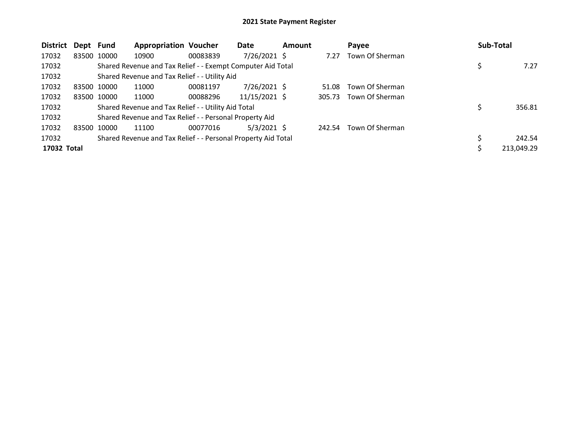| <b>District</b> | Dept Fund |             | <b>Appropriation Voucher</b>                                  |          | Date           | <b>Amount</b> |        | Payee           | <b>Sub-Total</b> |
|-----------------|-----------|-------------|---------------------------------------------------------------|----------|----------------|---------------|--------|-----------------|------------------|
| 17032           |           | 83500 10000 | 10900                                                         | 00083839 | 7/26/2021 \$   |               | 7.27   | Town Of Sherman |                  |
| 17032           |           |             | Shared Revenue and Tax Relief - - Exempt Computer Aid Total   |          |                |               |        |                 | 7.27             |
| 17032           |           |             | Shared Revenue and Tax Relief - - Utility Aid                 |          |                |               |        |                 |                  |
| 17032           |           | 83500 10000 | 11000                                                         | 00081197 | $7/26/2021$ \$ |               | 51.08  | Town Of Sherman |                  |
| 17032           |           | 83500 10000 | 11000                                                         | 00088296 | 11/15/2021 \$  |               | 305.73 | Town Of Sherman |                  |
| 17032           |           |             | Shared Revenue and Tax Relief - - Utility Aid Total           |          |                |               |        |                 | \$<br>356.81     |
| 17032           |           |             | Shared Revenue and Tax Relief - - Personal Property Aid       |          |                |               |        |                 |                  |
| 17032           |           | 83500 10000 | 11100                                                         | 00077016 | $5/3/2021$ \$  |               | 242.54 | Town Of Sherman |                  |
| 17032           |           |             | Shared Revenue and Tax Relief - - Personal Property Aid Total |          |                |               |        |                 | 242.54           |
| 17032 Total     |           |             |                                                               |          |                |               |        |                 | 213,049.29       |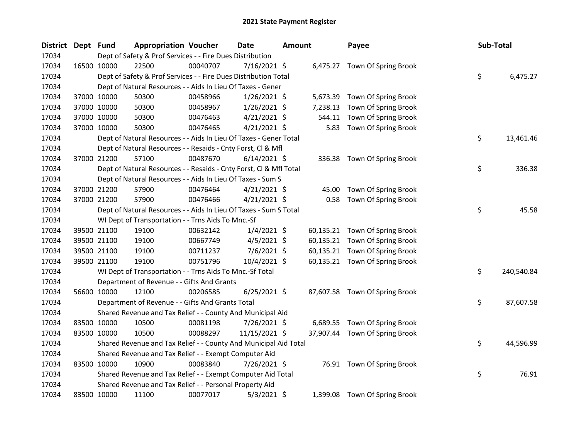| <b>District</b> | Dept Fund |             | <b>Appropriation Voucher</b>                                       |          | <b>Date</b>    | <b>Amount</b> |           | Payee                          | Sub-Total |            |
|-----------------|-----------|-------------|--------------------------------------------------------------------|----------|----------------|---------------|-----------|--------------------------------|-----------|------------|
| 17034           |           |             | Dept of Safety & Prof Services - - Fire Dues Distribution          |          |                |               |           |                                |           |            |
| 17034           |           | 16500 10000 | 22500                                                              | 00040707 | $7/16/2021$ \$ |               |           | 6,475.27 Town Of Spring Brook  |           |            |
| 17034           |           |             | Dept of Safety & Prof Services - - Fire Dues Distribution Total    |          |                |               |           |                                | \$        | 6,475.27   |
| 17034           |           |             | Dept of Natural Resources - - Aids In Lieu Of Taxes - Gener        |          |                |               |           |                                |           |            |
| 17034           |           | 37000 10000 | 50300                                                              | 00458966 | $1/26/2021$ \$ |               | 5,673.39  | Town Of Spring Brook           |           |            |
| 17034           |           | 37000 10000 | 50300                                                              | 00458967 | $1/26/2021$ \$ |               | 7,238.13  | Town Of Spring Brook           |           |            |
| 17034           |           | 37000 10000 | 50300                                                              | 00476463 | $4/21/2021$ \$ |               | 544.11    | Town Of Spring Brook           |           |            |
| 17034           |           | 37000 10000 | 50300                                                              | 00476465 | $4/21/2021$ \$ |               | 5.83      | Town Of Spring Brook           |           |            |
| 17034           |           |             | Dept of Natural Resources - - Aids In Lieu Of Taxes - Gener Total  |          |                |               |           |                                | \$        | 13,461.46  |
| 17034           |           |             | Dept of Natural Resources - - Resaids - Cnty Forst, Cl & Mfl       |          |                |               |           |                                |           |            |
| 17034           |           | 37000 21200 | 57100                                                              | 00487670 | $6/14/2021$ \$ |               |           | 336.38 Town Of Spring Brook    |           |            |
| 17034           |           |             | Dept of Natural Resources - - Resaids - Cnty Forst, Cl & Mfl Total |          |                |               |           |                                | \$        | 336.38     |
| 17034           |           |             | Dept of Natural Resources - - Aids In Lieu Of Taxes - Sum S        |          |                |               |           |                                |           |            |
| 17034           |           | 37000 21200 | 57900                                                              | 00476464 | $4/21/2021$ \$ |               | 45.00     | Town Of Spring Brook           |           |            |
| 17034           |           | 37000 21200 | 57900                                                              | 00476466 | $4/21/2021$ \$ |               | 0.58      | Town Of Spring Brook           |           |            |
| 17034           |           |             | Dept of Natural Resources - - Aids In Lieu Of Taxes - Sum S Total  |          |                |               |           |                                | \$        | 45.58      |
| 17034           |           |             | WI Dept of Transportation - - Trns Aids To Mnc.-Sf                 |          |                |               |           |                                |           |            |
| 17034           |           | 39500 21100 | 19100                                                              | 00632142 | $1/4/2021$ \$  |               |           | 60,135.21 Town Of Spring Brook |           |            |
| 17034           |           | 39500 21100 | 19100                                                              | 00667749 | $4/5/2021$ \$  |               | 60,135.21 | Town Of Spring Brook           |           |            |
| 17034           |           | 39500 21100 | 19100                                                              | 00711237 | $7/6/2021$ \$  |               | 60,135.21 | Town Of Spring Brook           |           |            |
| 17034           |           | 39500 21100 | 19100                                                              | 00751796 | 10/4/2021 \$   |               |           | 60,135.21 Town Of Spring Brook |           |            |
| 17034           |           |             | WI Dept of Transportation - - Trns Aids To Mnc.-Sf Total           |          |                |               |           |                                | \$        | 240,540.84 |
| 17034           |           |             | Department of Revenue - - Gifts And Grants                         |          |                |               |           |                                |           |            |
| 17034           |           | 56600 10000 | 12100                                                              | 00206585 | $6/25/2021$ \$ |               | 87,607.58 | Town Of Spring Brook           |           |            |
| 17034           |           |             | Department of Revenue - - Gifts And Grants Total                   |          |                |               |           |                                | \$        | 87,607.58  |
| 17034           |           |             | Shared Revenue and Tax Relief - - County And Municipal Aid         |          |                |               |           |                                |           |            |
| 17034           |           | 83500 10000 | 10500                                                              | 00081198 | 7/26/2021 \$   |               | 6,689.55  | Town Of Spring Brook           |           |            |
| 17034           |           | 83500 10000 | 10500                                                              | 00088297 | 11/15/2021 \$  |               | 37,907.44 | Town Of Spring Brook           |           |            |
| 17034           |           |             | Shared Revenue and Tax Relief - - County And Municipal Aid Total   |          |                |               |           |                                | \$        | 44,596.99  |
| 17034           |           |             | Shared Revenue and Tax Relief - - Exempt Computer Aid              |          |                |               |           |                                |           |            |
| 17034           |           | 83500 10000 | 10900                                                              | 00083840 | 7/26/2021 \$   |               |           | 76.91 Town Of Spring Brook     |           |            |
| 17034           |           |             | Shared Revenue and Tax Relief - - Exempt Computer Aid Total        |          |                |               |           |                                | \$        | 76.91      |
| 17034           |           |             | Shared Revenue and Tax Relief - - Personal Property Aid            |          |                |               |           |                                |           |            |
| 17034           |           | 83500 10000 | 11100                                                              | 00077017 | $5/3/2021$ \$  |               | 1,399.08  | Town Of Spring Brook           |           |            |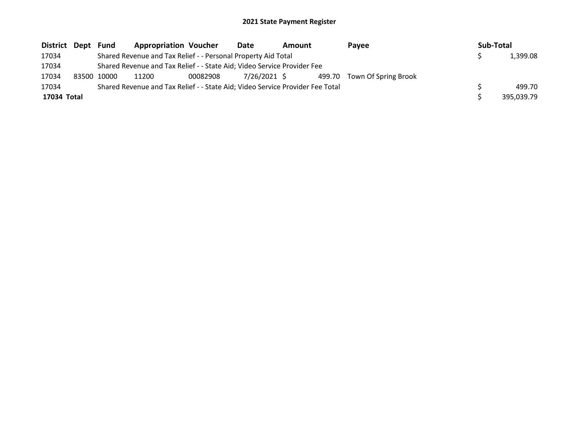| District Dept | Fund        | <b>Appropriation Voucher</b>                                                  |          | Date         | <b>Amount</b> |  | Pavee                       |  | Sub-Total |            |
|---------------|-------------|-------------------------------------------------------------------------------|----------|--------------|---------------|--|-----------------------------|--|-----------|------------|
| 17034         |             | Shared Revenue and Tax Relief - - Personal Property Aid Total                 |          |              |               |  |                             |  |           | 1,399.08   |
| 17034         |             | Shared Revenue and Tax Relief - - State Aid; Video Service Provider Fee       |          |              |               |  |                             |  |           |            |
| 17034         | 83500 10000 | 11200                                                                         | 00082908 | 7/26/2021 \$ |               |  | 499.70 Town Of Spring Brook |  |           |            |
| 17034         |             | Shared Revenue and Tax Relief - - State Aid; Video Service Provider Fee Total |          |              |               |  |                             |  |           | 499.70     |
| 17034 Total   |             |                                                                               |          |              |               |  |                             |  |           | 395.039.79 |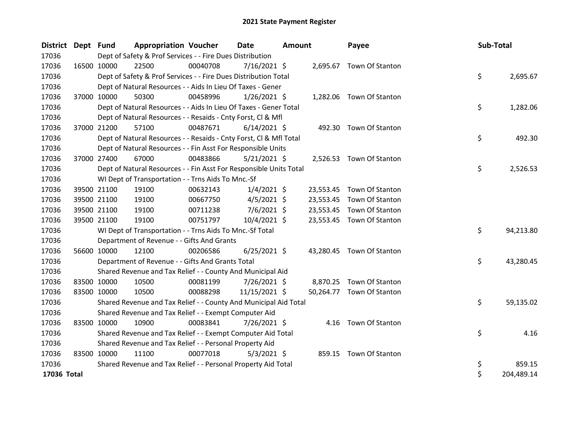| District Dept Fund |             |             | <b>Appropriation Voucher</b>                                       |          | <b>Date</b>    | <b>Amount</b> |           | Payee                     |  | Sub-Total |            |
|--------------------|-------------|-------------|--------------------------------------------------------------------|----------|----------------|---------------|-----------|---------------------------|--|-----------|------------|
| 17036              |             |             | Dept of Safety & Prof Services - - Fire Dues Distribution          |          |                |               |           |                           |  |           |            |
| 17036              |             | 16500 10000 | 22500                                                              | 00040708 | $7/16/2021$ \$ |               |           | 2,695.67 Town Of Stanton  |  |           |            |
| 17036              |             |             | Dept of Safety & Prof Services - - Fire Dues Distribution Total    |          |                |               |           |                           |  | \$        | 2,695.67   |
| 17036              |             |             | Dept of Natural Resources - - Aids In Lieu Of Taxes - Gener        |          |                |               |           |                           |  |           |            |
| 17036              |             | 37000 10000 | 50300                                                              | 00458996 | $1/26/2021$ \$ |               | 1,282.06  | Town Of Stanton           |  |           |            |
| 17036              |             |             | Dept of Natural Resources - - Aids In Lieu Of Taxes - Gener Total  |          |                |               |           |                           |  | \$        | 1,282.06   |
| 17036              |             |             | Dept of Natural Resources - - Resaids - Cnty Forst, Cl & Mfl       |          |                |               |           |                           |  |           |            |
| 17036              |             | 37000 21200 | 57100                                                              | 00487671 | $6/14/2021$ \$ |               |           | 492.30 Town Of Stanton    |  |           |            |
| 17036              |             |             | Dept of Natural Resources - - Resaids - Cnty Forst, Cl & Mfl Total |          |                |               |           |                           |  | \$        | 492.30     |
| 17036              |             |             | Dept of Natural Resources - - Fin Asst For Responsible Units       |          |                |               |           |                           |  |           |            |
| 17036              |             | 37000 27400 | 67000                                                              | 00483866 | $5/21/2021$ \$ |               |           | 2,526.53 Town Of Stanton  |  |           |            |
| 17036              |             |             | Dept of Natural Resources - - Fin Asst For Responsible Units Total |          |                |               |           |                           |  | \$        | 2,526.53   |
| 17036              |             |             | WI Dept of Transportation - - Trns Aids To Mnc.-Sf                 |          |                |               |           |                           |  |           |            |
| 17036              |             | 39500 21100 | 19100                                                              | 00632143 | $1/4/2021$ \$  |               |           | 23,553.45 Town Of Stanton |  |           |            |
| 17036              |             | 39500 21100 | 19100                                                              | 00667750 | $4/5/2021$ \$  |               | 23,553.45 | Town Of Stanton           |  |           |            |
| 17036              |             | 39500 21100 | 19100                                                              | 00711238 | $7/6/2021$ \$  |               |           | 23,553.45 Town Of Stanton |  |           |            |
| 17036              |             | 39500 21100 | 19100                                                              | 00751797 | $10/4/2021$ \$ |               |           | 23,553.45 Town Of Stanton |  |           |            |
| 17036              |             |             | WI Dept of Transportation - - Trns Aids To Mnc.-Sf Total           |          |                |               |           |                           |  | \$        | 94,213.80  |
| 17036              |             |             | Department of Revenue - - Gifts And Grants                         |          |                |               |           |                           |  |           |            |
| 17036              |             | 56600 10000 | 12100                                                              | 00206586 | $6/25/2021$ \$ |               |           | 43,280.45 Town Of Stanton |  |           |            |
| 17036              |             |             | Department of Revenue - - Gifts And Grants Total                   |          |                |               |           |                           |  | \$        | 43,280.45  |
| 17036              |             |             | Shared Revenue and Tax Relief - - County And Municipal Aid         |          |                |               |           |                           |  |           |            |
| 17036              |             | 83500 10000 | 10500                                                              | 00081199 | 7/26/2021 \$   |               |           | 8,870.25 Town Of Stanton  |  |           |            |
| 17036              |             | 83500 10000 | 10500                                                              | 00088298 | 11/15/2021 \$  |               | 50,264.77 | Town Of Stanton           |  |           |            |
| 17036              |             |             | Shared Revenue and Tax Relief - - County And Municipal Aid Total   |          |                |               |           |                           |  | \$        | 59,135.02  |
| 17036              |             |             | Shared Revenue and Tax Relief - - Exempt Computer Aid              |          |                |               |           |                           |  |           |            |
| 17036              | 83500 10000 |             | 10900                                                              | 00083841 | 7/26/2021 \$   |               |           | 4.16 Town Of Stanton      |  |           |            |
| 17036              |             |             | Shared Revenue and Tax Relief - - Exempt Computer Aid Total        |          |                |               |           |                           |  | \$        | 4.16       |
| 17036              |             |             | Shared Revenue and Tax Relief - - Personal Property Aid            |          |                |               |           |                           |  |           |            |
| 17036              |             | 83500 10000 | 11100                                                              | 00077018 | $5/3/2021$ \$  |               |           | 859.15 Town Of Stanton    |  |           |            |
| 17036              |             |             | Shared Revenue and Tax Relief - - Personal Property Aid Total      |          |                |               |           |                           |  | \$        | 859.15     |
| 17036 Total        |             |             |                                                                    |          |                |               |           |                           |  | \$        | 204,489.14 |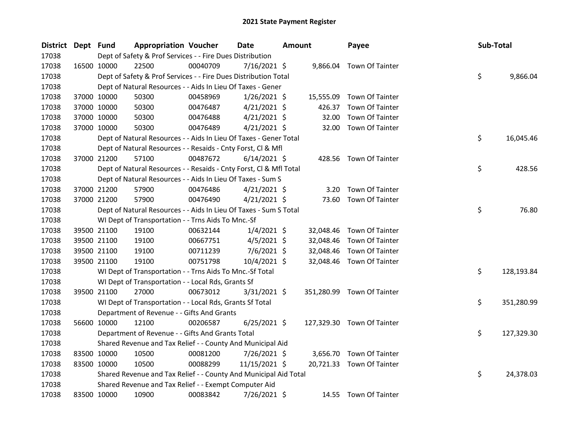| <b>District</b> | Dept Fund |             | <b>Appropriation Voucher</b>                                       |          | <b>Date</b>    | <b>Amount</b> |           | Payee                      | Sub-Total |            |
|-----------------|-----------|-------------|--------------------------------------------------------------------|----------|----------------|---------------|-----------|----------------------------|-----------|------------|
| 17038           |           |             | Dept of Safety & Prof Services - - Fire Dues Distribution          |          |                |               |           |                            |           |            |
| 17038           |           | 16500 10000 | 22500                                                              | 00040709 | $7/16/2021$ \$ |               | 9,866.04  | Town Of Tainter            |           |            |
| 17038           |           |             | Dept of Safety & Prof Services - - Fire Dues Distribution Total    |          |                |               |           |                            | \$        | 9,866.04   |
| 17038           |           |             | Dept of Natural Resources - - Aids In Lieu Of Taxes - Gener        |          |                |               |           |                            |           |            |
| 17038           |           | 37000 10000 | 50300                                                              | 00458969 | $1/26/2021$ \$ |               | 15,555.09 | Town Of Tainter            |           |            |
| 17038           |           | 37000 10000 | 50300                                                              | 00476487 | $4/21/2021$ \$ |               | 426.37    | Town Of Tainter            |           |            |
| 17038           |           | 37000 10000 | 50300                                                              | 00476488 | $4/21/2021$ \$ |               | 32.00     | Town Of Tainter            |           |            |
| 17038           |           | 37000 10000 | 50300                                                              | 00476489 | $4/21/2021$ \$ |               | 32.00     | <b>Town Of Tainter</b>     |           |            |
| 17038           |           |             | Dept of Natural Resources - - Aids In Lieu Of Taxes - Gener Total  |          |                |               |           |                            | \$        | 16,045.46  |
| 17038           |           |             | Dept of Natural Resources - - Resaids - Cnty Forst, Cl & Mfl       |          |                |               |           |                            |           |            |
| 17038           |           | 37000 21200 | 57100                                                              | 00487672 | $6/14/2021$ \$ |               |           | 428.56 Town Of Tainter     |           |            |
| 17038           |           |             | Dept of Natural Resources - - Resaids - Cnty Forst, Cl & Mfl Total |          |                |               |           |                            | \$        | 428.56     |
| 17038           |           |             | Dept of Natural Resources - - Aids In Lieu Of Taxes - Sum S        |          |                |               |           |                            |           |            |
| 17038           |           | 37000 21200 | 57900                                                              | 00476486 | $4/21/2021$ \$ |               | 3.20      | <b>Town Of Tainter</b>     |           |            |
| 17038           |           | 37000 21200 | 57900                                                              | 00476490 | $4/21/2021$ \$ |               |           | 73.60 Town Of Tainter      |           |            |
| 17038           |           |             | Dept of Natural Resources - - Aids In Lieu Of Taxes - Sum S Total  |          |                |               |           |                            | \$        | 76.80      |
| 17038           |           |             | WI Dept of Transportation - - Trns Aids To Mnc.-Sf                 |          |                |               |           |                            |           |            |
| 17038           |           | 39500 21100 | 19100                                                              | 00632144 | $1/4/2021$ \$  |               | 32,048.46 | Town Of Tainter            |           |            |
| 17038           |           | 39500 21100 | 19100                                                              | 00667751 | $4/5/2021$ \$  |               | 32,048.46 | Town Of Tainter            |           |            |
| 17038           |           | 39500 21100 | 19100                                                              | 00711239 | $7/6/2021$ \$  |               | 32,048.46 | Town Of Tainter            |           |            |
| 17038           |           | 39500 21100 | 19100                                                              | 00751798 | 10/4/2021 \$   |               |           | 32,048.46 Town Of Tainter  |           |            |
| 17038           |           |             | WI Dept of Transportation - - Trns Aids To Mnc.-Sf Total           |          |                |               |           |                            | \$        | 128,193.84 |
| 17038           |           |             | WI Dept of Transportation - - Local Rds, Grants Sf                 |          |                |               |           |                            |           |            |
| 17038           |           | 39500 21100 | 27000                                                              | 00673012 | $3/31/2021$ \$ |               |           | 351,280.99 Town Of Tainter |           |            |
| 17038           |           |             | WI Dept of Transportation - - Local Rds, Grants Sf Total           |          |                |               |           |                            | \$        | 351,280.99 |
| 17038           |           |             | Department of Revenue - - Gifts And Grants                         |          |                |               |           |                            |           |            |
| 17038           |           | 56600 10000 | 12100                                                              | 00206587 | $6/25/2021$ \$ |               |           | 127,329.30 Town Of Tainter |           |            |
| 17038           |           |             | Department of Revenue - - Gifts And Grants Total                   |          |                |               |           |                            | \$        | 127,329.30 |
| 17038           |           |             | Shared Revenue and Tax Relief - - County And Municipal Aid         |          |                |               |           |                            |           |            |
| 17038           |           | 83500 10000 | 10500                                                              | 00081200 | 7/26/2021 \$   |               |           | 3,656.70 Town Of Tainter   |           |            |
| 17038           |           | 83500 10000 | 10500                                                              | 00088299 | 11/15/2021 \$  |               |           | 20,721.33 Town Of Tainter  |           |            |
| 17038           |           |             | Shared Revenue and Tax Relief - - County And Municipal Aid Total   |          |                |               |           |                            | \$        | 24,378.03  |
| 17038           |           |             | Shared Revenue and Tax Relief - - Exempt Computer Aid              |          |                |               |           |                            |           |            |
| 17038           |           | 83500 10000 | 10900                                                              | 00083842 | 7/26/2021 \$   |               |           | 14.55 Town Of Tainter      |           |            |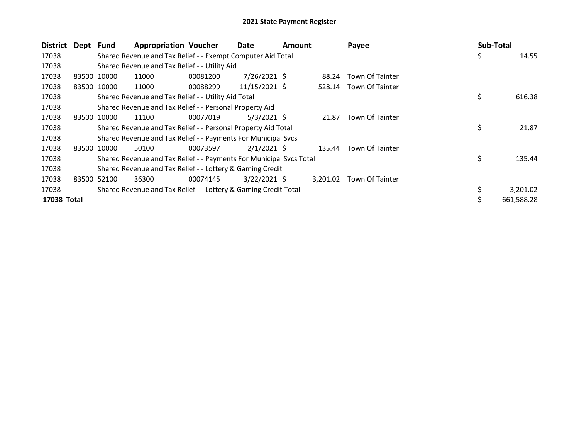| <b>District</b> | Dept  | Fund        | <b>Appropriation Voucher</b>                                        |          | Date           | <b>Amount</b> |          | Payee                  |    | Sub-Total  |
|-----------------|-------|-------------|---------------------------------------------------------------------|----------|----------------|---------------|----------|------------------------|----|------------|
| 17038           |       |             | Shared Revenue and Tax Relief - - Exempt Computer Aid Total         |          |                |               |          |                        | \$ | 14.55      |
| 17038           |       |             | Shared Revenue and Tax Relief - - Utility Aid                       |          |                |               |          |                        |    |            |
| 17038           | 83500 | 10000       | 11000                                                               | 00081200 | $7/26/2021$ \$ |               | 88.24    | <b>Town Of Tainter</b> |    |            |
| 17038           |       | 83500 10000 | 11000                                                               | 00088299 | 11/15/2021 \$  |               | 528.14   | Town Of Tainter        |    |            |
| 17038           |       |             | Shared Revenue and Tax Relief - - Utility Aid Total                 |          |                |               |          |                        | \$ | 616.38     |
| 17038           |       |             | Shared Revenue and Tax Relief - - Personal Property Aid             |          |                |               |          |                        |    |            |
| 17038           |       | 83500 10000 | 11100                                                               | 00077019 | $5/3/2021$ \$  |               | 21.87    | Town Of Tainter        |    |            |
| 17038           |       |             | Shared Revenue and Tax Relief - - Personal Property Aid Total       |          |                |               |          |                        | \$ | 21.87      |
| 17038           |       |             | Shared Revenue and Tax Relief - - Payments For Municipal Svcs       |          |                |               |          |                        |    |            |
| 17038           |       | 83500 10000 | 50100                                                               | 00073597 | $2/1/2021$ \$  |               | 135.44   | Town Of Tainter        |    |            |
| 17038           |       |             | Shared Revenue and Tax Relief - - Payments For Municipal Svcs Total |          |                |               |          |                        | \$ | 135.44     |
| 17038           |       |             | Shared Revenue and Tax Relief - - Lottery & Gaming Credit           |          |                |               |          |                        |    |            |
| 17038           |       | 83500 52100 | 36300                                                               | 00074145 | $3/22/2021$ \$ |               | 3,201.02 | Town Of Tainter        |    |            |
| 17038           |       |             | Shared Revenue and Tax Relief - - Lottery & Gaming Credit Total     |          |                |               |          |                        |    | 3,201.02   |
| 17038 Total     |       |             |                                                                     |          |                |               |          |                        | Ś  | 661.588.28 |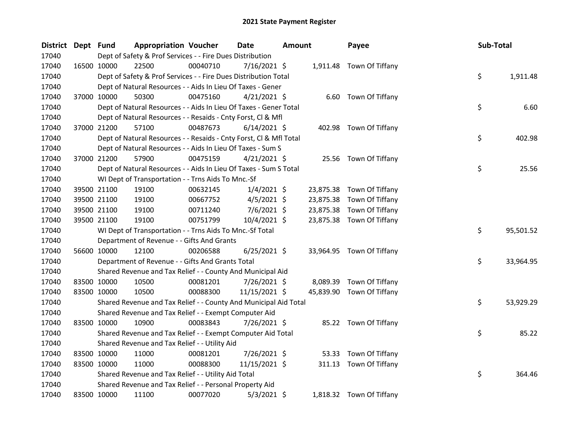| <b>District</b> | Dept Fund |                                                           | <b>Appropriation Voucher</b>                                       |          | <b>Date</b>    | <b>Amount</b> |           | Payee                     |  | Sub-Total |           |
|-----------------|-----------|-----------------------------------------------------------|--------------------------------------------------------------------|----------|----------------|---------------|-----------|---------------------------|--|-----------|-----------|
| 17040           |           | Dept of Safety & Prof Services - - Fire Dues Distribution |                                                                    |          |                |               |           |                           |  |           |           |
| 17040           |           | 16500 10000                                               | 22500                                                              | 00040710 | 7/16/2021 \$   |               |           | 1,911.48 Town Of Tiffany  |  |           |           |
| 17040           |           |                                                           | Dept of Safety & Prof Services - - Fire Dues Distribution Total    |          |                |               |           |                           |  | \$        | 1,911.48  |
| 17040           |           |                                                           | Dept of Natural Resources - - Aids In Lieu Of Taxes - Gener        |          |                |               |           |                           |  |           |           |
| 17040           |           | 37000 10000                                               | 50300                                                              | 00475160 | $4/21/2021$ \$ |               |           | 6.60 Town Of Tiffany      |  |           |           |
| 17040           |           |                                                           | Dept of Natural Resources - - Aids In Lieu Of Taxes - Gener Total  |          |                |               |           |                           |  | \$        | 6.60      |
| 17040           |           |                                                           | Dept of Natural Resources - - Resaids - Cnty Forst, Cl & Mfl       |          |                |               |           |                           |  |           |           |
| 17040           |           | 37000 21200                                               | 57100                                                              | 00487673 | $6/14/2021$ \$ |               |           | 402.98 Town Of Tiffany    |  |           |           |
| 17040           |           |                                                           | Dept of Natural Resources - - Resaids - Cnty Forst, Cl & Mfl Total |          |                |               |           |                           |  | \$        | 402.98    |
| 17040           |           |                                                           | Dept of Natural Resources - - Aids In Lieu Of Taxes - Sum S        |          |                |               |           |                           |  |           |           |
| 17040           |           | 37000 21200                                               | 57900                                                              | 00475159 | $4/21/2021$ \$ |               |           | 25.56 Town Of Tiffany     |  |           |           |
| 17040           |           |                                                           | Dept of Natural Resources - - Aids In Lieu Of Taxes - Sum S Total  |          |                |               |           |                           |  | \$        | 25.56     |
| 17040           |           |                                                           | WI Dept of Transportation - - Trns Aids To Mnc.-Sf                 |          |                |               |           |                           |  |           |           |
| 17040           |           | 39500 21100                                               | 19100                                                              | 00632145 | $1/4/2021$ \$  |               | 23,875.38 | Town Of Tiffany           |  |           |           |
| 17040           |           | 39500 21100                                               | 19100                                                              | 00667752 | $4/5/2021$ \$  |               | 23,875.38 | Town Of Tiffany           |  |           |           |
| 17040           |           | 39500 21100                                               | 19100                                                              | 00711240 | $7/6/2021$ \$  |               | 23,875.38 | Town Of Tiffany           |  |           |           |
| 17040           |           | 39500 21100                                               | 19100                                                              | 00751799 | 10/4/2021 \$   |               |           | 23,875.38 Town Of Tiffany |  |           |           |
| 17040           |           |                                                           | WI Dept of Transportation - - Trns Aids To Mnc.-Sf Total           |          |                |               |           |                           |  | \$        | 95,501.52 |
| 17040           |           |                                                           | Department of Revenue - - Gifts And Grants                         |          |                |               |           |                           |  |           |           |
| 17040           |           | 56600 10000                                               | 12100                                                              | 00206588 | $6/25/2021$ \$ |               |           | 33,964.95 Town Of Tiffany |  |           |           |
| 17040           |           |                                                           | Department of Revenue - - Gifts And Grants Total                   |          |                |               |           |                           |  | \$        | 33,964.95 |
| 17040           |           |                                                           | Shared Revenue and Tax Relief - - County And Municipal Aid         |          |                |               |           |                           |  |           |           |
| 17040           |           | 83500 10000                                               | 10500                                                              | 00081201 | 7/26/2021 \$   |               |           | 8,089.39 Town Of Tiffany  |  |           |           |
| 17040           |           | 83500 10000                                               | 10500                                                              | 00088300 | 11/15/2021 \$  |               |           | 45,839.90 Town Of Tiffany |  |           |           |
| 17040           |           |                                                           | Shared Revenue and Tax Relief - - County And Municipal Aid Total   |          |                |               |           |                           |  | \$        | 53,929.29 |
| 17040           |           |                                                           | Shared Revenue and Tax Relief - - Exempt Computer Aid              |          |                |               |           |                           |  |           |           |
| 17040           |           | 83500 10000                                               | 10900                                                              | 00083843 | 7/26/2021 \$   |               |           | 85.22 Town Of Tiffany     |  |           |           |
| 17040           |           |                                                           | Shared Revenue and Tax Relief - - Exempt Computer Aid Total        |          |                |               |           |                           |  | \$        | 85.22     |
| 17040           |           |                                                           | Shared Revenue and Tax Relief - - Utility Aid                      |          |                |               |           |                           |  |           |           |
| 17040           |           | 83500 10000                                               | 11000                                                              | 00081201 | 7/26/2021 \$   |               | 53.33     | Town Of Tiffany           |  |           |           |
| 17040           |           | 83500 10000                                               | 11000                                                              | 00088300 | 11/15/2021 \$  |               | 311.13    | Town Of Tiffany           |  |           |           |
| 17040           |           |                                                           | Shared Revenue and Tax Relief - - Utility Aid Total                |          |                |               |           |                           |  | \$        | 364.46    |
| 17040           |           |                                                           | Shared Revenue and Tax Relief - - Personal Property Aid            |          |                |               |           |                           |  |           |           |
| 17040           |           | 83500 10000                                               | 11100                                                              | 00077020 | $5/3/2021$ \$  |               |           | 1,818.32 Town Of Tiffany  |  |           |           |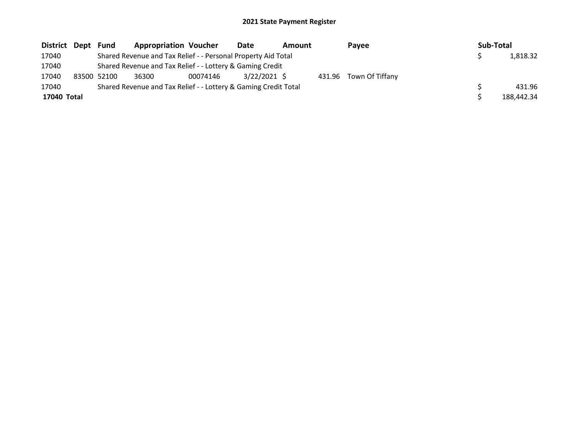| District Dept | Fund        | <b>Appropriation Voucher</b>                                    |          | Date         | Amount |        | Payee           |  | Sub-Total |            |  |
|---------------|-------------|-----------------------------------------------------------------|----------|--------------|--------|--------|-----------------|--|-----------|------------|--|
| 17040         |             | Shared Revenue and Tax Relief - - Personal Property Aid Total   |          |              |        |        |                 |  |           | 1,818.32   |  |
| 17040         |             | Shared Revenue and Tax Relief - - Lottery & Gaming Credit       |          |              |        |        |                 |  |           |            |  |
| 17040         | 83500 52100 | 36300                                                           | 00074146 | 3/22/2021 \$ |        | 431.96 | Town Of Tiffany |  |           |            |  |
| 17040         |             | Shared Revenue and Tax Relief - - Lottery & Gaming Credit Total |          |              |        |        |                 |  |           | 431.96     |  |
| 17040 Total   |             |                                                                 |          |              |        |        |                 |  |           | 188.442.34 |  |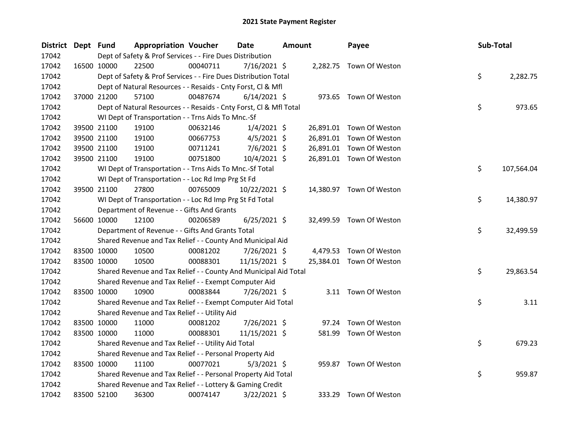| <b>District</b> | Dept Fund |             | <b>Appropriation Voucher</b>                                       |          | Date           | <b>Amount</b> |           | Payee                    |  | Sub-Total |            |  |
|-----------------|-----------|-------------|--------------------------------------------------------------------|----------|----------------|---------------|-----------|--------------------------|--|-----------|------------|--|
| 17042           |           |             | Dept of Safety & Prof Services - - Fire Dues Distribution          |          |                |               |           |                          |  |           |            |  |
| 17042           |           | 16500 10000 | 22500                                                              | 00040711 | 7/16/2021 \$   |               |           | 2,282.75 Town Of Weston  |  |           |            |  |
| 17042           |           |             | Dept of Safety & Prof Services - - Fire Dues Distribution Total    |          |                |               |           |                          |  | \$        | 2,282.75   |  |
| 17042           |           |             | Dept of Natural Resources - - Resaids - Cnty Forst, Cl & Mfl       |          |                |               |           |                          |  |           |            |  |
| 17042           |           | 37000 21200 | 57100                                                              | 00487674 | $6/14/2021$ \$ |               |           | 973.65 Town Of Weston    |  |           |            |  |
| 17042           |           |             | Dept of Natural Resources - - Resaids - Cnty Forst, Cl & Mfl Total |          |                |               |           |                          |  | \$        | 973.65     |  |
| 17042           |           |             | WI Dept of Transportation - - Trns Aids To Mnc.-Sf                 |          |                |               |           |                          |  |           |            |  |
| 17042           |           | 39500 21100 | 19100                                                              | 00632146 | $1/4/2021$ \$  |               |           | 26,891.01 Town Of Weston |  |           |            |  |
| 17042           |           | 39500 21100 | 19100                                                              | 00667753 | $4/5/2021$ \$  |               | 26,891.01 | Town Of Weston           |  |           |            |  |
| 17042           |           | 39500 21100 | 19100                                                              | 00711241 | 7/6/2021 \$    |               |           | 26,891.01 Town Of Weston |  |           |            |  |
| 17042           |           | 39500 21100 | 19100                                                              | 00751800 | 10/4/2021 \$   |               |           | 26,891.01 Town Of Weston |  |           |            |  |
| 17042           |           |             | WI Dept of Transportation - - Trns Aids To Mnc.-Sf Total           |          |                |               |           |                          |  | \$        | 107,564.04 |  |
| 17042           |           |             | WI Dept of Transportation - - Loc Rd Imp Prg St Fd                 |          |                |               |           |                          |  |           |            |  |
| 17042           |           | 39500 21100 | 27800                                                              | 00765009 | 10/22/2021 \$  |               |           | 14,380.97 Town Of Weston |  |           |            |  |
| 17042           |           |             | WI Dept of Transportation - - Loc Rd Imp Prg St Fd Total           |          |                |               |           |                          |  | \$        | 14,380.97  |  |
| 17042           |           |             | Department of Revenue - - Gifts And Grants                         |          |                |               |           |                          |  |           |            |  |
| 17042           |           | 56600 10000 | 12100                                                              | 00206589 | $6/25/2021$ \$ |               |           | 32,499.59 Town Of Weston |  |           |            |  |
| 17042           |           |             | Department of Revenue - - Gifts And Grants Total                   |          |                |               |           |                          |  | \$        | 32,499.59  |  |
| 17042           |           |             | Shared Revenue and Tax Relief - - County And Municipal Aid         |          |                |               |           |                          |  |           |            |  |
| 17042           |           | 83500 10000 | 10500                                                              | 00081202 | $7/26/2021$ \$ |               |           | 4,479.53 Town Of Weston  |  |           |            |  |
| 17042           |           | 83500 10000 | 10500                                                              | 00088301 | 11/15/2021 \$  |               |           | 25,384.01 Town Of Weston |  |           |            |  |
| 17042           |           |             | Shared Revenue and Tax Relief - - County And Municipal Aid Total   |          |                |               |           |                          |  | \$        | 29,863.54  |  |
| 17042           |           |             | Shared Revenue and Tax Relief - - Exempt Computer Aid              |          |                |               |           |                          |  |           |            |  |
| 17042           |           | 83500 10000 | 10900                                                              | 00083844 | 7/26/2021 \$   |               |           | 3.11 Town Of Weston      |  |           |            |  |
| 17042           |           |             | Shared Revenue and Tax Relief - - Exempt Computer Aid Total        |          |                |               |           |                          |  | \$        | 3.11       |  |
| 17042           |           |             | Shared Revenue and Tax Relief - - Utility Aid                      |          |                |               |           |                          |  |           |            |  |
| 17042           |           | 83500 10000 | 11000                                                              | 00081202 | 7/26/2021 \$   |               | 97.24     | Town Of Weston           |  |           |            |  |
| 17042           |           | 83500 10000 | 11000                                                              | 00088301 | 11/15/2021 \$  |               |           | 581.99 Town Of Weston    |  |           |            |  |
| 17042           |           |             | Shared Revenue and Tax Relief - - Utility Aid Total                |          |                |               |           |                          |  | \$        | 679.23     |  |
| 17042           |           |             | Shared Revenue and Tax Relief - - Personal Property Aid            |          |                |               |           |                          |  |           |            |  |
| 17042           |           | 83500 10000 | 11100                                                              | 00077021 | $5/3/2021$ \$  |               |           | 959.87 Town Of Weston    |  |           |            |  |
| 17042           |           |             | Shared Revenue and Tax Relief - - Personal Property Aid Total      |          |                |               |           |                          |  | \$        | 959.87     |  |
| 17042           |           |             | Shared Revenue and Tax Relief - - Lottery & Gaming Credit          |          |                |               |           |                          |  |           |            |  |
| 17042           |           | 83500 52100 | 36300                                                              | 00074147 | $3/22/2021$ \$ |               |           | 333.29 Town Of Weston    |  |           |            |  |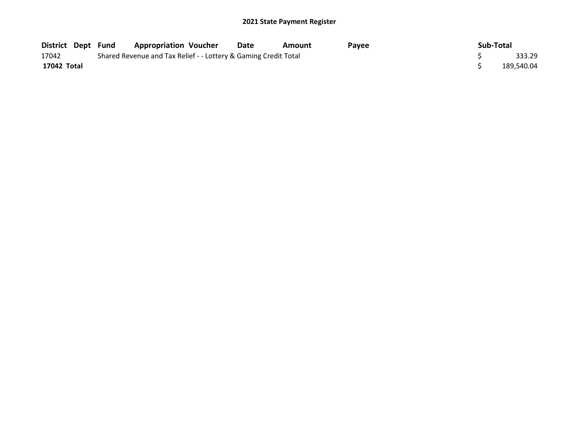| <b>District Dept Fund</b> |                                                                 | <b>Appropriation Voucher</b> | Date | Amount | <b>Pavee</b> | Sub-Total |            |
|---------------------------|-----------------------------------------------------------------|------------------------------|------|--------|--------------|-----------|------------|
| 17042                     | Shared Revenue and Tax Relief - - Lottery & Gaming Credit Total |                              |      |        |              |           | 333.29     |
| 17042 Total               |                                                                 |                              |      |        |              |           | 189.540.04 |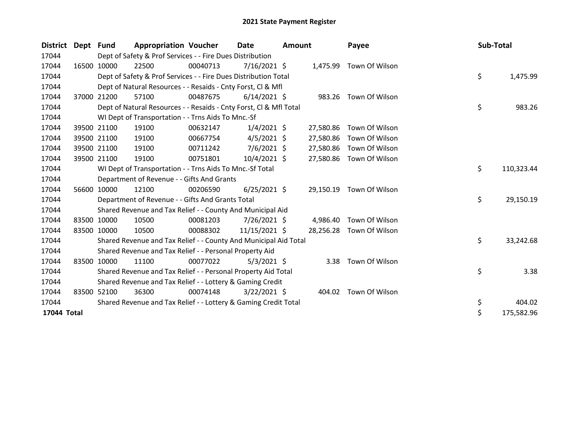| <b>District</b> | Dept Fund |             | <b>Appropriation Voucher</b>                                                                           |          | Date<br><b>Amount</b> |  | Payee     |                         | Sub-Total |    |            |
|-----------------|-----------|-------------|--------------------------------------------------------------------------------------------------------|----------|-----------------------|--|-----------|-------------------------|-----------|----|------------|
| 17044           |           |             | Dept of Safety & Prof Services - - Fire Dues Distribution                                              |          |                       |  |           |                         |           |    |            |
| 17044           |           | 16500 10000 | 22500                                                                                                  | 00040713 | $7/16/2021$ \$        |  |           | 1,475.99 Town Of Wilson |           |    |            |
| 17044           |           |             | Dept of Safety & Prof Services - - Fire Dues Distribution Total                                        |          |                       |  |           |                         |           | \$ | 1,475.99   |
| 17044           |           |             | Dept of Natural Resources - - Resaids - Cnty Forst, CI & Mfl                                           |          |                       |  |           |                         |           |    |            |
| 17044           |           | 37000 21200 | 57100                                                                                                  | 00487675 | $6/14/2021$ \$        |  |           | 983.26 Town Of Wilson   |           |    |            |
| 17044           |           |             | Dept of Natural Resources - - Resaids - Cnty Forst, Cl & Mfl Total                                     |          |                       |  |           |                         |           | \$ | 983.26     |
| 17044           |           |             | WI Dept of Transportation - - Trns Aids To Mnc.-Sf                                                     |          |                       |  |           |                         |           |    |            |
| 17044           |           | 39500 21100 | 19100                                                                                                  | 00632147 | $1/4/2021$ \$         |  | 27,580.86 | Town Of Wilson          |           |    |            |
| 17044           |           | 39500 21100 | 19100                                                                                                  | 00667754 | $4/5/2021$ \$         |  | 27,580.86 | Town Of Wilson          |           |    |            |
| 17044           |           | 39500 21100 | 19100                                                                                                  | 00711242 | $7/6/2021$ \$         |  | 27,580.86 | Town Of Wilson          |           |    |            |
| 17044           |           | 39500 21100 | 19100                                                                                                  | 00751801 | $10/4/2021$ \$        |  | 27,580.86 | Town Of Wilson          |           |    |            |
| 17044           |           |             |                                                                                                        |          |                       |  |           |                         |           | \$ | 110,323.44 |
| 17044           |           |             | WI Dept of Transportation - - Trns Aids To Mnc.-Sf Total<br>Department of Revenue - - Gifts And Grants |          |                       |  |           |                         |           |    |            |
| 17044           |           | 56600 10000 | 12100                                                                                                  | 00206590 | $6/25/2021$ \$        |  | 29,150.19 | Town Of Wilson          |           |    |            |
| 17044           |           |             | Department of Revenue - - Gifts And Grants Total                                                       |          |                       |  |           |                         |           | \$ | 29,150.19  |
| 17044           |           |             | Shared Revenue and Tax Relief - - County And Municipal Aid                                             |          |                       |  |           |                         |           |    |            |
| 17044           |           | 83500 10000 | 10500                                                                                                  | 00081203 | 7/26/2021 \$          |  | 4,986.40  | Town Of Wilson          |           |    |            |
| 17044           |           | 83500 10000 | 10500                                                                                                  | 00088302 | 11/15/2021 \$         |  | 28,256.28 | Town Of Wilson          |           |    |            |
| 17044           |           |             | Shared Revenue and Tax Relief - - County And Municipal Aid Total                                       |          |                       |  |           |                         |           | \$ | 33,242.68  |
| 17044           |           |             | Shared Revenue and Tax Relief - - Personal Property Aid                                                |          |                       |  |           |                         |           |    |            |
| 17044           |           | 83500 10000 | 11100                                                                                                  | 00077022 | $5/3/2021$ \$         |  | 3.38      | Town Of Wilson          |           |    |            |
| 17044           |           |             | Shared Revenue and Tax Relief - - Personal Property Aid Total                                          |          |                       |  |           |                         |           | \$ | 3.38       |
| 17044           |           |             | Shared Revenue and Tax Relief - - Lottery & Gaming Credit                                              |          |                       |  |           |                         |           |    |            |
| 17044           |           | 83500 52100 | 36300                                                                                                  | 00074148 | $3/22/2021$ \$        |  | 404.02    | Town Of Wilson          |           |    |            |
| 17044           |           |             | Shared Revenue and Tax Relief - - Lottery & Gaming Credit Total                                        |          |                       |  |           |                         |           | \$ | 404.02     |
| 17044 Total     |           |             |                                                                                                        |          |                       |  |           |                         |           | \$ | 175,582.96 |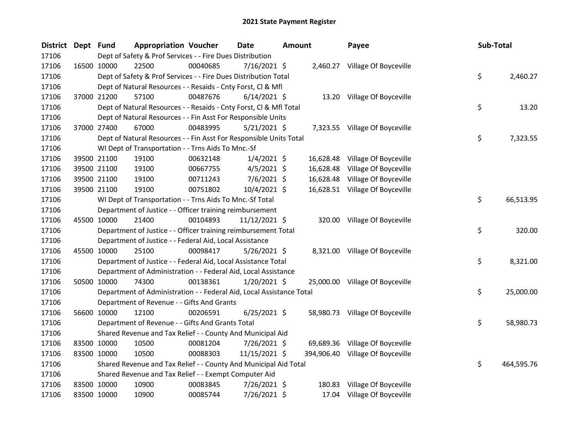| <b>District</b> | Dept Fund |             | <b>Appropriation Voucher</b>                                         |                                                                                             | <b>Date</b>    | <b>Amount</b> |           | Payee                            |  | Sub-Total |            |  |  |
|-----------------|-----------|-------------|----------------------------------------------------------------------|---------------------------------------------------------------------------------------------|----------------|---------------|-----------|----------------------------------|--|-----------|------------|--|--|
| 17106           |           |             |                                                                      | Dept of Safety & Prof Services - - Fire Dues Distribution<br>2,460.27 Village Of Boyceville |                |               |           |                                  |  |           |            |  |  |
| 17106           |           | 16500 10000 | 22500                                                                | 00040685                                                                                    | 7/16/2021 \$   |               |           |                                  |  |           |            |  |  |
| 17106           |           |             | Dept of Safety & Prof Services - - Fire Dues Distribution Total      |                                                                                             |                |               |           |                                  |  | \$        | 2,460.27   |  |  |
| 17106           |           |             | Dept of Natural Resources - - Resaids - Cnty Forst, Cl & Mfl         |                                                                                             |                |               |           |                                  |  |           |            |  |  |
| 17106           |           | 37000 21200 | 57100                                                                | 00487676                                                                                    | $6/14/2021$ \$ |               |           | 13.20 Village Of Boyceville      |  |           |            |  |  |
| 17106           |           |             | Dept of Natural Resources - - Resaids - Cnty Forst, Cl & Mfl Total   |                                                                                             |                |               |           |                                  |  | \$        | 13.20      |  |  |
| 17106           |           |             | Dept of Natural Resources - - Fin Asst For Responsible Units         |                                                                                             |                |               |           |                                  |  |           |            |  |  |
| 17106           |           | 37000 27400 | 67000                                                                | 00483995                                                                                    | 5/21/2021 \$   |               |           | 7,323.55 Village Of Boyceville   |  |           |            |  |  |
| 17106           |           |             | Dept of Natural Resources - - Fin Asst For Responsible Units Total   |                                                                                             |                |               |           |                                  |  | \$        | 7,323.55   |  |  |
| 17106           |           |             | WI Dept of Transportation - - Trns Aids To Mnc.-Sf                   |                                                                                             |                |               |           |                                  |  |           |            |  |  |
| 17106           |           | 39500 21100 | 19100                                                                | 00632148                                                                                    | $1/4/2021$ \$  |               | 16,628.48 | Village Of Boyceville            |  |           |            |  |  |
| 17106           |           | 39500 21100 | 19100                                                                | 00667755                                                                                    | $4/5/2021$ \$  |               | 16,628.48 | Village Of Boyceville            |  |           |            |  |  |
| 17106           |           | 39500 21100 | 19100                                                                | 00711243                                                                                    | $7/6/2021$ \$  |               | 16,628.48 | Village Of Boyceville            |  |           |            |  |  |
| 17106           |           | 39500 21100 | 19100                                                                | 00751802                                                                                    | 10/4/2021 \$   |               |           | 16,628.51 Village Of Boyceville  |  |           |            |  |  |
| 17106           |           |             | WI Dept of Transportation - - Trns Aids To Mnc.-Sf Total             |                                                                                             |                |               |           |                                  |  | \$        | 66,513.95  |  |  |
| 17106           |           |             | Department of Justice - - Officer training reimbursement             |                                                                                             |                |               |           |                                  |  |           |            |  |  |
| 17106           |           | 45500 10000 | 21400                                                                | 00104893                                                                                    | 11/12/2021 \$  |               |           | 320.00 Village Of Boyceville     |  |           |            |  |  |
| 17106           |           |             | Department of Justice - - Officer training reimbursement Total       |                                                                                             |                |               |           |                                  |  | \$        | 320.00     |  |  |
| 17106           |           |             | Department of Justice - - Federal Aid, Local Assistance              |                                                                                             |                |               |           |                                  |  |           |            |  |  |
| 17106           |           | 45500 10000 | 25100                                                                | 00098417                                                                                    | $5/26/2021$ \$ |               |           | 8,321.00 Village Of Boyceville   |  |           |            |  |  |
| 17106           |           |             | Department of Justice - - Federal Aid, Local Assistance Total        |                                                                                             |                |               |           |                                  |  | \$.       | 8,321.00   |  |  |
| 17106           |           |             | Department of Administration - - Federal Aid, Local Assistance       |                                                                                             |                |               |           |                                  |  |           |            |  |  |
| 17106           |           | 50500 10000 | 74300                                                                | 00138361                                                                                    | $1/20/2021$ \$ |               |           | 25,000.00 Village Of Boyceville  |  |           |            |  |  |
| 17106           |           |             | Department of Administration - - Federal Aid, Local Assistance Total |                                                                                             |                |               |           |                                  |  | \$        | 25,000.00  |  |  |
| 17106           |           |             | Department of Revenue - - Gifts And Grants                           |                                                                                             |                |               |           |                                  |  |           |            |  |  |
| 17106           |           | 56600 10000 | 12100                                                                | 00206591                                                                                    | $6/25/2021$ \$ |               |           | 58,980.73 Village Of Boyceville  |  |           |            |  |  |
| 17106           |           |             | Department of Revenue - - Gifts And Grants Total                     |                                                                                             |                |               |           |                                  |  | \$        | 58,980.73  |  |  |
| 17106           |           |             | Shared Revenue and Tax Relief - - County And Municipal Aid           |                                                                                             |                |               |           |                                  |  |           |            |  |  |
| 17106           |           | 83500 10000 | 10500                                                                | 00081204                                                                                    | $7/26/2021$ \$ |               |           | 69,689.36 Village Of Boyceville  |  |           |            |  |  |
| 17106           |           | 83500 10000 | 10500                                                                | 00088303                                                                                    | 11/15/2021 \$  |               |           | 394,906.40 Village Of Boyceville |  |           |            |  |  |
| 17106           |           |             | Shared Revenue and Tax Relief - - County And Municipal Aid Total     |                                                                                             |                |               |           |                                  |  | \$.       | 464,595.76 |  |  |
| 17106           |           |             | Shared Revenue and Tax Relief - - Exempt Computer Aid                |                                                                                             |                |               |           |                                  |  |           |            |  |  |
| 17106           |           | 83500 10000 | 10900                                                                | 00083845                                                                                    | 7/26/2021 \$   |               | 180.83    | Village Of Boyceville            |  |           |            |  |  |
| 17106           |           | 83500 10000 | 10900                                                                | 00085744                                                                                    | 7/26/2021 \$   |               | 17.04     | Village Of Boyceville            |  |           |            |  |  |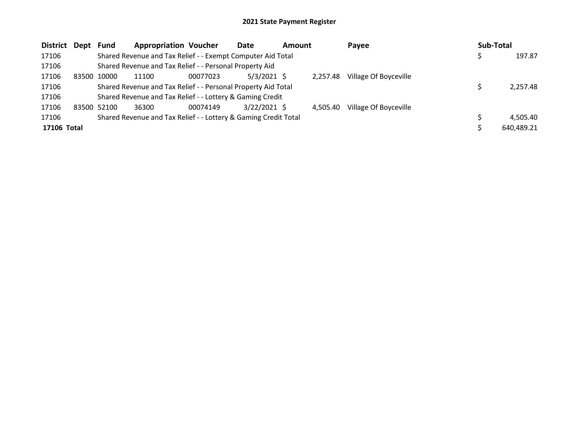| <b>District</b> | Dept  | <b>Fund</b> | <b>Appropriation Voucher</b>                                    |          | Date           | <b>Amount</b> |          | Payee                 | Sub-Total |            |
|-----------------|-------|-------------|-----------------------------------------------------------------|----------|----------------|---------------|----------|-----------------------|-----------|------------|
| 17106           |       |             | Shared Revenue and Tax Relief - - Exempt Computer Aid Total     |          |                |               |          |                       |           | 197.87     |
| 17106           |       |             | Shared Revenue and Tax Relief - - Personal Property Aid         |          |                |               |          |                       |           |            |
| 17106           | 83500 | 10000       | 11100                                                           | 00077023 | $5/3/2021$ \$  |               | 2.257.48 | Village Of Boyceville |           |            |
| 17106           |       |             | Shared Revenue and Tax Relief - - Personal Property Aid Total   |          |                |               |          |                       |           | 2,257.48   |
| 17106           |       |             | Shared Revenue and Tax Relief - - Lottery & Gaming Credit       |          |                |               |          |                       |           |            |
| 17106           |       | 83500 52100 | 36300                                                           | 00074149 | $3/22/2021$ \$ |               | 4.505.40 | Village Of Boyceville |           |            |
| 17106           |       |             | Shared Revenue and Tax Relief - - Lottery & Gaming Credit Total |          |                |               |          |                       |           | 4,505.40   |
| 17106 Total     |       |             |                                                                 |          |                |               |          |                       |           | 640.489.21 |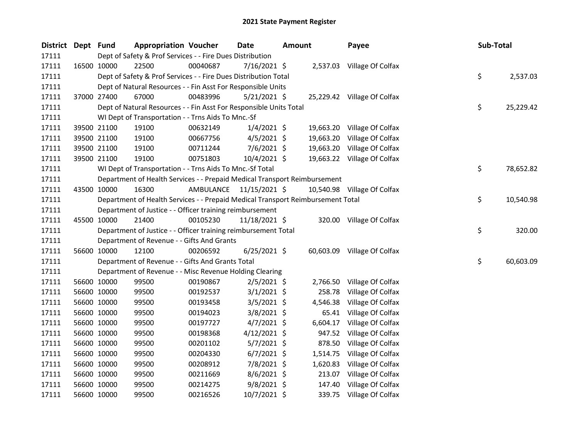| District Dept Fund |             | <b>Appropriation Voucher</b>                                                    |           | Date           | <b>Amount</b> |          | Payee                       | Sub-Total |    |           |
|--------------------|-------------|---------------------------------------------------------------------------------|-----------|----------------|---------------|----------|-----------------------------|-----------|----|-----------|
| 17111              |             | Dept of Safety & Prof Services - - Fire Dues Distribution                       |           |                |               |          |                             |           |    |           |
| 17111              | 16500 10000 | 22500                                                                           | 00040687  | 7/16/2021 \$   |               |          | 2,537.03 Village Of Colfax  |           |    |           |
| 17111              |             | Dept of Safety & Prof Services - - Fire Dues Distribution Total                 |           |                |               |          |                             |           | \$ | 2,537.03  |
| 17111              |             | Dept of Natural Resources - - Fin Asst For Responsible Units                    |           |                |               |          |                             |           |    |           |
| 17111              | 37000 27400 | 67000                                                                           | 00483996  | $5/21/2021$ \$ |               |          | 25,229.42 Village Of Colfax |           |    |           |
| 17111              |             | Dept of Natural Resources - - Fin Asst For Responsible Units Total              |           |                |               |          |                             |           | \$ | 25,229.42 |
| 17111              |             | WI Dept of Transportation - - Trns Aids To Mnc.-Sf                              |           |                |               |          |                             |           |    |           |
| 17111              | 39500 21100 | 19100                                                                           | 00632149  | $1/4/2021$ \$  |               |          | 19,663.20 Village Of Colfax |           |    |           |
| 17111              | 39500 21100 | 19100                                                                           | 00667756  | $4/5/2021$ \$  |               |          | 19,663.20 Village Of Colfax |           |    |           |
| 17111              | 39500 21100 | 19100                                                                           | 00711244  | $7/6/2021$ \$  |               |          | 19,663.20 Village Of Colfax |           |    |           |
| 17111              | 39500 21100 | 19100                                                                           | 00751803  | 10/4/2021 \$   |               |          | 19,663.22 Village Of Colfax |           |    |           |
| 17111              |             | WI Dept of Transportation - - Trns Aids To Mnc.-Sf Total                        |           |                |               |          |                             |           | \$ | 78,652.82 |
| 17111              |             | Department of Health Services - - Prepaid Medical Transport Reimbursement       |           |                |               |          |                             |           |    |           |
| 17111              | 43500 10000 | 16300                                                                           | AMBULANCE | 11/15/2021 \$  |               |          | 10,540.98 Village Of Colfax |           |    |           |
| 17111              |             | Department of Health Services - - Prepaid Medical Transport Reimbursement Total |           |                |               |          |                             |           | \$ | 10,540.98 |
| 17111              |             | Department of Justice - - Officer training reimbursement                        |           |                |               |          |                             |           |    |           |
| 17111              | 45500 10000 | 21400                                                                           | 00105230  | 11/18/2021 \$  |               |          | 320.00 Village Of Colfax    |           |    |           |
| 17111              |             | Department of Justice - - Officer training reimbursement Total                  |           |                |               |          |                             |           | \$ | 320.00    |
| 17111              |             | Department of Revenue - - Gifts And Grants                                      |           |                |               |          |                             |           |    |           |
| 17111              | 56600 10000 | 12100                                                                           | 00206592  | $6/25/2021$ \$ |               |          | 60,603.09 Village Of Colfax |           |    |           |
| 17111              |             | Department of Revenue - - Gifts And Grants Total                                |           |                |               |          |                             |           | \$ | 60,603.09 |
| 17111              |             | Department of Revenue - - Misc Revenue Holding Clearing                         |           |                |               |          |                             |           |    |           |
| 17111              | 56600 10000 | 99500                                                                           | 00190867  | $2/5/2021$ \$  |               | 2,766.50 | Village Of Colfax           |           |    |           |
| 17111              | 56600 10000 | 99500                                                                           | 00192537  | $3/1/2021$ \$  |               | 258.78   | Village Of Colfax           |           |    |           |
| 17111              | 56600 10000 | 99500                                                                           | 00193458  | $3/5/2021$ \$  |               | 4,546.38 | Village Of Colfax           |           |    |           |
| 17111              | 56600 10000 | 99500                                                                           | 00194023  | $3/8/2021$ \$  |               | 65.41    | Village Of Colfax           |           |    |           |
| 17111              | 56600 10000 | 99500                                                                           | 00197727  | $4/7/2021$ \$  |               | 6,604.17 | Village Of Colfax           |           |    |           |
| 17111              | 56600 10000 | 99500                                                                           | 00198368  | $4/12/2021$ \$ |               | 947.52   | Village Of Colfax           |           |    |           |
| 17111              | 56600 10000 | 99500                                                                           | 00201102  | $5/7/2021$ \$  |               | 878.50   | Village Of Colfax           |           |    |           |
| 17111              | 56600 10000 | 99500                                                                           | 00204330  | $6/7/2021$ \$  |               | 1,514.75 | Village Of Colfax           |           |    |           |
| 17111              | 56600 10000 | 99500                                                                           | 00208912  | 7/8/2021 \$    |               | 1,620.83 | Village Of Colfax           |           |    |           |
| 17111              | 56600 10000 | 99500                                                                           | 00211669  | $8/6/2021$ \$  |               | 213.07   | Village Of Colfax           |           |    |           |
| 17111              | 56600 10000 | 99500                                                                           | 00214275  | $9/8/2021$ \$  |               | 147.40   | Village Of Colfax           |           |    |           |
| 17111              | 56600 10000 | 99500                                                                           | 00216526  | 10/7/2021 \$   |               | 339.75   | Village Of Colfax           |           |    |           |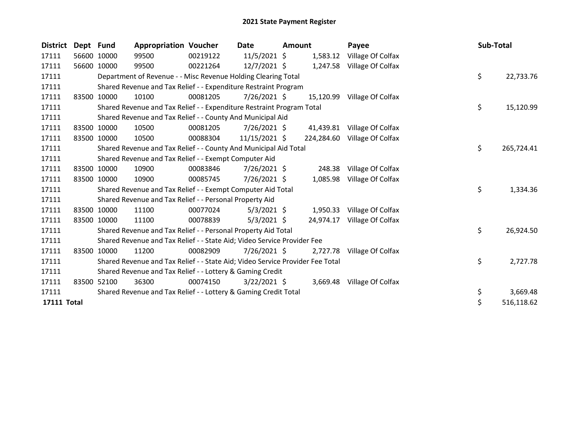| <b>District</b>    | Dept Fund |             | <b>Appropriation Voucher</b>                                                  |          | Date           | <b>Amount</b> |            | Payee                      |  | Sub-Total |            |  |  |
|--------------------|-----------|-------------|-------------------------------------------------------------------------------|----------|----------------|---------------|------------|----------------------------|--|-----------|------------|--|--|
| 17111              |           | 56600 10000 | 99500                                                                         | 00219122 | $11/5/2021$ \$ |               | 1,583.12   | Village Of Colfax          |  |           |            |  |  |
| 17111              |           | 56600 10000 | 99500                                                                         | 00221264 | $12/7/2021$ \$ |               |            | 1,247.58 Village Of Colfax |  |           |            |  |  |
| 17111              |           |             | Department of Revenue - - Misc Revenue Holding Clearing Total                 |          |                |               |            |                            |  | \$        | 22,733.76  |  |  |
| 17111              |           |             | Shared Revenue and Tax Relief - - Expenditure Restraint Program               |          |                |               |            |                            |  |           |            |  |  |
| 17111              |           | 83500 10000 | 10100                                                                         | 00081205 | 7/26/2021 \$   |               | 15,120.99  | Village Of Colfax          |  |           |            |  |  |
| 17111              |           |             | Shared Revenue and Tax Relief - - Expenditure Restraint Program Total         |          |                |               |            |                            |  | \$        | 15,120.99  |  |  |
| 17111              |           |             | Shared Revenue and Tax Relief - - County And Municipal Aid                    |          |                |               |            |                            |  |           |            |  |  |
| 17111              |           | 83500 10000 | 10500                                                                         | 00081205 | $7/26/2021$ \$ |               | 41,439.81  | Village Of Colfax          |  |           |            |  |  |
| 17111              |           | 83500 10000 | 10500                                                                         | 00088304 | 11/15/2021 \$  |               | 224,284.60 | Village Of Colfax          |  |           |            |  |  |
| 17111              |           |             | Shared Revenue and Tax Relief - - County And Municipal Aid Total              |          |                |               |            |                            |  | \$        | 265,724.41 |  |  |
| 17111              |           |             | Shared Revenue and Tax Relief - - Exempt Computer Aid                         |          |                |               |            |                            |  |           |            |  |  |
| 17111              |           | 83500 10000 | 10900                                                                         | 00083846 | $7/26/2021$ \$ |               | 248.38     | Village Of Colfax          |  |           |            |  |  |
| 17111              |           | 83500 10000 | 10900                                                                         | 00085745 | $7/26/2021$ \$ |               | 1,085.98   | Village Of Colfax          |  |           |            |  |  |
| 17111              |           |             | Shared Revenue and Tax Relief - - Exempt Computer Aid Total                   |          |                |               |            |                            |  | \$        | 1,334.36   |  |  |
| 17111              |           |             | Shared Revenue and Tax Relief - - Personal Property Aid                       |          |                |               |            |                            |  |           |            |  |  |
| 17111              |           | 83500 10000 | 11100                                                                         | 00077024 | $5/3/2021$ \$  |               | 1,950.33   | Village Of Colfax          |  |           |            |  |  |
| 17111              |           | 83500 10000 | 11100                                                                         | 00078839 | $5/3/2021$ \$  |               | 24,974.17  | Village Of Colfax          |  |           |            |  |  |
| 17111              |           |             | Shared Revenue and Tax Relief - - Personal Property Aid Total                 |          |                |               |            |                            |  | \$        | 26,924.50  |  |  |
| 17111              |           |             | Shared Revenue and Tax Relief - - State Aid; Video Service Provider Fee       |          |                |               |            |                            |  |           |            |  |  |
| 17111              |           | 83500 10000 | 11200                                                                         | 00082909 | $7/26/2021$ \$ |               | 2,727.78   | Village Of Colfax          |  |           |            |  |  |
| 17111              |           |             | Shared Revenue and Tax Relief - - State Aid; Video Service Provider Fee Total |          |                |               |            |                            |  | \$        | 2,727.78   |  |  |
| 17111              |           |             | Shared Revenue and Tax Relief - - Lottery & Gaming Credit                     |          |                |               |            |                            |  |           |            |  |  |
| 17111              | 83500     | 52100       | 36300                                                                         | 00074150 | $3/22/2021$ \$ |               |            | 3,669.48 Village Of Colfax |  |           |            |  |  |
| 17111              |           |             | Shared Revenue and Tax Relief - - Lottery & Gaming Credit Total               |          |                |               |            |                            |  | \$        | 3,669.48   |  |  |
| <b>17111 Total</b> |           |             |                                                                               |          |                |               |            |                            |  | \$        | 516,118.62 |  |  |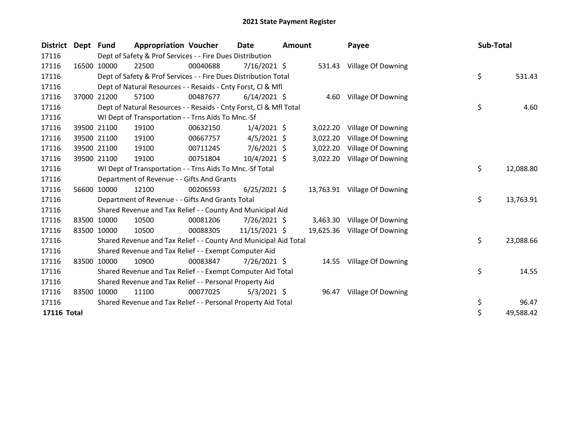| <b>District</b> | Dept Fund |                                                               | <b>Appropriation Voucher</b>                                       |          | <b>Date</b>    | <b>Amount</b> |          | Payee                        |    | Sub-Total |           |
|-----------------|-----------|---------------------------------------------------------------|--------------------------------------------------------------------|----------|----------------|---------------|----------|------------------------------|----|-----------|-----------|
| 17116           |           |                                                               | Dept of Safety & Prof Services - - Fire Dues Distribution          |          |                |               |          |                              |    |           |           |
| 17116           |           | 16500 10000                                                   | 22500                                                              | 00040688 | $7/16/2021$ \$ |               |          | 531.43 Village Of Downing    |    |           |           |
| 17116           |           |                                                               | Dept of Safety & Prof Services - - Fire Dues Distribution Total    |          |                |               |          |                              |    | \$        | 531.43    |
| 17116           |           |                                                               | Dept of Natural Resources - - Resaids - Cnty Forst, CI & Mfl       |          |                |               |          |                              |    |           |           |
| 17116           |           | 37000 21200                                                   | 57100                                                              | 00487677 | $6/14/2021$ \$ |               |          | 4.60 Village Of Downing      |    |           |           |
| 17116           |           |                                                               | Dept of Natural Resources - - Resaids - Cnty Forst, CI & Mfl Total |          |                |               |          |                              |    | \$        | 4.60      |
| 17116           |           |                                                               | WI Dept of Transportation - - Trns Aids To Mnc.-Sf                 |          |                |               |          |                              |    |           |           |
| 17116           |           | 39500 21100                                                   | 19100                                                              | 00632150 | $1/4/2021$ \$  |               | 3,022.20 | Village Of Downing           |    |           |           |
| 17116           |           | 39500 21100                                                   | 19100                                                              | 00667757 | $4/5/2021$ \$  |               | 3,022.20 | Village Of Downing           |    |           |           |
| 17116           |           | 39500 21100                                                   | 19100                                                              | 00711245 | $7/6/2021$ \$  |               | 3,022.20 | Village Of Downing           |    |           |           |
| 17116           |           | 39500 21100                                                   | 19100                                                              | 00751804 | $10/4/2021$ \$ |               | 3,022.20 | Village Of Downing           |    |           |           |
| 17116           |           |                                                               | WI Dept of Transportation - - Trns Aids To Mnc.-Sf Total           |          |                |               |          |                              |    | \$.       | 12,088.80 |
| 17116           |           |                                                               | Department of Revenue - - Gifts And Grants                         |          |                |               |          |                              |    |           |           |
| 17116           |           | 56600 10000                                                   | 12100                                                              | 00206593 | $6/25/2021$ \$ |               |          | 13,763.91 Village Of Downing |    |           |           |
| 17116           |           |                                                               | Department of Revenue - - Gifts And Grants Total                   |          |                |               |          |                              |    | \$        | 13,763.91 |
| 17116           |           |                                                               | Shared Revenue and Tax Relief - - County And Municipal Aid         |          |                |               |          |                              |    |           |           |
| 17116           |           | 83500 10000                                                   | 10500                                                              | 00081206 | 7/26/2021 \$   |               |          | 3,463.30 Village Of Downing  |    |           |           |
| 17116           |           | 83500 10000                                                   | 10500                                                              | 00088305 | 11/15/2021 \$  |               |          | 19,625.36 Village Of Downing |    |           |           |
| 17116           |           |                                                               | Shared Revenue and Tax Relief - - County And Municipal Aid Total   |          |                |               |          |                              |    | \$        | 23,088.66 |
| 17116           |           |                                                               | Shared Revenue and Tax Relief - - Exempt Computer Aid              |          |                |               |          |                              |    |           |           |
| 17116           |           | 83500 10000                                                   | 10900                                                              | 00083847 | 7/26/2021 \$   |               |          | 14.55 Village Of Downing     |    |           |           |
| 17116           |           |                                                               | Shared Revenue and Tax Relief - - Exempt Computer Aid Total        |          |                |               |          |                              |    | \$        | 14.55     |
| 17116           |           | Shared Revenue and Tax Relief - - Personal Property Aid       |                                                                    |          |                |               |          |                              |    |           |           |
| 17116           | 83500     | 10000                                                         | 11100                                                              | 00077025 | $5/3/2021$ \$  |               |          | 96.47 Village Of Downing     |    |           |           |
| 17116           |           | Shared Revenue and Tax Relief - - Personal Property Aid Total |                                                                    |          |                |               |          |                              | \$ | 96.47     |           |
| 17116 Total     |           |                                                               |                                                                    |          |                |               |          |                              |    | \$        | 49,588.42 |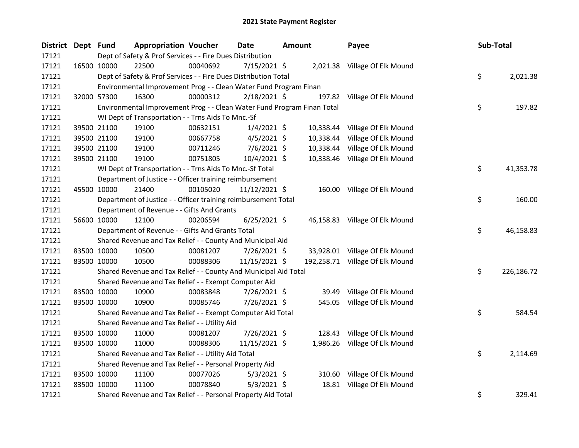| <b>District</b> | Dept Fund   |                                                                         | <b>Appropriation Voucher</b> | Date           | <b>Amount</b> |           | Payee                           | Sub-Total        |
|-----------------|-------------|-------------------------------------------------------------------------|------------------------------|----------------|---------------|-----------|---------------------------------|------------------|
| 17121           |             | Dept of Safety & Prof Services - - Fire Dues Distribution               |                              |                |               |           |                                 |                  |
| 17121           |             | 22500<br>16500 10000                                                    | 00040692                     | 7/15/2021 \$   |               |           | 2,021.38 Village Of Elk Mound   |                  |
| 17121           |             | Dept of Safety & Prof Services - - Fire Dues Distribution Total         |                              |                |               |           |                                 | \$<br>2,021.38   |
| 17121           |             | Environmental Improvement Prog - - Clean Water Fund Program Finan       |                              |                |               |           |                                 |                  |
| 17121           |             | 16300<br>32000 57300                                                    | 00000312                     | $2/18/2021$ \$ |               |           | 197.82 Village Of Elk Mound     |                  |
| 17121           |             | Environmental Improvement Prog - - Clean Water Fund Program Finan Total |                              |                |               |           |                                 | \$<br>197.82     |
| 17121           |             | WI Dept of Transportation - - Trns Aids To Mnc.-Sf                      |                              |                |               |           |                                 |                  |
| 17121           |             | 39500 21100<br>19100                                                    | 00632151                     | $1/4/2021$ \$  |               | 10,338.44 | Village Of Elk Mound            |                  |
| 17121           |             | 19100<br>39500 21100                                                    | 00667758                     | $4/5/2021$ \$  |               | 10,338.44 | Village Of Elk Mound            |                  |
| 17121           |             | 39500 21100<br>19100                                                    | 00711246                     | $7/6/2021$ \$  |               | 10,338.44 | Village Of Elk Mound            |                  |
| 17121           |             | 39500 21100<br>19100                                                    | 00751805                     | 10/4/2021 \$   |               |           | 10,338.46 Village Of Elk Mound  |                  |
| 17121           |             | WI Dept of Transportation - - Trns Aids To Mnc.-Sf Total                |                              |                |               |           |                                 | \$<br>41,353.78  |
| 17121           |             | Department of Justice - - Officer training reimbursement                |                              |                |               |           |                                 |                  |
| 17121           |             | 45500 10000<br>21400                                                    | 00105020                     | 11/12/2021 \$  |               |           | 160.00 Village Of Elk Mound     |                  |
| 17121           |             | Department of Justice - - Officer training reimbursement Total          |                              |                |               |           |                                 | \$<br>160.00     |
| 17121           |             | Department of Revenue - - Gifts And Grants                              |                              |                |               |           |                                 |                  |
| 17121           |             | 56600 10000<br>12100                                                    | 00206594                     | $6/25/2021$ \$ |               |           | 46,158.83 Village Of Elk Mound  |                  |
| 17121           |             | Department of Revenue - - Gifts And Grants Total                        |                              |                |               |           |                                 | \$.<br>46,158.83 |
| 17121           |             | Shared Revenue and Tax Relief - - County And Municipal Aid              |                              |                |               |           |                                 |                  |
| 17121           | 83500 10000 | 10500                                                                   | 00081207                     | 7/26/2021 \$   |               |           | 33,928.01 Village Of Elk Mound  |                  |
| 17121           |             | 83500 10000<br>10500                                                    | 00088306                     | 11/15/2021 \$  |               |           | 192,258.71 Village Of Elk Mound |                  |
| 17121           |             | Shared Revenue and Tax Relief - - County And Municipal Aid Total        |                              |                |               |           |                                 | \$<br>226,186.72 |
| 17121           |             | Shared Revenue and Tax Relief - - Exempt Computer Aid                   |                              |                |               |           |                                 |                  |
| 17121           | 83500 10000 | 10900                                                                   | 00083848                     | 7/26/2021 \$   |               | 39.49     | Village Of Elk Mound            |                  |
| 17121           | 83500 10000 | 10900                                                                   | 00085746                     | 7/26/2021 \$   |               |           | 545.05 Village Of Elk Mound     |                  |
| 17121           |             | Shared Revenue and Tax Relief - - Exempt Computer Aid Total             |                              |                |               |           |                                 | \$<br>584.54     |
| 17121           |             | Shared Revenue and Tax Relief - - Utility Aid                           |                              |                |               |           |                                 |                  |
| 17121           | 83500 10000 | 11000                                                                   | 00081207                     | 7/26/2021 \$   |               | 128.43    | Village Of Elk Mound            |                  |
| 17121           |             | 83500 10000<br>11000                                                    | 00088306                     | 11/15/2021 \$  |               |           | 1,986.26 Village Of Elk Mound   |                  |
| 17121           |             | Shared Revenue and Tax Relief - - Utility Aid Total                     |                              |                |               |           |                                 | \$<br>2,114.69   |
| 17121           |             | Shared Revenue and Tax Relief - - Personal Property Aid                 |                              |                |               |           |                                 |                  |
| 17121           | 83500 10000 | 11100                                                                   | 00077026                     | $5/3/2021$ \$  |               |           | 310.60 Village Of Elk Mound     |                  |
| 17121           | 83500 10000 | 11100                                                                   | 00078840                     | $5/3/2021$ \$  |               |           | 18.81 Village Of Elk Mound      |                  |
| 17121           |             | Shared Revenue and Tax Relief - - Personal Property Aid Total           |                              |                |               |           |                                 | \$<br>329.41     |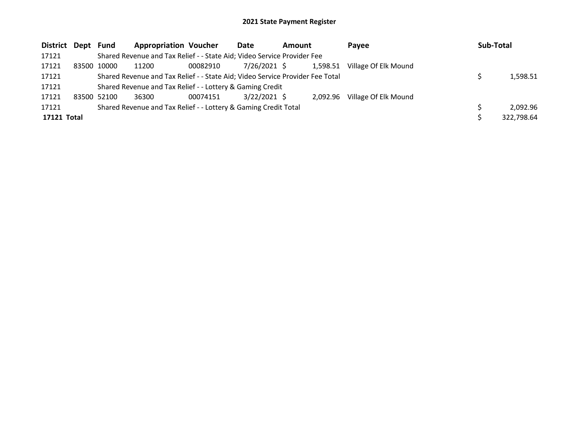| District Dept Fund |                                                           |             | <b>Appropriation Voucher</b>                                                  |          | Date           | <b>Amount</b> |          | <b>Pavee</b>         |  | Sub-Total |            |
|--------------------|-----------------------------------------------------------|-------------|-------------------------------------------------------------------------------|----------|----------------|---------------|----------|----------------------|--|-----------|------------|
| 17121              |                                                           |             | Shared Revenue and Tax Relief - - State Aid; Video Service Provider Fee       |          |                |               |          |                      |  |           |            |
| 17121              | 83500                                                     | 10000       | 11200                                                                         | 00082910 | 7/26/2021 \$   |               | 1,598.51 | Village Of Elk Mound |  |           |            |
| 17121              |                                                           |             | Shared Revenue and Tax Relief - - State Aid; Video Service Provider Fee Total |          |                |               |          |                      |  |           | 1,598.51   |
| 17121              | Shared Revenue and Tax Relief - - Lottery & Gaming Credit |             |                                                                               |          |                |               |          |                      |  |           |            |
| 17121              |                                                           | 83500 52100 | 36300                                                                         | 00074151 | $3/22/2021$ \$ |               | 2.092.96 | Village Of Elk Mound |  |           |            |
| 17121              |                                                           |             | Shared Revenue and Tax Relief - - Lottery & Gaming Credit Total               |          |                |               |          |                      |  |           | 2,092.96   |
| 17121 Total        |                                                           |             |                                                                               |          |                |               |          |                      |  |           | 322,798.64 |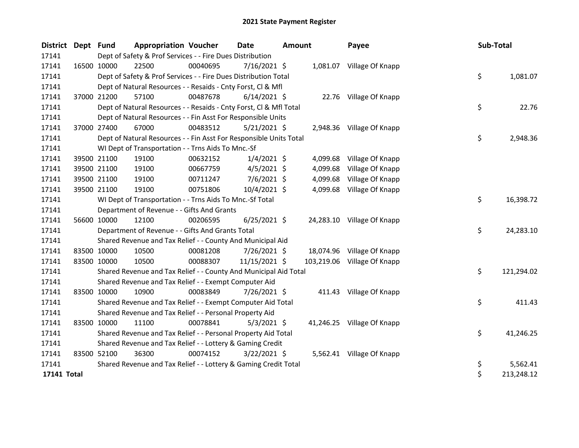| District Dept Fund |             |             | <b>Appropriation Voucher</b>                                       |          | <b>Date</b><br>Amount |  |          | Payee                       | Sub-Total |            |
|--------------------|-------------|-------------|--------------------------------------------------------------------|----------|-----------------------|--|----------|-----------------------------|-----------|------------|
| 17141              |             |             | Dept of Safety & Prof Services - - Fire Dues Distribution          |          |                       |  |          |                             |           |            |
| 17141              |             | 16500 10000 | 22500                                                              | 00040695 | $7/16/2021$ \$        |  |          | 1,081.07 Village Of Knapp   |           |            |
| 17141              |             |             | Dept of Safety & Prof Services - - Fire Dues Distribution Total    |          |                       |  |          |                             | \$        | 1,081.07   |
| 17141              |             |             | Dept of Natural Resources - - Resaids - Cnty Forst, Cl & Mfl       |          |                       |  |          |                             |           |            |
| 17141              |             | 37000 21200 | 57100                                                              | 00487678 | $6/14/2021$ \$        |  |          | 22.76 Village Of Knapp      |           |            |
| 17141              |             |             | Dept of Natural Resources - - Resaids - Cnty Forst, CI & Mfl Total |          |                       |  |          |                             | \$        | 22.76      |
| 17141              |             |             | Dept of Natural Resources - - Fin Asst For Responsible Units       |          |                       |  |          |                             |           |            |
| 17141              | 37000 27400 |             | 67000                                                              | 00483512 | $5/21/2021$ \$        |  |          | 2,948.36 Village Of Knapp   |           |            |
| 17141              |             |             | Dept of Natural Resources - - Fin Asst For Responsible Units Total |          |                       |  |          |                             | \$        | 2,948.36   |
| 17141              |             |             | WI Dept of Transportation - - Trns Aids To Mnc.-Sf                 |          |                       |  |          |                             |           |            |
| 17141              |             | 39500 21100 | 19100                                                              | 00632152 | $1/4/2021$ \$         |  | 4,099.68 | Village Of Knapp            |           |            |
| 17141              |             | 39500 21100 | 19100                                                              | 00667759 | $4/5/2021$ \$         |  | 4,099.68 | Village Of Knapp            |           |            |
| 17141              |             | 39500 21100 | 19100                                                              | 00711247 | $7/6/2021$ \$         |  | 4,099.68 | Village Of Knapp            |           |            |
| 17141              |             | 39500 21100 | 19100                                                              | 00751806 | $10/4/2021$ \$        |  |          | 4,099.68 Village Of Knapp   |           |            |
| 17141              |             |             | WI Dept of Transportation - - Trns Aids To Mnc.-Sf Total           |          |                       |  |          |                             | \$        | 16,398.72  |
| 17141              |             |             | Department of Revenue - - Gifts And Grants                         |          |                       |  |          |                             |           |            |
| 17141              |             | 56600 10000 | 12100                                                              | 00206595 | $6/25/2021$ \$        |  |          | 24,283.10 Village Of Knapp  |           |            |
| 17141              |             |             | Department of Revenue - - Gifts And Grants Total                   |          |                       |  |          |                             | \$        | 24,283.10  |
| 17141              |             |             | Shared Revenue and Tax Relief - - County And Municipal Aid         |          |                       |  |          |                             |           |            |
| 17141              |             | 83500 10000 | 10500                                                              | 00081208 | 7/26/2021 \$          |  |          | 18,074.96 Village Of Knapp  |           |            |
| 17141              |             | 83500 10000 | 10500                                                              | 00088307 | 11/15/2021 \$         |  |          | 103,219.06 Village Of Knapp |           |            |
| 17141              |             |             | Shared Revenue and Tax Relief - - County And Municipal Aid Total   |          |                       |  |          |                             | \$        | 121,294.02 |
| 17141              |             |             | Shared Revenue and Tax Relief - - Exempt Computer Aid              |          |                       |  |          |                             |           |            |
| 17141              |             | 83500 10000 | 10900                                                              | 00083849 | 7/26/2021 \$          |  |          | 411.43 Village Of Knapp     |           |            |
| 17141              |             |             | Shared Revenue and Tax Relief - - Exempt Computer Aid Total        |          |                       |  |          |                             | \$        | 411.43     |
| 17141              |             |             | Shared Revenue and Tax Relief - - Personal Property Aid            |          |                       |  |          |                             |           |            |
| 17141              |             | 83500 10000 | 11100                                                              | 00078841 | $5/3/2021$ \$         |  |          | 41,246.25 Village Of Knapp  |           |            |
| 17141              |             |             | Shared Revenue and Tax Relief - - Personal Property Aid Total      |          |                       |  |          |                             | \$        | 41,246.25  |
| 17141              |             |             | Shared Revenue and Tax Relief - - Lottery & Gaming Credit          |          |                       |  |          |                             |           |            |
| 17141              |             | 83500 52100 | 36300                                                              | 00074152 | $3/22/2021$ \$        |  |          | 5,562.41 Village Of Knapp   |           |            |
| 17141              |             |             | Shared Revenue and Tax Relief - - Lottery & Gaming Credit Total    |          |                       |  |          |                             | \$        | 5,562.41   |
| 17141 Total        |             |             |                                                                    |          |                       |  |          |                             | \$        | 213,248.12 |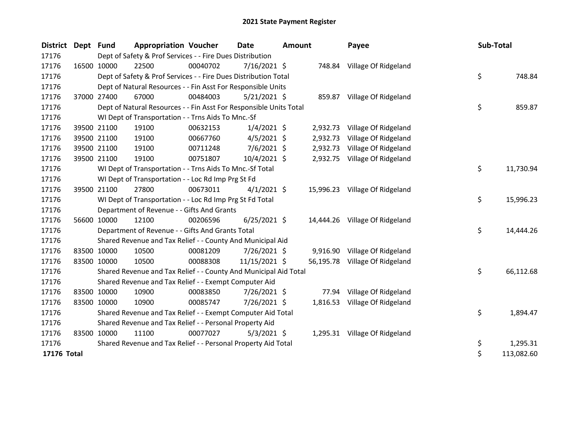| <b>District</b> | Dept Fund |             | <b>Appropriation Voucher</b>                                       |          | <b>Date</b>    | <b>Amount</b> |           | Payee                          | Sub-Total |            |
|-----------------|-----------|-------------|--------------------------------------------------------------------|----------|----------------|---------------|-----------|--------------------------------|-----------|------------|
| 17176           |           |             | Dept of Safety & Prof Services - - Fire Dues Distribution          |          |                |               |           |                                |           |            |
| 17176           |           | 16500 10000 | 22500                                                              | 00040702 | $7/16/2021$ \$ |               |           | 748.84 Village Of Ridgeland    |           |            |
| 17176           |           |             | Dept of Safety & Prof Services - - Fire Dues Distribution Total    |          |                |               |           |                                | \$        | 748.84     |
| 17176           |           |             | Dept of Natural Resources - - Fin Asst For Responsible Units       |          |                |               |           |                                |           |            |
| 17176           |           | 37000 27400 | 67000                                                              | 00484003 | $5/21/2021$ \$ |               |           | 859.87 Village Of Ridgeland    |           |            |
| 17176           |           |             | Dept of Natural Resources - - Fin Asst For Responsible Units Total |          |                |               |           |                                | \$        | 859.87     |
| 17176           |           |             | WI Dept of Transportation - - Trns Aids To Mnc.-Sf                 |          |                |               |           |                                |           |            |
| 17176           |           | 39500 21100 | 19100                                                              | 00632153 | $1/4/2021$ \$  |               | 2,932.73  | Village Of Ridgeland           |           |            |
| 17176           |           | 39500 21100 | 19100                                                              | 00667760 | $4/5/2021$ \$  |               | 2,932.73  | Village Of Ridgeland           |           |            |
| 17176           |           | 39500 21100 | 19100                                                              | 00711248 | $7/6/2021$ \$  |               | 2,932.73  | Village Of Ridgeland           |           |            |
| 17176           |           | 39500 21100 | 19100                                                              | 00751807 | 10/4/2021 \$   |               |           | 2,932.75 Village Of Ridgeland  |           |            |
| 17176           |           |             | WI Dept of Transportation - - Trns Aids To Mnc.-Sf Total           |          |                |               |           |                                | \$        | 11,730.94  |
| 17176           |           |             | WI Dept of Transportation - - Loc Rd Imp Prg St Fd                 |          |                |               |           |                                |           |            |
| 17176           |           | 39500 21100 | 27800                                                              | 00673011 | $4/1/2021$ \$  |               |           | 15,996.23 Village Of Ridgeland |           |            |
| 17176           |           |             | WI Dept of Transportation - - Loc Rd Imp Prg St Fd Total           |          |                |               |           |                                | \$        | 15,996.23  |
| 17176           |           |             | Department of Revenue - - Gifts And Grants                         |          |                |               |           |                                |           |            |
| 17176           |           | 56600 10000 | 12100                                                              | 00206596 | $6/25/2021$ \$ |               | 14,444.26 | Village Of Ridgeland           |           |            |
| 17176           |           |             | Department of Revenue - - Gifts And Grants Total                   |          |                |               |           |                                | \$        | 14,444.26  |
| 17176           |           |             | Shared Revenue and Tax Relief - - County And Municipal Aid         |          |                |               |           |                                |           |            |
| 17176           |           | 83500 10000 | 10500                                                              | 00081209 | 7/26/2021 \$   |               |           | 9,916.90 Village Of Ridgeland  |           |            |
| 17176           |           | 83500 10000 | 10500                                                              | 00088308 | 11/15/2021 \$  |               |           | 56,195.78 Village Of Ridgeland |           |            |
| 17176           |           |             | Shared Revenue and Tax Relief - - County And Municipal Aid Total   |          |                |               |           |                                | \$        | 66,112.68  |
| 17176           |           |             | Shared Revenue and Tax Relief - - Exempt Computer Aid              |          |                |               |           |                                |           |            |
| 17176           |           | 83500 10000 | 10900                                                              | 00083850 | 7/26/2021 \$   |               | 77.94     | Village Of Ridgeland           |           |            |
| 17176           |           | 83500 10000 | 10900                                                              | 00085747 | 7/26/2021 \$   |               | 1,816.53  | Village Of Ridgeland           |           |            |
| 17176           |           |             | Shared Revenue and Tax Relief - - Exempt Computer Aid Total        |          |                |               |           |                                | \$        | 1,894.47   |
| 17176           |           |             | Shared Revenue and Tax Relief - - Personal Property Aid            |          |                |               |           |                                |           |            |
| 17176           |           | 83500 10000 | 11100                                                              | 00077027 | $5/3/2021$ \$  |               |           | 1,295.31 Village Of Ridgeland  |           |            |
| 17176           |           |             | Shared Revenue and Tax Relief - - Personal Property Aid Total      |          |                |               |           |                                | \$        | 1,295.31   |
| 17176 Total     |           |             |                                                                    |          |                |               |           |                                | \$        | 113,082.60 |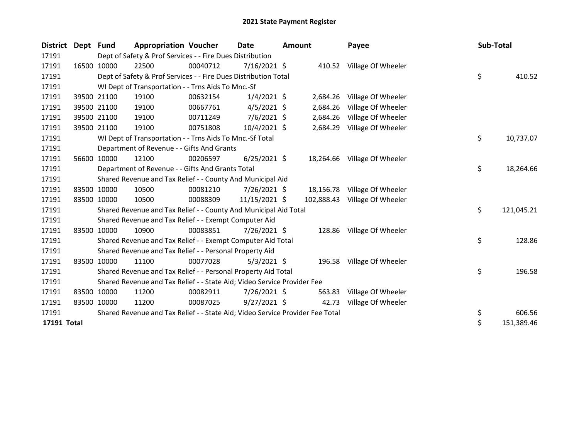| District    | Dept Fund |             | <b>Appropriation Voucher</b>                                                  |          | <b>Date</b>    |  | <b>Amount</b> | Payee                        | Sub-Total |            |
|-------------|-----------|-------------|-------------------------------------------------------------------------------|----------|----------------|--|---------------|------------------------------|-----------|------------|
| 17191       |           |             | Dept of Safety & Prof Services - - Fire Dues Distribution                     |          |                |  |               |                              |           |            |
| 17191       |           | 16500 10000 | 22500                                                                         | 00040712 | 7/16/2021 \$   |  |               | 410.52 Village Of Wheeler    |           |            |
| 17191       |           |             | Dept of Safety & Prof Services - - Fire Dues Distribution Total               |          |                |  |               |                              | \$        | 410.52     |
| 17191       |           |             | WI Dept of Transportation - - Trns Aids To Mnc.-Sf                            |          |                |  |               |                              |           |            |
| 17191       |           | 39500 21100 | 19100                                                                         | 00632154 | $1/4/2021$ \$  |  | 2,684.26      | Village Of Wheeler           |           |            |
| 17191       |           | 39500 21100 | 19100                                                                         | 00667761 | $4/5/2021$ \$  |  | 2,684.26      | Village Of Wheeler           |           |            |
| 17191       |           | 39500 21100 | 19100                                                                         | 00711249 | $7/6/2021$ \$  |  | 2,684.26      | Village Of Wheeler           |           |            |
| 17191       |           | 39500 21100 | 19100                                                                         | 00751808 | 10/4/2021 \$   |  | 2,684.29      | Village Of Wheeler           |           |            |
| 17191       |           |             | WI Dept of Transportation - - Trns Aids To Mnc.-Sf Total                      |          |                |  |               |                              | \$        | 10,737.07  |
| 17191       |           |             | Department of Revenue - - Gifts And Grants                                    |          |                |  |               |                              |           |            |
| 17191       |           | 56600 10000 | 12100                                                                         | 00206597 | $6/25/2021$ \$ |  |               | 18,264.66 Village Of Wheeler |           |            |
| 17191       |           |             | Department of Revenue - - Gifts And Grants Total                              |          |                |  |               |                              | \$        | 18,264.66  |
| 17191       |           |             | Shared Revenue and Tax Relief - - County And Municipal Aid                    |          |                |  |               |                              |           |            |
| 17191       |           | 83500 10000 | 10500                                                                         | 00081210 | $7/26/2021$ \$ |  |               | 18,156.78 Village Of Wheeler |           |            |
| 17191       |           | 83500 10000 | 10500                                                                         | 00088309 | 11/15/2021 \$  |  | 102,888.43    | Village Of Wheeler           |           |            |
| 17191       |           |             | Shared Revenue and Tax Relief - - County And Municipal Aid Total              |          |                |  |               |                              | \$        | 121,045.21 |
| 17191       |           |             | Shared Revenue and Tax Relief - - Exempt Computer Aid                         |          |                |  |               |                              |           |            |
| 17191       |           | 83500 10000 | 10900                                                                         | 00083851 | 7/26/2021 \$   |  | 128.86        | Village Of Wheeler           |           |            |
| 17191       |           |             | Shared Revenue and Tax Relief - - Exempt Computer Aid Total                   |          |                |  |               |                              | \$        | 128.86     |
| 17191       |           |             | Shared Revenue and Tax Relief - - Personal Property Aid                       |          |                |  |               |                              |           |            |
| 17191       |           | 83500 10000 | 11100                                                                         | 00077028 | $5/3/2021$ \$  |  |               | 196.58 Village Of Wheeler    |           |            |
| 17191       |           |             | Shared Revenue and Tax Relief - - Personal Property Aid Total                 |          |                |  |               |                              | \$        | 196.58     |
| 17191       |           |             | Shared Revenue and Tax Relief - - State Aid; Video Service Provider Fee       |          |                |  |               |                              |           |            |
| 17191       |           | 83500 10000 | 11200                                                                         | 00082911 | 7/26/2021 \$   |  | 563.83        | Village Of Wheeler           |           |            |
| 17191       |           | 83500 10000 | 11200                                                                         | 00087025 | $9/27/2021$ \$ |  | 42.73         | Village Of Wheeler           |           |            |
| 17191       |           |             | Shared Revenue and Tax Relief - - State Aid; Video Service Provider Fee Total |          |                |  |               |                              | \$        | 606.56     |
| 17191 Total |           |             |                                                                               |          |                |  |               |                              | \$        | 151,389.46 |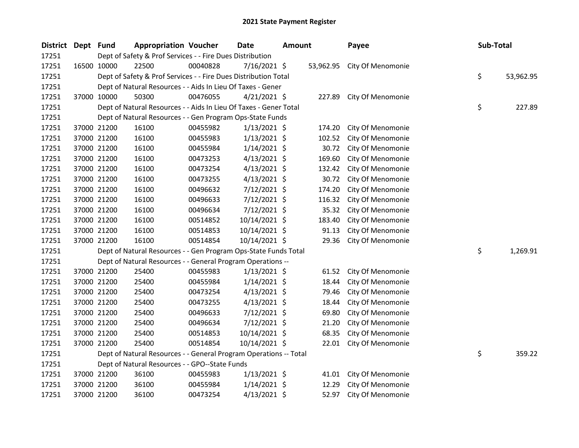| <b>District</b> | Dept Fund |             | <b>Appropriation Voucher</b>                                      |          | <b>Date</b>    | <b>Amount</b> |           | Payee             | Sub-Total |           |
|-----------------|-----------|-------------|-------------------------------------------------------------------|----------|----------------|---------------|-----------|-------------------|-----------|-----------|
| 17251           |           |             | Dept of Safety & Prof Services - - Fire Dues Distribution         |          |                |               |           |                   |           |           |
| 17251           |           | 16500 10000 | 22500                                                             | 00040828 | $7/16/2021$ \$ |               | 53,962.95 | City Of Menomonie |           |           |
| 17251           |           |             | Dept of Safety & Prof Services - - Fire Dues Distribution Total   |          |                |               |           |                   | \$        | 53,962.95 |
| 17251           |           |             | Dept of Natural Resources - - Aids In Lieu Of Taxes - Gener       |          |                |               |           |                   |           |           |
| 17251           |           | 37000 10000 | 50300                                                             | 00476055 | $4/21/2021$ \$ |               | 227.89    | City Of Menomonie |           |           |
| 17251           |           |             | Dept of Natural Resources - - Aids In Lieu Of Taxes - Gener Total |          |                |               |           |                   | \$        | 227.89    |
| 17251           |           |             | Dept of Natural Resources - - Gen Program Ops-State Funds         |          |                |               |           |                   |           |           |
| 17251           |           | 37000 21200 | 16100                                                             | 00455982 | $1/13/2021$ \$ |               | 174.20    | City Of Menomonie |           |           |
| 17251           |           | 37000 21200 | 16100                                                             | 00455983 | $1/13/2021$ \$ |               | 102.52    | City Of Menomonie |           |           |
| 17251           |           | 37000 21200 | 16100                                                             | 00455984 | $1/14/2021$ \$ |               | 30.72     | City Of Menomonie |           |           |
| 17251           |           | 37000 21200 | 16100                                                             | 00473253 | $4/13/2021$ \$ |               | 169.60    | City Of Menomonie |           |           |
| 17251           |           | 37000 21200 | 16100                                                             | 00473254 | $4/13/2021$ \$ |               | 132.42    | City Of Menomonie |           |           |
| 17251           |           | 37000 21200 | 16100                                                             | 00473255 | $4/13/2021$ \$ |               | 30.72     | City Of Menomonie |           |           |
| 17251           |           | 37000 21200 | 16100                                                             | 00496632 | 7/12/2021 \$   |               | 174.20    | City Of Menomonie |           |           |
| 17251           |           | 37000 21200 | 16100                                                             | 00496633 | 7/12/2021 \$   |               | 116.32    | City Of Menomonie |           |           |
| 17251           |           | 37000 21200 | 16100                                                             | 00496634 | 7/12/2021 \$   |               | 35.32     | City Of Menomonie |           |           |
| 17251           |           | 37000 21200 | 16100                                                             | 00514852 | 10/14/2021 \$  |               | 183.40    | City Of Menomonie |           |           |
| 17251           |           | 37000 21200 | 16100                                                             | 00514853 | 10/14/2021 \$  |               | 91.13     | City Of Menomonie |           |           |
| 17251           |           | 37000 21200 | 16100                                                             | 00514854 | 10/14/2021 \$  |               | 29.36     | City Of Menomonie |           |           |
| 17251           |           |             | Dept of Natural Resources - - Gen Program Ops-State Funds Total   |          |                |               |           |                   | \$        | 1,269.91  |
| 17251           |           |             | Dept of Natural Resources - - General Program Operations --       |          |                |               |           |                   |           |           |
| 17251           |           | 37000 21200 | 25400                                                             | 00455983 | $1/13/2021$ \$ |               | 61.52     | City Of Menomonie |           |           |
| 17251           |           | 37000 21200 | 25400                                                             | 00455984 | $1/14/2021$ \$ |               | 18.44     | City Of Menomonie |           |           |
| 17251           |           | 37000 21200 | 25400                                                             | 00473254 | $4/13/2021$ \$ |               | 79.46     | City Of Menomonie |           |           |
| 17251           |           | 37000 21200 | 25400                                                             | 00473255 | $4/13/2021$ \$ |               | 18.44     | City Of Menomonie |           |           |
| 17251           |           | 37000 21200 | 25400                                                             | 00496633 | $7/12/2021$ \$ |               | 69.80     | City Of Menomonie |           |           |
| 17251           |           | 37000 21200 | 25400                                                             | 00496634 | 7/12/2021 \$   |               | 21.20     | City Of Menomonie |           |           |
| 17251           |           | 37000 21200 | 25400                                                             | 00514853 | 10/14/2021 \$  |               | 68.35     | City Of Menomonie |           |           |
| 17251           |           | 37000 21200 | 25400                                                             | 00514854 | 10/14/2021 \$  |               | 22.01     | City Of Menomonie |           |           |
| 17251           |           |             | Dept of Natural Resources - - General Program Operations -- Total |          |                |               |           |                   | \$        | 359.22    |
| 17251           |           |             | Dept of Natural Resources - - GPO--State Funds                    |          |                |               |           |                   |           |           |
| 17251           |           | 37000 21200 | 36100                                                             | 00455983 | $1/13/2021$ \$ |               | 41.01     | City Of Menomonie |           |           |
| 17251           |           | 37000 21200 | 36100                                                             | 00455984 | $1/14/2021$ \$ |               | 12.29     | City Of Menomonie |           |           |
| 17251           |           | 37000 21200 | 36100                                                             | 00473254 | 4/13/2021 \$   |               | 52.97     | City Of Menomonie |           |           |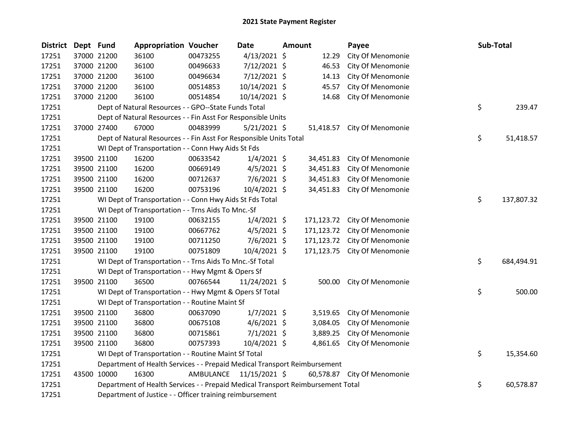| <b>District</b> | Dept Fund |             | <b>Appropriation Voucher</b>                                                    |           | <b>Date</b>    | <b>Amount</b> |            | Payee                        | Sub-Total |            |
|-----------------|-----------|-------------|---------------------------------------------------------------------------------|-----------|----------------|---------------|------------|------------------------------|-----------|------------|
| 17251           |           | 37000 21200 | 36100                                                                           | 00473255  | $4/13/2021$ \$ |               | 12.29      | City Of Menomonie            |           |            |
| 17251           |           | 37000 21200 | 36100                                                                           | 00496633  | 7/12/2021 \$   |               | 46.53      | City Of Menomonie            |           |            |
| 17251           |           | 37000 21200 | 36100                                                                           | 00496634  | 7/12/2021 \$   |               | 14.13      | City Of Menomonie            |           |            |
| 17251           |           | 37000 21200 | 36100                                                                           | 00514853  | 10/14/2021 \$  |               | 45.57      | City Of Menomonie            |           |            |
| 17251           |           | 37000 21200 | 36100                                                                           | 00514854  | 10/14/2021 \$  |               | 14.68      | City Of Menomonie            |           |            |
| 17251           |           |             | Dept of Natural Resources - - GPO--State Funds Total                            |           |                |               |            |                              | \$        | 239.47     |
| 17251           |           |             | Dept of Natural Resources - - Fin Asst For Responsible Units                    |           |                |               |            |                              |           |            |
| 17251           |           | 37000 27400 | 67000                                                                           | 00483999  | $5/21/2021$ \$ |               |            | 51,418.57 City Of Menomonie  |           |            |
| 17251           |           |             | Dept of Natural Resources - - Fin Asst For Responsible Units Total              |           |                |               |            |                              | \$        | 51,418.57  |
| 17251           |           |             | WI Dept of Transportation - - Conn Hwy Aids St Fds                              |           |                |               |            |                              |           |            |
| 17251           |           | 39500 21100 | 16200                                                                           | 00633542  | $1/4/2021$ \$  |               | 34,451.83  | City Of Menomonie            |           |            |
| 17251           |           | 39500 21100 | 16200                                                                           | 00669149  | $4/5/2021$ \$  |               | 34,451.83  | City Of Menomonie            |           |            |
| 17251           |           | 39500 21100 | 16200                                                                           | 00712637  | 7/6/2021 \$    |               | 34,451.83  | City Of Menomonie            |           |            |
| 17251           |           | 39500 21100 | 16200                                                                           | 00753196  | 10/4/2021 \$   |               | 34,451.83  | City Of Menomonie            |           |            |
| 17251           |           |             | WI Dept of Transportation - - Conn Hwy Aids St Fds Total                        |           |                |               |            |                              | \$        | 137,807.32 |
| 17251           |           |             | WI Dept of Transportation - - Trns Aids To Mnc.-Sf                              |           |                |               |            |                              |           |            |
| 17251           |           | 39500 21100 | 19100                                                                           | 00632155  | $1/4/2021$ \$  |               | 171,123.72 | City Of Menomonie            |           |            |
| 17251           |           | 39500 21100 | 19100                                                                           | 00667762  | $4/5/2021$ \$  |               | 171,123.72 | City Of Menomonie            |           |            |
| 17251           |           | 39500 21100 | 19100                                                                           | 00711250  | $7/6/2021$ \$  |               | 171,123.72 | City Of Menomonie            |           |            |
| 17251           |           | 39500 21100 | 19100                                                                           | 00751809  | 10/4/2021 \$   |               |            | 171,123.75 City Of Menomonie |           |            |
| 17251           |           |             | WI Dept of Transportation - - Trns Aids To Mnc.-Sf Total                        |           |                |               |            |                              | \$        | 684,494.91 |
| 17251           |           |             | WI Dept of Transportation - - Hwy Mgmt & Opers Sf                               |           |                |               |            |                              |           |            |
| 17251           |           | 39500 21100 | 36500                                                                           | 00766544  | 11/24/2021 \$  |               | 500.00     | City Of Menomonie            |           |            |
| 17251           |           |             | WI Dept of Transportation - - Hwy Mgmt & Opers Sf Total                         |           |                |               |            |                              | \$        | 500.00     |
| 17251           |           |             | WI Dept of Transportation - - Routine Maint Sf                                  |           |                |               |            |                              |           |            |
| 17251           |           | 39500 21100 | 36800                                                                           | 00637090  | $1/7/2021$ \$  |               | 3,519.65   | City Of Menomonie            |           |            |
| 17251           |           | 39500 21100 | 36800                                                                           | 00675108  | $4/6/2021$ \$  |               | 3,084.05   | City Of Menomonie            |           |            |
| 17251           |           | 39500 21100 | 36800                                                                           | 00715861  | $7/1/2021$ \$  |               | 3,889.25   | City Of Menomonie            |           |            |
| 17251           |           | 39500 21100 | 36800                                                                           | 00757393  | 10/4/2021 \$   |               | 4,861.65   | City Of Menomonie            |           |            |
| 17251           |           |             | WI Dept of Transportation - - Routine Maint Sf Total                            |           |                |               |            |                              | \$        | 15,354.60  |
| 17251           |           |             | Department of Health Services - - Prepaid Medical Transport Reimbursement       |           |                |               |            |                              |           |            |
| 17251           |           | 43500 10000 | 16300                                                                           | AMBULANCE | 11/15/2021 \$  |               |            | 60,578.87 City Of Menomonie  |           |            |
| 17251           |           |             | Department of Health Services - - Prepaid Medical Transport Reimbursement Total |           |                |               |            |                              | \$        | 60,578.87  |
| 17251           |           |             | Department of Justice - - Officer training reimbursement                        |           |                |               |            |                              |           |            |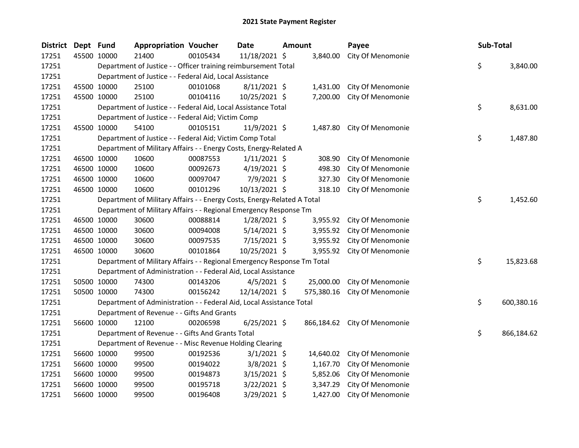| <b>District</b> | Dept Fund |             | <b>Appropriation Voucher</b>                                            |          | <b>Date</b>    | <b>Amount</b> |            | Payee                        | Sub-Total |            |
|-----------------|-----------|-------------|-------------------------------------------------------------------------|----------|----------------|---------------|------------|------------------------------|-----------|------------|
| 17251           |           | 45500 10000 | 21400                                                                   | 00105434 | 11/18/2021 \$  |               | 3,840.00   | City Of Menomonie            |           |            |
| 17251           |           |             | Department of Justice - - Officer training reimbursement Total          |          |                |               |            |                              | \$        | 3,840.00   |
| 17251           |           |             | Department of Justice - - Federal Aid, Local Assistance                 |          |                |               |            |                              |           |            |
| 17251           |           | 45500 10000 | 25100                                                                   | 00101068 | $8/11/2021$ \$ |               | 1,431.00   | City Of Menomonie            |           |            |
| 17251           |           | 45500 10000 | 25100                                                                   | 00104116 | 10/25/2021 \$  |               | 7,200.00   | City Of Menomonie            |           |            |
| 17251           |           |             | Department of Justice - - Federal Aid, Local Assistance Total           |          |                |               |            |                              | \$        | 8,631.00   |
| 17251           |           |             | Department of Justice - - Federal Aid; Victim Comp                      |          |                |               |            |                              |           |            |
| 17251           |           | 45500 10000 | 54100                                                                   | 00105151 | 11/9/2021 \$   |               |            | 1,487.80 City Of Menomonie   |           |            |
| 17251           |           |             | Department of Justice - - Federal Aid; Victim Comp Total                |          |                |               |            |                              | \$        | 1,487.80   |
| 17251           |           |             | Department of Military Affairs - - Energy Costs, Energy-Related A       |          |                |               |            |                              |           |            |
| 17251           |           | 46500 10000 | 10600                                                                   | 00087553 | $1/11/2021$ \$ |               | 308.90     | City Of Menomonie            |           |            |
| 17251           |           | 46500 10000 | 10600                                                                   | 00092673 | $4/19/2021$ \$ |               | 498.30     | City Of Menomonie            |           |            |
| 17251           |           | 46500 10000 | 10600                                                                   | 00097047 | 7/9/2021 \$    |               | 327.30     | City Of Menomonie            |           |            |
| 17251           |           | 46500 10000 | 10600                                                                   | 00101296 | 10/13/2021 \$  |               | 318.10     | City Of Menomonie            |           |            |
| 17251           |           |             | Department of Military Affairs - - Energy Costs, Energy-Related A Total |          |                |               |            |                              | \$        | 1,452.60   |
| 17251           |           |             | Department of Military Affairs - - Regional Emergency Response Tm       |          |                |               |            |                              |           |            |
| 17251           |           | 46500 10000 | 30600                                                                   | 00088814 | $1/28/2021$ \$ |               | 3,955.92   | City Of Menomonie            |           |            |
| 17251           |           | 46500 10000 | 30600                                                                   | 00094008 | $5/14/2021$ \$ |               | 3,955.92   | City Of Menomonie            |           |            |
| 17251           |           | 46500 10000 | 30600                                                                   | 00097535 | $7/15/2021$ \$ |               | 3,955.92   | City Of Menomonie            |           |            |
| 17251           |           | 46500 10000 | 30600                                                                   | 00101864 | 10/25/2021 \$  |               | 3,955.92   | City Of Menomonie            |           |            |
| 17251           |           |             | Department of Military Affairs - - Regional Emergency Response Tm Total |          |                |               |            |                              | \$        | 15,823.68  |
| 17251           |           |             | Department of Administration - - Federal Aid, Local Assistance          |          |                |               |            |                              |           |            |
| 17251           |           | 50500 10000 | 74300                                                                   | 00143206 | $4/5/2021$ \$  |               | 25,000.00  | City Of Menomonie            |           |            |
| 17251           |           | 50500 10000 | 74300                                                                   | 00156242 | 12/14/2021 \$  |               | 575,380.16 | City Of Menomonie            |           |            |
| 17251           |           |             | Department of Administration - - Federal Aid, Local Assistance Total    |          |                |               |            |                              | \$        | 600,380.16 |
| 17251           |           |             | Department of Revenue - - Gifts And Grants                              |          |                |               |            |                              |           |            |
| 17251           |           | 56600 10000 | 12100                                                                   | 00206598 | $6/25/2021$ \$ |               |            | 866,184.62 City Of Menomonie |           |            |
| 17251           |           |             | Department of Revenue - - Gifts And Grants Total                        |          |                |               |            |                              | \$        | 866,184.62 |
| 17251           |           |             | Department of Revenue - - Misc Revenue Holding Clearing                 |          |                |               |            |                              |           |            |
| 17251           |           | 56600 10000 | 99500                                                                   | 00192536 | $3/1/2021$ \$  |               | 14,640.02  | City Of Menomonie            |           |            |
| 17251           |           | 56600 10000 | 99500                                                                   | 00194022 | $3/8/2021$ \$  |               | 1,167.70   | City Of Menomonie            |           |            |
| 17251           |           | 56600 10000 | 99500                                                                   | 00194873 | $3/15/2021$ \$ |               | 5,852.06   | City Of Menomonie            |           |            |
| 17251           |           | 56600 10000 | 99500                                                                   | 00195718 | 3/22/2021 \$   |               | 3,347.29   | City Of Menomonie            |           |            |
| 17251           |           | 56600 10000 | 99500                                                                   | 00196408 | 3/29/2021 \$   |               | 1,427.00   | City Of Menomonie            |           |            |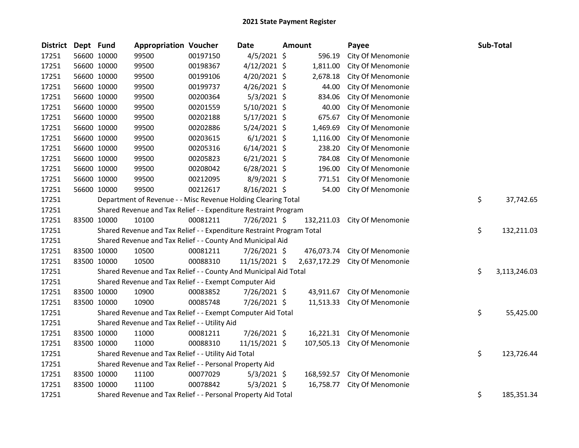| District Dept Fund |             | <b>Appropriation Voucher</b>                                          |          | <b>Date</b>    | <b>Amount</b> |            | Payee                          | Sub-Total |              |
|--------------------|-------------|-----------------------------------------------------------------------|----------|----------------|---------------|------------|--------------------------------|-----------|--------------|
| 17251              | 56600 10000 | 99500                                                                 | 00197150 | 4/5/2021 \$    |               | 596.19     | City Of Menomonie              |           |              |
| 17251              | 56600 10000 | 99500                                                                 | 00198367 | 4/12/2021 \$   |               | 1,811.00   | City Of Menomonie              |           |              |
| 17251              | 56600 10000 | 99500                                                                 | 00199106 | 4/20/2021 \$   |               | 2,678.18   | City Of Menomonie              |           |              |
| 17251              | 56600 10000 | 99500                                                                 | 00199737 | 4/26/2021 \$   |               | 44.00      | City Of Menomonie              |           |              |
| 17251              | 56600 10000 | 99500                                                                 | 00200364 | $5/3/2021$ \$  |               | 834.06     | City Of Menomonie              |           |              |
| 17251              | 56600 10000 | 99500                                                                 | 00201559 | $5/10/2021$ \$ |               | 40.00      | City Of Menomonie              |           |              |
| 17251              | 56600 10000 | 99500                                                                 | 00202188 | $5/17/2021$ \$ |               | 675.67     | City Of Menomonie              |           |              |
| 17251              | 56600 10000 | 99500                                                                 | 00202886 | $5/24/2021$ \$ |               | 1,469.69   | City Of Menomonie              |           |              |
| 17251              | 56600 10000 | 99500                                                                 | 00203615 | $6/1/2021$ \$  |               | 1,116.00   | City Of Menomonie              |           |              |
| 17251              | 56600 10000 | 99500                                                                 | 00205316 | $6/14/2021$ \$ |               | 238.20     | City Of Menomonie              |           |              |
| 17251              | 56600 10000 | 99500                                                                 | 00205823 | $6/21/2021$ \$ |               | 784.08     | City Of Menomonie              |           |              |
| 17251              | 56600 10000 | 99500                                                                 | 00208042 | $6/28/2021$ \$ |               | 196.00     | City Of Menomonie              |           |              |
| 17251              | 56600 10000 | 99500                                                                 | 00212095 | $8/9/2021$ \$  |               | 771.51     | City Of Menomonie              |           |              |
| 17251              | 56600 10000 | 99500                                                                 | 00212617 | 8/16/2021 \$   |               | 54.00      | City Of Menomonie              |           |              |
| 17251              |             | Department of Revenue - - Misc Revenue Holding Clearing Total         |          |                |               |            |                                | \$        | 37,742.65    |
| 17251              |             | Shared Revenue and Tax Relief - - Expenditure Restraint Program       |          |                |               |            |                                |           |              |
| 17251              | 83500 10000 | 10100                                                                 | 00081211 | 7/26/2021 \$   |               | 132,211.03 | City Of Menomonie              |           |              |
| 17251              |             | Shared Revenue and Tax Relief - - Expenditure Restraint Program Total |          |                |               |            |                                | \$        | 132,211.03   |
| 17251              |             | Shared Revenue and Tax Relief - - County And Municipal Aid            |          |                |               |            |                                |           |              |
| 17251              | 83500 10000 | 10500                                                                 | 00081211 | 7/26/2021 \$   |               |            | 476,073.74 City Of Menomonie   |           |              |
| 17251              | 83500 10000 | 10500                                                                 | 00088310 | 11/15/2021 \$  |               |            | 2,637,172.29 City Of Menomonie |           |              |
| 17251              |             | Shared Revenue and Tax Relief - - County And Municipal Aid Total      |          |                |               |            |                                | \$        | 3,113,246.03 |
| 17251              |             | Shared Revenue and Tax Relief - - Exempt Computer Aid                 |          |                |               |            |                                |           |              |
| 17251              | 83500 10000 | 10900                                                                 | 00083852 | 7/26/2021 \$   |               | 43,911.67  | City Of Menomonie              |           |              |
| 17251              | 83500 10000 | 10900                                                                 | 00085748 | 7/26/2021 \$   |               | 11,513.33  | City Of Menomonie              |           |              |
| 17251              |             | Shared Revenue and Tax Relief - - Exempt Computer Aid Total           |          |                |               |            |                                | \$        | 55,425.00    |
| 17251              |             | Shared Revenue and Tax Relief - - Utility Aid                         |          |                |               |            |                                |           |              |
| 17251              | 83500 10000 | 11000                                                                 | 00081211 | 7/26/2021 \$   |               | 16,221.31  | City Of Menomonie              |           |              |
| 17251              | 83500 10000 | 11000                                                                 | 00088310 | 11/15/2021 \$  |               | 107,505.13 | City Of Menomonie              |           |              |
| 17251              |             | Shared Revenue and Tax Relief - - Utility Aid Total                   |          |                |               |            |                                | \$        | 123,726.44   |
| 17251              |             | Shared Revenue and Tax Relief - - Personal Property Aid               |          |                |               |            |                                |           |              |
| 17251              | 83500 10000 | 11100                                                                 | 00077029 | $5/3/2021$ \$  |               | 168,592.57 | City Of Menomonie              |           |              |
| 17251              | 83500 10000 | 11100                                                                 | 00078842 | $5/3/2021$ \$  |               | 16,758.77  | City Of Menomonie              |           |              |
| 17251              |             | Shared Revenue and Tax Relief - - Personal Property Aid Total         |          |                |               |            |                                | \$        | 185,351.34   |